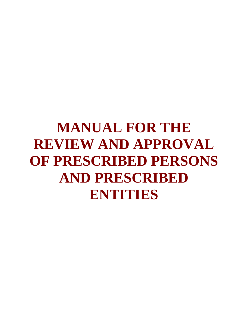# **MANUAL FOR THE REVIEW AND APPROVAL OF PRESCRIBED PERSONS AND PRESCRIBED ENTITIES**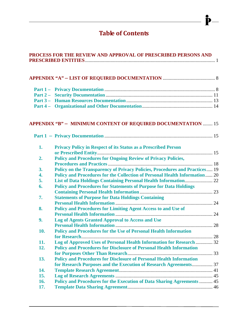# **Table of Contents**

 $\mathbf{\dot{P}}-$ 

| PROCESS FOR THE REVIEW AND APPROVAL OF PRESCRIBED PERSONS AND |                                                                             |  |  |
|---------------------------------------------------------------|-----------------------------------------------------------------------------|--|--|
|                                                               |                                                                             |  |  |
|                                                               |                                                                             |  |  |
|                                                               |                                                                             |  |  |
|                                                               |                                                                             |  |  |
|                                                               |                                                                             |  |  |
|                                                               |                                                                             |  |  |
|                                                               | <b>APPENDIX "B" - MINIMUM CONTENT OF REQUIRED DOCUMENTATION  15</b>         |  |  |
|                                                               |                                                                             |  |  |
| 1.                                                            | <b>Privacy Policy in Respect of its Status as a Prescribed Person</b>       |  |  |
| 2.                                                            | <b>Policy and Procedures for Ongoing Review of Privacy Policies,</b>        |  |  |
| 3.                                                            | Policy on the Transparency of Privacy Policies, Procedures and Practices 19 |  |  |
| 4.                                                            | Policy and Procedures for the Collection of Personal Health Information 20  |  |  |
| 5.                                                            |                                                                             |  |  |
| 6.                                                            | <b>Policy and Procedures for Statements of Purpose for Data Holdings</b>    |  |  |
|                                                               |                                                                             |  |  |
| 7.                                                            | <b>Statements of Purpose for Data Holdings Containing</b>                   |  |  |
|                                                               |                                                                             |  |  |
| 8.                                                            | <b>Policy and Procedures for Limiting Agent Access to and Use of</b>        |  |  |
|                                                               |                                                                             |  |  |
| 9.                                                            | <b>Log of Agents Granted Approval to Access and Use</b>                     |  |  |
|                                                               |                                                                             |  |  |
| 10.                                                           | <b>Policy and Procedures for the Use of Personal Health Information</b>     |  |  |
|                                                               |                                                                             |  |  |
| 11.                                                           | Log of Approved Uses of Personal Health Information for Research  32        |  |  |
| 12.                                                           | <b>Policy and Procedures for Disclosure of Personal Health Information</b>  |  |  |
|                                                               |                                                                             |  |  |
| 13.                                                           | <b>Policy and Procedures for Disclosure of Personal Health Information</b>  |  |  |
|                                                               | for Research Purposes and the Execution of Research Agreements 37           |  |  |
| 14.                                                           |                                                                             |  |  |
| 15.                                                           |                                                                             |  |  |
| 16.                                                           | Policy and Procedures for the Execution of Data Sharing Agreements  45      |  |  |
| 17.                                                           |                                                                             |  |  |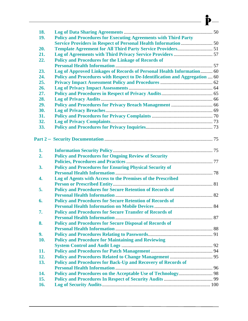| 18. |                                                                             |  |
|-----|-----------------------------------------------------------------------------|--|
| 19. | <b>Policy and Procedures for Executing Agreements with Third Party</b>      |  |
|     |                                                                             |  |
| 20. |                                                                             |  |
| 21. |                                                                             |  |
| 22. | <b>Policy and Procedures for the Linkage of Records of</b>                  |  |
|     |                                                                             |  |
| 23. | Log of Approved Linkages of Records of Personal Health Information 60       |  |
| 24. | Policy and Procedures with Respect to De-Identification and Aggregation  60 |  |
| 25. |                                                                             |  |
| 26. |                                                                             |  |
| 27. |                                                                             |  |
| 28. |                                                                             |  |
| 29. |                                                                             |  |
| 30. |                                                                             |  |
| 31. |                                                                             |  |
| 32. |                                                                             |  |
| 33. |                                                                             |  |
|     |                                                                             |  |
|     |                                                                             |  |
|     |                                                                             |  |
| 1.  |                                                                             |  |
| 2.  | <b>Policy and Procedures for Ongoing Review of Security</b>                 |  |
|     |                                                                             |  |
| 3.  | <b>Policy and Procedures for Ensuring Physical Security of</b>              |  |
|     |                                                                             |  |
| 4.  | Log of Agents with Access to the Premises of the Prescribed                 |  |
|     |                                                                             |  |
| 5.  | <b>Policy and Procedures for Secure Retention of Records of</b>             |  |
|     |                                                                             |  |
| 6.  | <b>Policy and Procedures for Secure Retention of Records of</b>             |  |
|     |                                                                             |  |
| 7.  | <b>Policy and Procedures for Secure Transfer of Records of</b>              |  |
|     |                                                                             |  |
| 8.  | <b>Policy and Procedures for Secure Disposal of Records of</b>              |  |
|     |                                                                             |  |
| 9.  |                                                                             |  |
| 10. | <b>Policy and Procedure for Maintaining and Reviewing</b>                   |  |
|     |                                                                             |  |
| 11. |                                                                             |  |
| 12. |                                                                             |  |
| 13. | Policy and Procedures for Back-Up and Recovery of Records of                |  |
|     |                                                                             |  |
| 14. |                                                                             |  |
| 15. |                                                                             |  |
| 16. |                                                                             |  |
|     |                                                                             |  |

 $\rightharpoonup$   $\mathbf{P}$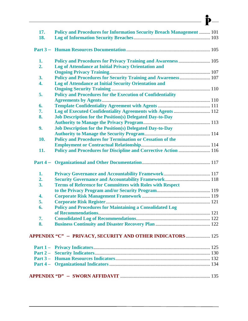| 17. | <b>Policy and Procedures for Information Security Breach Management  101</b> |  |
|-----|------------------------------------------------------------------------------|--|
| 18. |                                                                              |  |
|     |                                                                              |  |
| 1.  | Policy and Procedures for Privacy Training and Awareness  105                |  |
| 2.  | <b>Log of Attendance at Initial Privacy Orientation and</b>                  |  |
|     |                                                                              |  |
| 3.  | Policy and Procedures for Security Training and Awareness 107                |  |
| 4.  | Log of Attendance at Initial Security Orientation and                        |  |
|     |                                                                              |  |
| 5.  | <b>Policy and Procedures for the Execution of Confidentiality</b>            |  |
|     |                                                                              |  |
| 6.  |                                                                              |  |
| 7.  | Log of Executed Confidentiality Agreements with Agents  112                  |  |
| 8.  | <b>Job Description for the Position(s) Delegated Day-to-Day</b>              |  |
| 9.  |                                                                              |  |
|     | <b>Job Description for the Position(s) Delegated Day-to-Day</b>              |  |
| 10. |                                                                              |  |
|     | <b>Policy and Procedures for Termination or Cessation of the</b>             |  |
| 11. | Policy and Procedures for Discipline and Corrective Action  116              |  |
|     |                                                                              |  |
|     |                                                                              |  |
| 1.  |                                                                              |  |
| 2.  |                                                                              |  |
| 3.  | <b>Terms of Reference for Committees with Roles with Respect</b>             |  |
|     |                                                                              |  |
| 4.  |                                                                              |  |
| 5.  |                                                                              |  |
| 6.  | <b>Policy and Procedures for Maintaining a Consolidated Log</b>              |  |
|     |                                                                              |  |
| 7.  |                                                                              |  |
| 8.  |                                                                              |  |
|     |                                                                              |  |
|     | APPENDIX "C" - PRIVACY, SECURITY AND OTHER INDICATORS  125                   |  |
|     |                                                                              |  |
|     |                                                                              |  |
|     |                                                                              |  |
|     |                                                                              |  |
|     |                                                                              |  |
|     |                                                                              |  |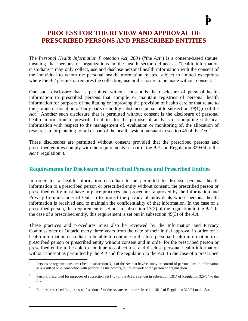# **PROCESS FOR THE REVIEW AND APPROVAL OF PRESCRIBED PERSONS AND PRESCRIBED ENTITIES**

<span id="page-5-0"></span>The *Personal Health Information Protection Act, 2004* ("the *Act*") is a consent-based statute, meaning that persons or organizations in the health sector defined as "health information custodians"[1](#page-5-1) may only collect, use and disclose personal health information with the consent of the individual to whom the personal health information relates, subject to limited exceptions where the *Act* permits or requires the collection, use or disclosure to be made without consent.

One such disclosure that is permitted without consent is the disclosure of personal health information to prescribed persons that compile or maintain registries of personal health information for purposes of facilitating or improving the provision of health care or that relate to the storage or donation of body parts or bodily substances pursuant to subsection  $39(1)(c)$  of the Act.<sup>[2](#page-5-2)</sup> Another such disclosure that is permitted without consent is the disclosure of personal health information to prescribed entities for the purpose of analysis or compiling statistical information with respect to the management of, evaluation or monitoring of, the allocation of resources to or planning for all or part of the health system pursuant to section 45 of the *Act*. [3](#page-5-3)

These disclosures are permitted without consent provided that the prescribed persons and prescribed entities comply with the requirements set out in the *Act* and Regulation 329/04 to the *Act* ("regulation").

# **Requirements for Disclosure to Prescribed Persons and Prescribed Entities**

In order for a health information custodian to be permitted to disclose personal health information to a prescribed person or prescribed entity without consent, the prescribed person or prescribed entity must have in place practices and procedures approved by the Information and Privacy Commissioner of Ontario to protect the privacy of individuals whose personal health information is received and to maintain the confidentiality of that information. In the case of a prescribed person, this requirement is set out in subsection 13(2) of the regulation to the *Act*. In the case of a prescribed entity, this requirement is set out in subsection 45(3) of the *Act*.

These practices and procedures must also be reviewed by the Information and Privacy Commissioner of Ontario every three years from the date of their initial approval in order for a health information custodian to be able to continue to disclose personal health information to a prescribed person or prescribed entity without consent and in order for the prescribed person or prescribed entity to be able to continue to collect, use and disclose personal health information without consent as permitted by the *Act* and the regulation to the *Act*. In the case of a prescribed

<span id="page-5-1"></span> $\overline{a}$ 1 Persons or organizations described in subsection 3(1) of the *Act* that have custody or control of personal health information as a result of or in connection with performing the powers, duties or work of the person or organization.

<span id="page-5-2"></span><sup>2</sup> Persons prescribed for purposes of subsection 39(1)(c) of the *Act* are set out in subsection 13(1) of Regulation 329/04 to the *Act*.

<span id="page-5-3"></span><sup>3</sup> Entities prescribed for purposes of section 45 of the *Act* are set out in subsection 18(1) of Regulation 329/04 to the *Act*.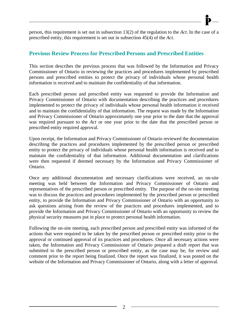person, this requirement is set out in subsection 13(2) of the regulation to the *Act*. In the case of a prescribed entity, this requirement is set out in subsection 45(4) of the *Act*.

# **Previous Review Process for Prescribed Persons and Prescribed Entities**

This section describes the previous process that was followed by the Information and Privacy Commissioner of Ontario in reviewing the practices and procedures implemented by prescribed persons and prescribed entities to protect the privacy of individuals whose personal health information is received and to maintain the confidentiality of that information.

Each prescribed person and prescribed entity was requested to provide the Information and Privacy Commissioner of Ontario with documentation describing the practices and procedures implemented to protect the privacy of individuals whose personal health information it received and to maintain the confidentiality of that information. The request was made by the Information and Privacy Commissioner of Ontario approximately one year prior to the date that the approval was required pursuant to the *Act* or one year prior to the date that the prescribed person or prescribed entity required approval.

Upon receipt, the Information and Privacy Commissioner of Ontario reviewed the documentation describing the practices and procedures implemented by the prescribed person or prescribed entity to protect the privacy of individuals whose personal health information is received and to maintain the confidentiality of that information. Additional documentation and clarifications were then requested if deemed necessary by the Information and Privacy Commissioner of Ontario.

Once any additional documentation and necessary clarifications were received, an on-site meeting was held between the Information and Privacy Commissioner of Ontario and representatives of the prescribed person or prescribed entity. The purpose of the on-site meeting was to discuss the practices and procedures implemented by the prescribed person or prescribed entity, to provide the Information and Privacy Commissioner of Ontario with an opportunity to ask questions arising from the review of the practices and procedures implemented, and to provide the Information and Privacy Commissioner of Ontario with an opportunity to review the physical security measures put in place to protect personal health information.

Following the on-site meeting, each prescribed person and prescribed entity was informed of the actions that were required to be taken by the prescribed person or prescribed entity prior to the approval or continued approval of its practices and procedures. Once all necessary actions were taken, the Information and Privacy Commissioner of Ontario prepared a draft report that was submitted to the prescribed person or prescribed entity, as the case may be, for review and comment prior to the report being finalized. Once the report was finalized, it was posted on the website of the Information and Privacy Commissioner of Ontario, along with a letter of approval.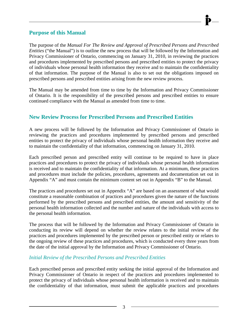# **Purpose of this Manual**

The purpose of the *Manual For The Review and Approval of Prescribed Persons and Prescribed Entities* ("the Manual") is to outline the new process that will be followed by the Information and Privacy Commissioner of Ontario, commencing on January 31, 2010, in reviewing the practices and procedures implemented by prescribed persons and prescribed entities to protect the privacy of individuals whose personal health information they receive and to maintain the confidentiality of that information. The purpose of the Manual is also to set out the obligations imposed on prescribed persons and prescribed entities arising from the new review process.

The Manual may be amended from time to time by the Information and Privacy Commissioner of Ontario. It is the responsibility of the prescribed persons and prescribed entities to ensure continued compliance with the Manual as amended from time to time.

# **New Review Process for Prescribed Persons and Prescribed Entities**

A new process will be followed by the Information and Privacy Commissioner of Ontario in reviewing the practices and procedures implemented by prescribed persons and prescribed entities to protect the privacy of individuals whose personal health information they receive and to maintain the confidentiality of that information, commencing on January 31, 2010.

Each prescribed person and prescribed entity will continue to be required to have in place practices and procedures to protect the privacy of individuals whose personal health information is received and to maintain the confidentiality of that information. At a minimum, these practices and procedures must include the policies, procedures, agreements and documentation set out in Appendix "A" and must contain the minimum content set out in Appendix "B" to the Manual.

The practices and procedures set out in Appendix "A" are based on an assessment of what would constitute a reasonable combination of practices and procedures given the nature of the functions performed by the prescribed persons and prescribed entities, the amount and sensitivity of the personal health information collected and the number and nature of the individuals with access to the personal health information.

The process that will be followed by the Information and Privacy Commissioner of Ontario in conducting its review will depend on whether the review relates to the initial review of the practices and procedures implemented by the prescribed person or prescribed entity or relates to the ongoing review of these practices and procedures, which is conducted every three years from the date of the initial approval by the Information and Privacy Commissioner of Ontario.

# *Initial Review of the Prescribed Persons and Prescribed Entities*

Each prescribed person and prescribed entity seeking the initial approval of the Information and Privacy Commissioner of Ontario in respect of the practices and procedures implemented to protect the privacy of individuals whose personal health information is received and to maintain the confidentiality of that information, must submit the applicable practices and procedures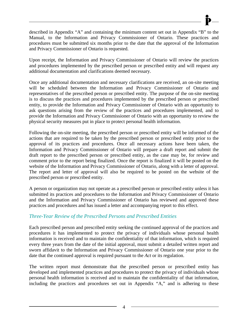described in Appendix "A" and containing the minimum content set out in Appendix "B" to the Manual, to the Information and Privacy Commissioner of Ontario. These practices and procedures must be submitted six months prior to the date that the approval of the Information and Privacy Commissioner of Ontario is requested.

Upon receipt, the Information and Privacy Commissioner of Ontario will review the practices and procedures implemented by the prescribed person or prescribed entity and will request any additional documentation and clarifications deemed necessary.

Once any additional documentation and necessary clarifications are received, an on-site meeting will be scheduled between the Information and Privacy Commissioner of Ontario and representatives of the prescribed person or prescribed entity. The purpose of the on-site meeting is to discuss the practices and procedures implemented by the prescribed person or prescribed entity, to provide the Information and Privacy Commissioner of Ontario with an opportunity to ask questions arising from the review of the practices and procedures implemented, and to provide the Information and Privacy Commissioner of Ontario with an opportunity to review the physical security measures put in place to protect personal health information.

Following the on-site meeting, the prescribed person or prescribed entity will be informed of the actions that are required to be taken by the prescribed person or prescribed entity prior to the approval of its practices and procedures. Once all necessary actions have been taken, the Information and Privacy Commissioner of Ontario will prepare a draft report and submit the draft report to the prescribed person or prescribed entity, as the case may be, for review and comment prior to the report being finalized. Once the report is finalized it will be posted on the website of the Information and Privacy Commissioner of Ontario, along with a letter of approval. The report and letter of approval will also be required to be posted on the website of the prescribed person or prescribed entity.

A person or organization may not operate as a prescribed person or prescribed entity unless it has submitted its practices and procedures to the Information and Privacy Commissioner of Ontario and the Information and Privacy Commissioner of Ontario has reviewed and approved these practices and procedures and has issued a letter and accompanying report to this effect.

# *Three-Year Review of the Prescribed Persons and Prescribed Entities*

Each prescribed person and prescribed entity seeking the continued approval of the practices and procedures it has implemented to protect the privacy of individuals whose personal health information is received and to maintain the confidentiality of that information, which is required every three years from the date of the initial approval, must submit a detailed written report and sworn affidavit to the Information and Privacy Commissioner of Ontario one year prior to the date that the continued approval is required pursuant to the *Act* or its regulation.

The written report must demonstrate that the prescribed person or prescribed entity has developed and implemented practices and procedures to protect the privacy of individuals whose personal health information is received and to maintain the confidentiality of that information, including the practices and procedures set out in Appendix "A," and is adhering to these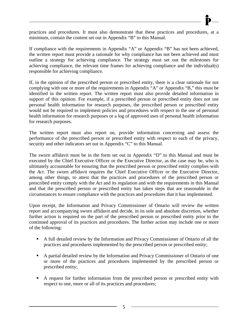

practices and procedures. It must also demonstrate that these practices and procedures, at a minimum, contain the content set out in Appendix "B" to this Manual.

If compliance with the requirements in Appendix "A" or Appendix "B" has not been achieved, the written report must provide a rationale for why compliance has not been achieved and must outline a strategy for achieving compliance. The strategy must set out the milestones for achieving compliance, the relevant time frames for achieving compliance and the individual(s) responsible for achieving compliance.

If, in the opinion of the prescribed person or prescribed entity, there is a clear rationale for not complying with one or more of the requirements in Appendix "A" or Appendix "B," this must be identified in the written report. The written report must also provide detailed information in support of this opinion. For example, if a prescribed person or prescribed entity does not use personal health information for research purposes, the prescribed person or prescribed entity would not be required to implement policies and procedures with respect to the use of personal health information for research purposes or a log of approved uses of personal health information for research purposes.

The written report must also report on, provide information concerning and assess the performance of the prescribed person or prescribed entity with respect to each of the privacy, security and other indicators set out in Appendix "C" to this Manual.

The sworn affidavit must be in the form set out in Appendix "D" to this Manual and must be executed by the Chief Executive Officer or the Executive Director, as the case may be, who is ultimately accountable for ensuring that the prescribed person or prescribed entity complies with the *Act*. The sworn affidavit requires the Chief Executive Officer or the Executive Director, among other things, to attest that the practices and procedures of the prescribed person or prescribed entity comply with the *Act* and its regulation and with the requirements in this Manual and that the prescribed person or prescribed entity has taken steps that are reasonable in the circumstances to ensure compliance with the practices and procedures that it has implemented.

Upon receipt, the Information and Privacy Commissioner of Ontario will review the written report and accompanying sworn affidavit and decide, in its sole and absolute discretion, whether further action is required on the part of the prescribed person or prescribed entity prior to the continued approval of its practices and procedures. The further action may include one or more of the following:

- A full detailed review by the Information and Privacy Commissioner of Ontario of all the practices and procedures implemented by the prescribed person or prescribed entity;
- A partial detailed review by the Information and Privacy Commissioner of Ontario of one or more of the practices and procedures implemented by the prescribed person or prescribed entity;
- A request for further information from the prescribed person or prescribed entity with respect to one, more or all of its practices and procedures;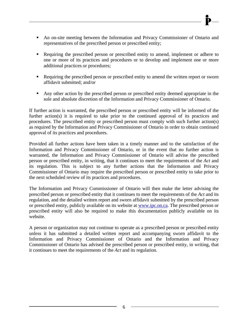- An on-site meeting between the Information and Privacy Commissioner of Ontario and representatives of the prescribed person or prescribed entity;
- Requiring the prescribed person or prescribed entity to amend, implement or adhere to one or more of its practices and procedures or to develop and implement one or more additional practices or procedures;
- Requiring the prescribed person or prescribed entity to amend the written report or sworn affidavit submitted; and/or
- Any other action by the prescribed person or prescribed entity deemed appropriate in the sole and absolute discretion of the Information and Privacy Commissioner of Ontario.

If further action is warranted, the prescribed person or prescribed entity will be informed of the further action(s) it is required to take prior to the continued approval of its practices and procedures. The prescribed entity or prescribed person must comply with such further action(s) as required by the Information and Privacy Commissioner of Ontario in order to obtain continued approval of its practices and procedures.

Provided all further actions have been taken in a timely manner and to the satisfaction of the Information and Privacy Commissioner of Ontario, or in the event that no further action is warranted, the Information and Privacy Commissioner of Ontario will advise the prescribed person or prescribed entity, in writing, that it continues to meet the requirements of the *Act* and its regulation. This is subject to any further actions that the Information and Privacy Commissioner of Ontario may require the prescribed person or prescribed entity to take prior to the next scheduled review of its practices and procedures.

The Information and Privacy Commissioner of Ontario will then make the letter advising the prescribed person or prescribed entity that it continues to meet the requirements of the *Act* and its regulation, and the detailed written report and sworn affidavit submitted by the prescribed person or prescribed entity, publicly available on its website at [www.ipc.on.ca.](http://www.ipc.on.ca/) The prescribed person or prescribed entity will also be required to make this documentation publicly available on its website.

A person or organization may not continue to operate as a prescribed person or prescribed entity unless it has submitted a detailed written report and accompanying sworn affidavit to the Information and Privacy Commissioner of Ontario and the Information and Privacy Commissioner of Ontario has advised the prescribed person or prescribed entity, in writing, that it continues to meet the requirements of the *Act* and its regulation.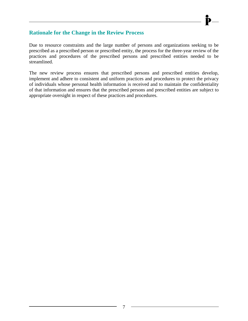# **Rationale for the Change in the Review Process**

Due to resource constraints and the large number of persons and organizations seeking to be prescribed as a prescribed person or prescribed entity, the process for the three-year review of the practices and procedures of the prescribed persons and prescribed entities needed to be streamlined.

The new review process ensures that prescribed persons and prescribed entities develop, implement and adhere to consistent and uniform practices and procedures to protect the privacy of individuals whose personal health information is received and to maintain the confidentiality of that information and ensures that the prescribed persons and prescribed entities are subject to appropriate oversight in respect of these practices and procedures.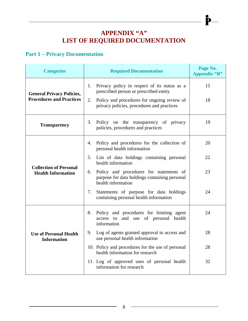# **APPENDIX "A" LIST OF REQUIRED DOCUMENTATION**

 $\mathbf{\mathbf{\hat{P}}}-$ 

# <span id="page-12-1"></span><span id="page-12-0"></span>**Part 1 – Privacy Documentation**

| <b>Categories</b>                                                   | <b>Required Documentation</b>                                                                                                                                                                   | Page No.<br><b>Appendix "B"</b> |
|---------------------------------------------------------------------|-------------------------------------------------------------------------------------------------------------------------------------------------------------------------------------------------|---------------------------------|
| <b>General Privacy Policies,</b><br><b>Procedures and Practices</b> | Privacy policy in respect of its status as a<br>1.<br>prescribed person or prescribed entity<br>Policy and procedures for ongoing review of<br>2.<br>privacy policies, procedures and practices | 15<br>18                        |
| <b>Transparency</b>                                                 | 3.<br>Policy on the transparency of privacy<br>policies, procedures and practices                                                                                                               | 19                              |
|                                                                     | Policy and procedures for the collection of<br>4.<br>personal health information                                                                                                                | 20                              |
|                                                                     | 5.<br>List of data holdings containing personal<br>health information                                                                                                                           | 22                              |
| <b>Collection of Personal</b><br><b>Health Information</b>          | Policy and procedures for statements of<br>6.<br>purpose for data holdings containing personal<br>health information                                                                            | 23                              |
|                                                                     | Statements of purpose for data holdings<br>7.<br>containing personal health information                                                                                                         | 24                              |
|                                                                     | 8.<br>Policy and procedures for limiting agent<br>access to and use of personal health<br>information                                                                                           | 24                              |
| <b>Use of Personal Health</b><br><b>Information</b>                 | Log of agents granted approval to access and<br>9.<br>use personal health information                                                                                                           | 28                              |
|                                                                     | 10. Policy and procedures for the use of personal<br>health information for research                                                                                                            | 28                              |
|                                                                     | 11. Log of approved uses of personal health<br>information for research                                                                                                                         | 32                              |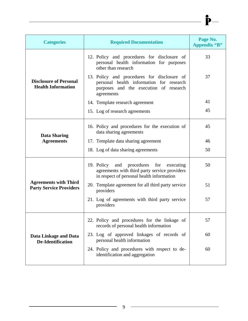| <b>Categories</b>                                              | <b>Required Documentation</b>                                                                                                                   | Page No.<br><b>Appendix "B"</b> |
|----------------------------------------------------------------|-------------------------------------------------------------------------------------------------------------------------------------------------|---------------------------------|
|                                                                | 12. Policy and procedures for disclosure of<br>personal health information for purposes<br>other than research                                  | 33                              |
| <b>Disclosure of Personal</b><br><b>Health Information</b>     | 13. Policy and procedures for disclosure of<br>personal health information for research<br>purposes and the execution of research<br>agreements | 37                              |
|                                                                | 14. Template research agreement                                                                                                                 | 41                              |
|                                                                | 15. Log of research agreements                                                                                                                  | 45                              |
| <b>Data Sharing</b>                                            | 16. Policy and procedures for the execution of<br>data sharing agreements                                                                       | 45                              |
| <b>Agreements</b>                                              | 17. Template data sharing agreement                                                                                                             | 46                              |
|                                                                | 18. Log of data sharing agreements                                                                                                              | 50                              |
|                                                                | 19. Policy and procedures for executing<br>agreements with third party service providers<br>in respect of personal health information           | 50                              |
| <b>Agreements with Third</b><br><b>Party Service Providers</b> | 20. Template agreement for all third party service<br>providers                                                                                 | 51                              |
|                                                                | 21. Log of agreements with third party service<br>providers                                                                                     | 57                              |
|                                                                | 22. Policy and procedures for the linkage of<br>records of personal health information                                                          | 57                              |
| <b>Data Linkage and Data</b><br><b>De-Identification</b>       | 23. Log of approved linkages of records of<br>personal health information                                                                       | 60                              |
|                                                                | 24. Policy and procedures with respect to de-<br>identification and aggregation                                                                 | 60                              |

 $\overline{\mathbf{P}}$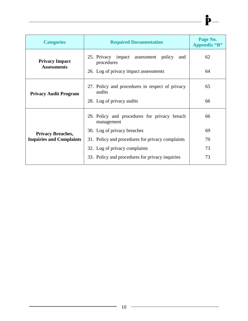| <b>Categories</b>                           | <b>Required Documentation</b>                              | Page No.<br><b>Appendix "B"</b> |
|---------------------------------------------|------------------------------------------------------------|---------------------------------|
| <b>Privacy Impact</b><br><b>Assessments</b> | 25. Privacy impact assessment policy<br>and<br>procedures  | 62                              |
|                                             | 26. Log of privacy impact assessments                      | 64                              |
| <b>Privacy Audit Program</b>                | 27. Policy and procedures in respect of privacy<br>audits  | 65                              |
|                                             | 28. Log of privacy audits                                  | 66                              |
|                                             | 29. Policy and procedures for privacy breach<br>management | 66                              |
| <b>Privacy Breaches,</b>                    | 30. Log of privacy breaches                                | 69                              |
| <b>Inquiries and Complaints</b>             | 31. Policy and procedures for privacy complaints           | 70                              |
|                                             | 32. Log of privacy complaints                              | 73                              |
|                                             | 33. Policy and procedures for privacy inquiries            | 73                              |

 $\rightharpoonup$   $\mathbf{P}$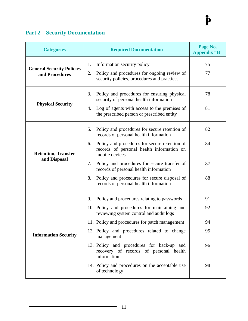# <span id="page-15-0"></span>**Part 2 – Security Documentation**

| <b>Categories</b>                                  | <b>Required Documentation</b>                                                                                                                                                                    | Page No.<br><b>Appendix "B"</b> |
|----------------------------------------------------|--------------------------------------------------------------------------------------------------------------------------------------------------------------------------------------------------|---------------------------------|
| <b>General Security Policies</b><br>and Procedures | Information security policy<br>1.<br>Policy and procedures for ongoing review of<br>2.<br>security policies, procedures and practices                                                            | 75<br>77                        |
| <b>Physical Security</b>                           | Policy and procedures for ensuring physical<br>3.<br>security of personal health information<br>Log of agents with access to the premises of<br>4.<br>the prescribed person or prescribed entity | 78<br>81                        |
|                                                    | Policy and procedures for secure retention of<br>5.<br>records of personal health information                                                                                                    | 82                              |
| <b>Retention, Transfer</b>                         | Policy and procedures for secure retention of<br>6.<br>records of personal health information on<br>mobile devices                                                                               | 84                              |
| and Disposal                                       | Policy and procedures for secure transfer of<br>7.<br>records of personal health information                                                                                                     | 87                              |
|                                                    | Policy and procedures for secure disposal of<br>8.<br>records of personal health information                                                                                                     | 88                              |
|                                                    | Policy and procedures relating to passwords<br>9.                                                                                                                                                | 91                              |
|                                                    | 10. Policy and procedures for maintaining and<br>reviewing system control and audit logs                                                                                                         | 92                              |
|                                                    | 11. Policy and procedures for patch management                                                                                                                                                   | 94                              |
| <b>Information Security</b>                        | 12. Policy and procedures related to change<br>management                                                                                                                                        | 95                              |
|                                                    | 13. Policy and procedures for back-up and<br>recovery of records of personal health<br>information                                                                                               | 96                              |
|                                                    | 14. Policy and procedures on the acceptable use<br>of technology                                                                                                                                 | 98                              |

 $\mathbf{\dot{P}}-$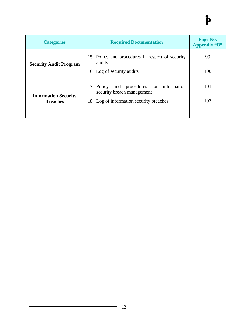| <b>Categories</b>             | <b>Required Documentation</b>                                           | Page No.<br><b>Appendix "B"</b> |
|-------------------------------|-------------------------------------------------------------------------|---------------------------------|
| <b>Security Audit Program</b> | 15. Policy and procedures in respect of security<br>audits              | 99                              |
|                               | 16. Log of security audits                                              | 100                             |
| <b>Information Security</b>   | 17. Policy and procedures for information<br>security breach management | 101                             |
| <b>Breaches</b>               | 18. Log of information security breaches                                | 103                             |
|                               |                                                                         |                                 |

 $\longrightarrow \mathbf{P}$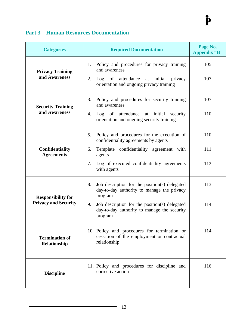# <span id="page-17-0"></span>**Part 3 – Human Resources Documentation**

| <b>Categories</b>                                        | <b>Required Documentation</b>                                                                                                                                                                                                  | Page No.<br><b>Appendix "B"</b> |
|----------------------------------------------------------|--------------------------------------------------------------------------------------------------------------------------------------------------------------------------------------------------------------------------------|---------------------------------|
| <b>Privacy Training</b><br>and Awareness                 | Policy and procedures for privacy training<br>1.<br>and awareness<br>2.<br>Log of attendance at initial privacy<br>orientation and ongoing privacy training                                                                    | 105<br>107                      |
| <b>Security Training</b><br>and Awareness                | Policy and procedures for security training<br>3.<br>and awareness<br>Log of attendance at initial<br>4.<br>security<br>orientation and ongoing security training                                                              | 107<br>110                      |
| <b>Confidentiality</b><br><b>Agreements</b>              | Policy and procedures for the execution of<br>5.<br>confidentiality agreements by agents<br>Template confidentiality agreement with<br>6.<br>agents<br>7.<br>Log of executed confidentiality agreements<br>with agents         | 110<br>111<br>112               |
| <b>Responsibility for</b><br><b>Privacy and Security</b> | 8.<br>Job description for the position(s) delegated<br>day-to-day authority to manage the privacy<br>program<br>9.<br>Job description for the position (s) delegated<br>day-to-day authority to manage the security<br>program | 113<br>114                      |
| <b>Termination of</b><br>Relationship                    | 10. Policy and procedures for termination or<br>cessation of the employment or contractual<br>relationship                                                                                                                     | 114                             |
| <b>Discipline</b>                                        | 11. Policy and procedures for discipline and<br>corrective action                                                                                                                                                              | 116                             |

 $\mathbf{\dot{P}}-$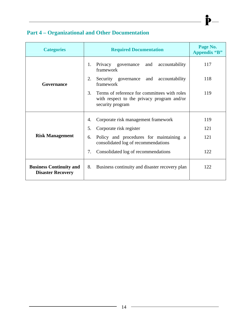# <span id="page-18-0"></span> **Part 4 – Organizational and Other Documentation**

| <b>Categories</b>                                          | <b>Required Documentation</b>                                                                                        | Page No.<br><b>Appendix "B"</b> |
|------------------------------------------------------------|----------------------------------------------------------------------------------------------------------------------|---------------------------------|
|                                                            | Privacy governance and<br>accountability<br>1.<br>framework                                                          | 117                             |
| Governance                                                 | 2.<br>Security governance<br>and<br>accountability<br>framework                                                      | 118                             |
|                                                            | 3.<br>Terms of reference for committees with roles<br>with respect to the privacy program and/or<br>security program | 119                             |
|                                                            | Corporate risk management framework<br>4.                                                                            | 119                             |
|                                                            | 5.<br>Corporate risk register                                                                                        | 121                             |
| <b>Risk Management</b>                                     | Policy and procedures for maintaining a<br>6.<br>consolidated log of recommendations                                 | 121                             |
|                                                            | 7.<br>Consolidated log of recommendations                                                                            | 122                             |
| <b>Business Continuity and</b><br><b>Disaster Recovery</b> | Business continuity and disaster recovery plan<br>8.                                                                 | 122                             |

 $\mathbf{\dot{P}}$ 

<u> 1989 - Johann Barn, mars ar breist bestjoerde te gemeente gemeente van de gemeente van de gemeente van de ge</u>

÷.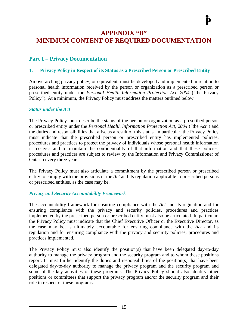# **APPENDIX "B" MINIMUM CONTENT OF REQUIRED DOCUMENTATION**

# <span id="page-19-1"></span><span id="page-19-0"></span>**Part 1 – Privacy Documentation**

## <span id="page-19-2"></span>**1. Privacy Policy in Respect of its Status as a Prescribed Person or Prescribed Entity**

An overarching privacy policy, or equivalent, must be developed and implemented in relation to personal health information received by the person or organization as a prescribed person or prescribed entity under the *Personal Health Information Protection Act, 2004* ("the Privacy Policy"). At a minimum, the Privacy Policy must address the matters outlined below.

#### *Status under the Act*

The Privacy Policy must describe the status of the person or organization as a prescribed person or prescribed entity under the *Personal Health Information Protection Act, 2004* ("the *Act*") and the duties and responsibilities that arise as a result of this status. In particular, the Privacy Policy must indicate that the prescribed person or prescribed entity has implemented policies, procedures and practices to protect the privacy of individuals whose personal health information it receives and to maintain the confidentiality of that information and that these policies, procedures and practices are subject to review by the Information and Privacy Commissioner of Ontario every three years.

The Privacy Policy must also articulate a commitment by the prescribed person or prescribed entity to comply with the provisions of the *Act* and its regulation applicable to prescribed persons or prescribed entities, as the case may be.

#### *Privacy and Security Accountability Framework*

The accountability framework for ensuring compliance with the *Act* and its regulation and for ensuring compliance with the privacy and security policies, procedures and practices implemented by the prescribed person or prescribed entity must also be articulated. In particular, the Privacy Policy must indicate that the Chief Executive Officer or the Executive Director, as the case may be, is ultimately accountable for ensuring compliance with the *Act* and its regulation and for ensuring compliance with the privacy and security policies, procedures and practices implemented.

The Privacy Policy must also identify the position(s) that have been delegated day-to-day authority to manage the privacy program and the security program and to whom these positions report. It must further identify the duties and responsibilities of the position(s) that have been delegated day-to-day authority to manage the privacy program and the security program and some of the key activities of these programs. The Privacy Policy should also identify other positions or committees that support the privacy program and/or the security program and their role in respect of these programs.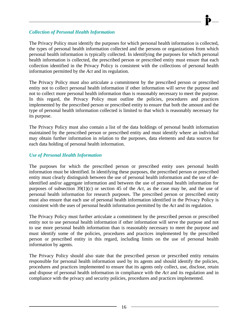#### *Collection of Personal Health Information*

The Privacy Policy must identify the purposes for which personal health information is collected, the types of personal health information collected and the persons or organizations from which personal health information is typically collected. In identifying the purposes for which personal health information is collected, the prescribed person or prescribed entity must ensure that each collection identified in the Privacy Policy is consistent with the collections of personal health information permitted by the *Act* and its regulation.

The Privacy Policy must also articulate a commitment by the prescribed person or prescribed entity not to collect personal health information if other information will serve the purpose and not to collect more personal health information than is reasonably necessary to meet the purpose. In this regard, the Privacy Policy must outline the policies, procedures and practices implemented by the prescribed person or prescribed entity to ensure that both the amount and the type of personal health information collected is limited to that which is reasonably necessary for its purpose.

The Privacy Policy must also contain a list of the data holdings of personal health information maintained by the prescribed person or prescribed entity and must identify where an individual may obtain further information in relation to the purposes, data elements and data sources for each data holding of personal health information.

# *Use of Personal Health Information*

The purposes for which the prescribed person or prescribed entity uses personal health information must be identified. In identifying these purposes, the prescribed person or prescribed entity must clearly distinguish between the use of personal health information and the use of deidentified and/or aggregate information and between the use of personal health information for purposes of subsection 39(1)(c) or section 45 of the *Act*, as the case may be, and the use of personal health information for research purposes. The prescribed person or prescribed entity must also ensure that each use of personal health information identified in the Privacy Policy is consistent with the uses of personal health information permitted by the *Act* and its regulation.

The Privacy Policy must further articulate a commitment by the prescribed person or prescribed entity not to use personal health information if other information will serve the purpose and not to use more personal health information than is reasonably necessary to meet the purpose and must identify some of the policies, procedures and practices implemented by the prescribed person or prescribed entity in this regard, including limits on the use of personal health information by agents.

The Privacy Policy should also state that the prescribed person or prescribed entity remains responsible for personal health information used by its agents and should identify the policies, procedures and practices implemented to ensure that its agents only collect, use, disclose, retain and dispose of personal health information in compliance with the *Act* and its regulation and in compliance with the privacy and security policies, procedures and practices implemented.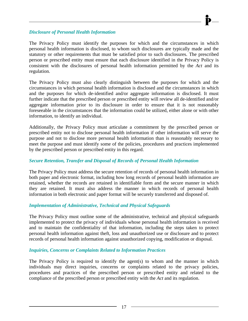#### *Disclosure of Personal Health Information*

The Privacy Policy must identify the purposes for which and the circumstances in which personal health information is disclosed, to whom such disclosures are typically made and the statutory or other requirements that must be satisfied prior to such disclosures. The prescribed person or prescribed entity must ensure that each disclosure identified in the Privacy Policy is consistent with the disclosures of personal health information permitted by the *Act* and its regulation.

The Privacy Policy must also clearly distinguish between the purposes for which and the circumstances in which personal health information is disclosed and the circumstances in which and the purposes for which de-identified and/or aggregate information is disclosed. It must further indicate that the prescribed person or prescribed entity will review all de-identified and/or aggregate information prior to its disclosure in order to ensure that it is not reasonably foreseeable in the circumstances that the information could be utilized, either alone or with other information, to identify an individual.

Additionally, the Privacy Policy must articulate a commitment by the prescribed person or prescribed entity not to disclose personal health information if other information will serve the purpose and not to disclose more personal health information than is reasonably necessary to meet the purpose and must identify some of the policies, procedures and practices implemented by the prescribed person or prescribed entity in this regard.

#### *Secure Retention, Transfer and Disposal of Records of Personal Health Information*

The Privacy Policy must address the secure retention of records of personal health information in both paper and electronic format, including how long records of personal health information are retained, whether the records are retained in identifiable form and the secure manner in which they are retained. It must also address the manner in which records of personal health information in both electronic and paper format will be securely transferred and disposed of.

#### *Implementation of Administrative, Technical and Physical Safeguards*

The Privacy Policy must outline some of the administrative, technical and physical safeguards implemented to protect the privacy of individuals whose personal health information is received and to maintain the confidentiality of that information, including the steps taken to protect personal health information against theft, loss and unauthorized use or disclosure and to protect records of personal health information against unauthorized copying, modification or disposal.

#### *Inquiries, Concerns or Complaints Related to Information Practices*

The Privacy Policy is required to identify the agent(s) to whom and the manner in which individuals may direct inquiries, concerns or complaints related to the privacy policies, procedures and practices of the prescribed person or prescribed entity and related to the compliance of the prescribed person or prescribed entity with the *Act* and its regulation.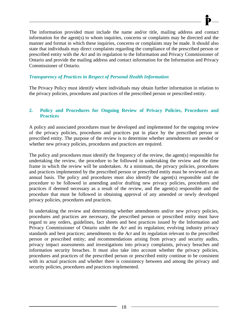The information provided must include the name and/or title, mailing address and contact information for the agent(s) to whom inquiries, concerns or complaints may be directed and the manner and format in which these inquiries, concerns or complaints may be made. It should also state that individuals may direct complaints regarding the compliance of the prescribed person or prescribed entity with the *Act* and its regulation to the Information and Privacy Commissioner of Ontario and provide the mailing address and contact information for the Information and Privacy Commissioner of Ontario.

## *Transparency of Practices in Respect of Personal Health Information*

The Privacy Policy must identify where individuals may obtain further information in relation to the privacy policies, procedures and practices of the prescribed person or prescribed entity.

## <span id="page-22-0"></span>**2. Policy and Procedures for Ongoing Review of Privacy Policies, Procedures and Practices**

A policy and associated procedures must be developed and implemented for the ongoing review of the privacy policies, procedures and practices put in place by the prescribed person or prescribed entity. The purpose of the review is to determine whether amendments are needed or whether new privacy policies, procedures and practices are required.

The policy and procedures must identify the frequency of the review, the agent(s) responsible for undertaking the review, the procedure to be followed in undertaking the review and the time frame in which the review will be undertaken. At a minimum, the privacy policies, procedures and practices implemented by the prescribed person or prescribed entity must be reviewed on an annual basis. The policy and procedures must also identify the agent(s) responsible and the procedure to be followed in amending and/or drafting new privacy policies, procedures and practices if deemed necessary as a result of the review, and the agent(s) responsible and the procedure that must be followed in obtaining approval of any amended or newly developed privacy policies, procedures and practices.

In undertaking the review and determining whether amendments and/or new privacy policies, procedures and practices are necessary, the prescribed person or prescribed entity must have regard to any orders, guidelines, fact sheets and best practices issued by the Information and Privacy Commissioner of Ontario under the *Act* and its regulation; evolving industry privacy standards and best practices; amendments to the *Act* and its regulation relevant to the prescribed person or prescribed entity; and recommendations arising from privacy and security audits, privacy impact assessments and investigations into privacy complaints, privacy breaches and information security breaches. It must also take into account whether the privacy policies, procedures and practices of the prescribed person or prescribed entity continue to be consistent with its actual practices and whether there is consistency between and among the privacy and security policies, procedures and practices implemented.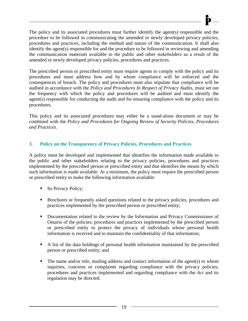The policy and its associated procedures must further identify the agent(s) responsible and the procedure to be followed in communicating the amended or newly developed privacy policies, procedures and practices, including the method and nature of the communication. It shall also identify the agent(s) responsible for and the procedure to be followed in reviewing and amending the communication materials available to the public and other stakeholders as a result of the amended or newly developed privacy policies, procedures and practices.

The prescribed person or prescribed entity must require agents to comply with the policy and its procedures and must address how and by whom compliance will be enforced and the consequences of breach. The policy and procedures must also stipulate that compliance will be audited in accordance with the *Policy and Procedures In Respect of Privacy Audits*, must set out the frequency with which the policy and procedures will be audited and must identify the agent(s) responsible for conducting the audit and for ensuring compliance with the policy and its procedures.

This policy and its associated procedures may either be a stand-alone document or may be combined with the *Policy and Procedures for Ongoing Review of Security Policies, Procedures and Practices*.

# <span id="page-23-0"></span>**3. Policy on the Transparency of Privacy Policies, Procedures and Practices**

A policy must be developed and implemented that identifies the information made available to the public and other stakeholders relating to the privacy policies, procedures and practices implemented by the prescribed person or prescribed entity and that identifies the means by which such information is made available. At a minimum, the policy must require the prescribed person or prescribed entity to make the following information available:

- Its Privacy Policy;
- **Brochures or frequently asked questions related to the privacy policies, procedures and** practices implemented by the prescribed person or prescribed entity;
- Documentation related to the review by the Information and Privacy Commissioner of Ontario of the policies, procedures and practices implemented by the prescribed person or prescribed entity to protect the privacy of individuals whose personal health information is received and to maintain the confidentiality of that information;
- A list of the data holdings of personal health information maintained by the prescribed person or prescribed entity; and
- $\blacksquare$  The name and/or title, mailing address and contact information of the agent(s) to whom inquiries, concerns or complaints regarding compliance with the privacy policies, procedures and practices implemented and regarding compliance with the *Act* and its regulation may be directed.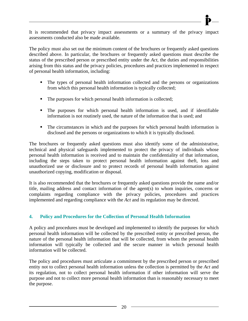It is recommended that privacy impact assessments or a summary of the privacy impact assessments conducted also be made available.

The policy must also set out the minimum content of the brochures or frequently asked questions described above. In particular, the brochures or frequently asked questions must describe the status of the prescribed person or prescribed entity under the *Act*, the duties and responsibilities arising from this status and the privacy policies, procedures and practices implemented in respect of personal health information, including:

- The types of personal health information collected and the persons or organizations from which this personal health information is typically collected;
- The purposes for which personal health information is collected;
- The purposes for which personal health information is used, and if identifiable information is not routinely used, the nature of the information that is used; and
- The circumstances in which and the purposes for which personal health information is disclosed and the persons or organizations to which it is typically disclosed.

The brochures or frequently asked questions must also identify some of the administrative, technical and physical safeguards implemented to protect the privacy of individuals whose personal health information is received and to maintain the confidentiality of that information, including the steps taken to protect personal health information against theft, loss and unauthorized use or disclosure and to protect records of personal health information against unauthorized copying, modification or disposal.

It is also recommended that the brochures or frequently asked questions provide the name and/or title, mailing address and contact information of the agent(s) to whom inquiries, concerns or complaints regarding compliance with the privacy policies, procedures and practices implemented and regarding compliance with the *Act* and its regulation may be directed.

#### <span id="page-24-0"></span>**4. Policy and Procedures for the Collection of Personal Health Information**

A policy and procedures must be developed and implemented to identify the purposes for which personal health information will be collected by the prescribed entity or prescribed person, the nature of the personal health information that will be collected, from whom the personal health information will typically be collected and the secure manner in which personal health information will be collected.

The policy and procedures must articulate a commitment by the prescribed person or prescribed entity not to collect personal health information unless the collection is permitted by the *Act* and its regulation, not to collect personal health information if other information will serve the purpose and not to collect more personal health information than is reasonably necessary to meet the purpose.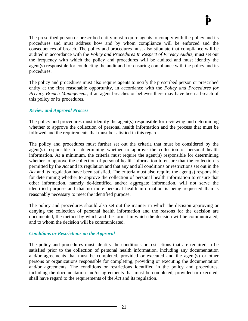The prescribed person or prescribed entity must require agents to comply with the policy and its procedures and must address how and by whom compliance will be enforced and the consequences of breach. The policy and procedures must also stipulate that compliance will be audited in accordance with the *Policy and Procedures In Respect of Privacy Audits*, must set out the frequency with which the policy and procedures will be audited and must identify the agent(s) responsible for conducting the audit and for ensuring compliance with the policy and its procedures.

The policy and procedures must also require agents to notify the prescribed person or prescribed entity at the first reasonable opportunity, in accordance with the *Policy and Procedures for Privacy Breach Management*, if an agent breaches or believes there may have been a breach of this policy or its procedures.

# *Review and Approval Process*

The policy and procedures must identify the agent(s) responsible for reviewing and determining whether to approve the collection of personal health information and the process that must be followed and the requirements that must be satisfied in this regard.

The policy and procedures must further set out the criteria that must be considered by the agent(s) responsible for determining whether to approve the collection of personal health information. At a minimum, the criteria must require the agent(s) responsible for determining whether to approve the collection of personal health information to ensure that the collection is permitted by the *Act* and its regulation and that any and all conditions or restrictions set out in the *Act* and its regulation have been satisfied. The criteria must also require the agent(s) responsible for determining whether to approve the collection of personal health information to ensure that other information, namely de-identified and/or aggregate information, will not serve the identified purpose and that no more personal health information is being requested than is reasonably necessary to meet the identified purpose.

The policy and procedures should also set out the manner in which the decision approving or denying the collection of personal health information and the reasons for the decision are documented; the method by which and the format in which the decision will be communicated; and to whom the decision will be communicated.

#### *Conditions or Restrictions on the Approval*

The policy and procedures must identify the conditions or restrictions that are required to be satisfied prior to the collection of personal health information, including any documentation and/or agreements that must be completed, provided or executed and the agent(s) or other persons or organizations responsible for completing, providing or executing the documentation and/or agreements. The conditions or restrictions identified in the policy and procedures, including the documentation and/or agreements that must be completed, provided or executed, shall have regard to the requirements of the *Act* and its regulation.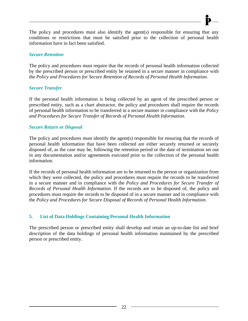The policy and procedures must also identify the agent(s) responsible for ensuring that any conditions or restrictions that must be satisfied prior to the collection of personal health information have in fact been satisfied.

#### *Secure Retention*

The policy and procedures must require that the records of personal health information collected by the prescribed person or prescribed entity be retained in a secure manner in compliance with the *Policy and Procedures for Secure Retention of Records of Personal Health Information*.

## *Secure Transfer*

If the personal health information is being collected by an agent of the prescribed person or prescribed entity, such as a chart abstractor, the policy and procedures shall require the records of personal health information to be transferred in a secure manner in compliance with the *Policy and Procedures for Secure Transfer of Records of Personal Health Information*.

## *Secure Return or Disposal*

The policy and procedures must identify the agent(s) responsible for ensuring that the records of personal health information that have been collected are either securely returned or securely disposed of, as the case may be, following the retention period or the date of termination set out in any documentation and/or agreements executed prior to the collection of the personal health information.

If the records of personal health information are to be returned to the person or organization from which they were collected, the policy and procedures must require the records to be transferred in a secure manner and in compliance with the *Policy and Procedures for Secure Transfer of Records of Personal Health Information*. If the records are to be disposed of, the policy and procedures must require the records to be disposed of in a secure manner and in compliance with the *Policy and Procedures for Secure Disposal of Records of Personal Health Information.* 

# <span id="page-26-0"></span>**5. List of Data Holdings Containing Personal Health Information**

The prescribed person or prescribed entity shall develop and retain an up-to-date list and brief description of the data holdings of personal health information maintained by the prescribed person or prescribed entity.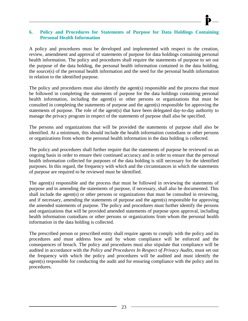#### <span id="page-27-0"></span>**6. Policy and Procedures for Statements of Purpose for Data Holdings Containing Personal Health Information**

A policy and procedures must be developed and implemented with respect to the creation, review, amendment and approval of statements of purpose for data holdings containing personal health information. The policy and procedures shall require the statements of purpose to set out the purpose of the data holding, the personal health information contained in the data holding, the source(s) of the personal health information and the need for the personal health information in relation to the identified purpose.

The policy and procedures must also identify the agent(s) responsible and the process that must be followed in completing the statements of purpose for the data holdings containing personal health information, including the agent(s) or other persons or organizations that must be consulted in completing the statements of purpose and the agent(s) responsible for approving the statements of purpose. The role of the agent(s) that have been delegated day-to-day authority to manage the privacy program in respect of the statements of purpose shall also be specified.

The persons and organizations that will be provided the statements of purpose shall also be identified. At a minimum, this should include the health information custodians or other persons or organizations from whom the personal health information in the data holding is collected.

The policy and procedures shall further require that the statements of purpose be reviewed on an ongoing basis in order to ensure their continued accuracy and in order to ensure that the personal health information collected for purposes of the data holding is still necessary for the identified purposes. In this regard, the frequency with which and the circumstances in which the statements of purpose are required to be reviewed must be identified.

The agent(s) responsible and the process that must be followed in reviewing the statements of purpose and in amending the statements of purpose, if necessary, shall also be documented. This shall include the agent(s) or other persons or organizations that must be consulted in reviewing, and if necessary, amending the statements of purpose and the agent(s) responsible for approving the amended statements of purpose. The policy and procedures must further identify the persons and organizations that will be provided amended statements of purpose upon approval, including health information custodians or other persons or organizations from whom the personal health information in the data holding is collected.

The prescribed person or prescribed entity shall require agents to comply with the policy and its procedures and must address how and by whom compliance will be enforced and the consequences of breach. The policy and procedures must also stipulate that compliance will be audited in accordance with the *Policy and Procedures In Respect of Privacy Audits*, must set out the frequency with which the policy and procedures will be audited and must identify the agent(s) responsible for conducting the audit and for ensuring compliance with the policy and its procedures.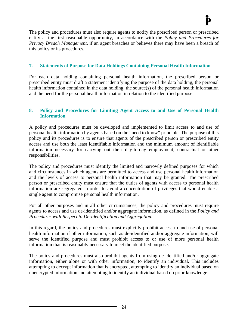The policy and procedures must also require agents to notify the prescribed person or prescribed entity at the first reasonable opportunity, in accordance with the *Policy and Procedures for Privacy Breach Management*, if an agent breaches or believes there may have been a breach of this policy or its procedures.

## <span id="page-28-0"></span>**7. Statements of Purpose for Data Holdings Containing Personal Health Information**

For each data holding containing personal health information, the prescribed person or prescribed entity must draft a statement identifying the purpose of the data holding, the personal health information contained in the data holding, the source(s) of the personal health information and the need for the personal health information in relation to the identified purpose.

## <span id="page-28-1"></span>**8. Policy and Procedures for Limiting Agent Access to and Use of Personal Health Information**

A policy and procedures must be developed and implemented to limit access to and use of personal health information by agents based on the "need to know" principle. The purpose of this policy and its procedures is to ensure that agents of the prescribed person or prescribed entity access and use both the least identifiable information and the minimum amount of identifiable information necessary for carrying out their day-to-day employment, contractual or other responsibilities.

The policy and procedures must identify the limited and narrowly defined purposes for which and circumstances in which agents are permitted to access and use personal health information and the levels of access to personal health information that may be granted. The prescribed person or prescribed entity must ensure that the duties of agents with access to personal health information are segregated in order to avoid a concentration of privileges that would enable a single agent to compromise personal health information.

For all other purposes and in all other circumstances, the policy and procedures must require agents to access and use de-identified and/or aggregate information, as defined in the *Policy and Procedures with Respect to De-Identification and Aggregation*.

In this regard, the policy and procedures must explicitly prohibit access to and use of personal health information if other information, such as de-identified and/or aggregate information, will serve the identified purpose and must prohibit access to or use of more personal health information than is reasonably necessary to meet the identified purpose.

The policy and procedures must also prohibit agents from using de-identified and/or aggregate information, either alone or with other information, to identify an individual. This includes attempting to decrypt information that is encrypted, attempting to identify an individual based on unencrypted information and attempting to identify an individual based on prior knowledge.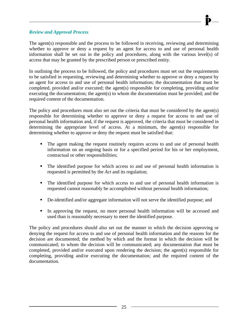#### *Review and Approval Process*

The agent(s) responsible and the process to be followed in receiving, reviewing and determining whether to approve or deny a request by an agent for access to and use of personal health information shall be set out in the policy and procedures, along with the various level(s) of access that may be granted by the prescribed person or prescribed entity.

In outlining the process to be followed, the policy and procedures must set out the requirements to be satisfied in requesting, reviewing and determining whether to approve or deny a request by an agent for access to and use of personal health information; the documentation that must be completed, provided and/or executed; the agent(s) responsible for completing, providing and/or executing the documentation; the agent(s) to whom the documentation must be provided; and the required content of the documentation.

The policy and procedures must also set out the criteria that must be considered by the agent(s) responsible for determining whether to approve or deny a request for access to and use of personal health information and, if the request is approved, the criteria that must be considered in determining the appropriate level of access. At a minimum, the agent(s) responsible for determining whether to approve or deny the request must be satisfied that:

- The agent making the request routinely requires access to and use of personal health information on an ongoing basis or for a specified period for his or her employment, contractual or other responsibilities;
- The identified purpose for which access to and use of personal health information is requested is permitted by the *Act* and its regulation;
- The identified purpose for which access to and use of personal health information is requested cannot reasonably be accomplished without personal health information;
- De-identified and/or aggregate information will not serve the identified purpose; and
- In approving the request, no more personal health information will be accessed and used than is reasonably necessary to meet the identified purpose.

The policy and procedures should also set out the manner in which the decision approving or denying the request for access to and use of personal health information and the reasons for the decision are documented; the method by which and the format in which the decision will be communicated; to whom the decision will be communicated; any documentation that must be completed, provided and/or executed upon rendering the decision; the agent(s) responsible for completing, providing and/or executing the documentation; and the required content of the documentation.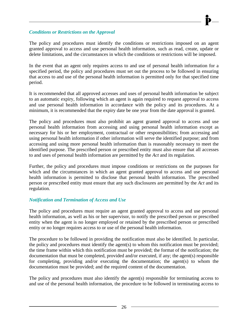#### *Conditions or Restrictions on the Approval*

The policy and procedures must identify the conditions or restrictions imposed on an agent granted approval to access and use personal health information, such as read, create, update or delete limitations, and the circumstances in which the conditions or restrictions will be imposed.

In the event that an agent only requires access to and use of personal health information for a specified period, the policy and procedures must set out the process to be followed in ensuring that access to and use of the personal health information is permitted only for that specified time period.

It is recommended that all approved accesses and uses of personal health information be subject to an automatic expiry, following which an agent is again required to request approval to access and use personal health information in accordance with the policy and its procedures. At a minimum, it is recommended that the expiry date be one year from the date approval is granted.

The policy and procedures must also prohibit an agent granted approval to access and use personal health information from accessing and using personal health information except as necessary for his or her employment, contractual or other responsibilities; from accessing and using personal health information if other information will serve the identified purpose; and from accessing and using more personal health information than is reasonably necessary to meet the identified purpose. The prescribed person or prescribed entity must also ensure that all accesses to and uses of personal health information are permitted by the *Act* and its regulation.

Further, the policy and procedures must impose conditions or restrictions on the purposes for which and the circumstances in which an agent granted approval to access and use personal health information is permitted to disclose that personal health information. The prescribed person or prescribed entity must ensure that any such disclosures are permitted by the *Act* and its regulation.

# *Notification and Termination of Access and Use*

The policy and procedures must require an agent granted approval to access and use personal health information, as well as his or her supervisor, to notify the prescribed person or prescribed entity when the agent is no longer employed or retained by the prescribed person or prescribed entity or no longer requires access to or use of the personal health information.

The procedure to be followed in providing the notification must also be identified. In particular, the policy and procedures must identify the agent(s) to whom this notification must be provided; the time frame within which this notification must be provided; the format of the notification; the documentation that must be completed, provided and/or executed, if any; the agent(s) responsible for completing, providing and/or executing the documentation; the agent(s) to whom the documentation must be provided; and the required content of the documentation.

The policy and procedures must also identify the agent(s) responsible for terminating access to and use of the personal health information, the procedure to be followed in terminating access to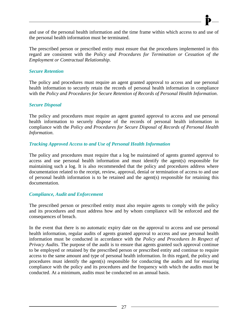and use of the personal health information and the time frame within which access to and use of the personal health information must be terminated.

The prescribed person or prescribed entity must ensure that the procedures implemented in this regard are consistent with the *Policy and Procedures for Termination or Cessation of the Employment or Contractual Relationship*.

#### *Secure Retention*

The policy and procedures must require an agent granted approval to access and use personal health information to securely retain the records of personal health information in compliance with the *Policy and Procedures for Secure Retention of Records of Personal Health Information*.

#### *Secure Disposal*

The policy and procedures must require an agent granted approval to access and use personal health information to securely dispose of the records of personal health information in compliance with the *Policy and Procedures for Secure Disposal of Records of Personal Health Information*.

#### *Tracking Approved Access to and Use of Personal Health Information*

The policy and procedures must require that a log be maintained of agents granted approval to access and use personal health information and must identify the agent(s) responsible for maintaining such a log. It is also recommended that the policy and procedures address where documentation related to the receipt, review, approval, denial or termination of access to and use of personal health information is to be retained and the agent(s) responsible for retaining this documentation.

#### *Compliance, Audit and Enforcement*

The prescribed person or prescribed entity must also require agents to comply with the policy and its procedures and must address how and by whom compliance will be enforced and the consequences of breach.

In the event that there is no automatic expiry date on the approval to access and use personal health information, regular audits of agents granted approval to access and use personal health information must be conducted in accordance with the *Policy and Procedures In Respect of Privacy Audits*. The purpose of the audit is to ensure that agents granted such approval continue to be employed or retained by the prescribed person or prescribed entity and continue to require access to the same amount and type of personal health information. In this regard, the policy and procedures must identify the agent(s) responsible for conducting the audits and for ensuring compliance with the policy and its procedures and the frequency with which the audits must be conducted. At a minimum, audits must be conducted on an annual basis.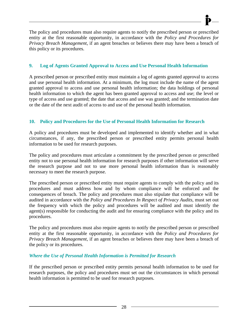The policy and procedures must also require agents to notify the prescribed person or prescribed entity at the first reasonable opportunity, in accordance with the *Policy and Procedures for Privacy Breach Management*, if an agent breaches or believes there may have been a breach of this policy or its procedures.

# <span id="page-32-0"></span>**9. Log of Agents Granted Approval to Access and Use Personal Health Information**

A prescribed person or prescribed entity must maintain a log of agents granted approval to access and use personal health information. At a minimum, the log must include the name of the agent granted approval to access and use personal health information; the data holdings of personal health information to which the agent has been granted approval to access and use; the level or type of access and use granted; the date that access and use was granted; and the termination date or the date of the next audit of access to and use of the personal health information.

# <span id="page-32-1"></span>**10. Policy and Procedures for the Use of Personal Health Information for Research**

A policy and procedures must be developed and implemented to identify whether and in what circumstances, if any, the prescribed person or prescribed entity permits personal health information to be used for research purposes.

The policy and procedures must articulate a commitment by the prescribed person or prescribed entity not to use personal health information for research purposes if other information will serve the research purpose and not to use more personal health information than is reasonably necessary to meet the research purpose.

The prescribed person or prescribed entity must require agents to comply with the policy and its procedures and must address how and by whom compliance will be enforced and the consequences of breach. The policy and procedures must also stipulate that compliance will be audited in accordance with the *Policy and Procedures In Respect of Privacy Audits*, must set out the frequency with which the policy and procedures will be audited and must identify the agent(s) responsible for conducting the audit and for ensuring compliance with the policy and its procedures.

The policy and procedures must also require agents to notify the prescribed person or prescribed entity at the first reasonable opportunity, in accordance with the *Policy and Procedures for Privacy Breach Management*, if an agent breaches or believes there may have been a breach of the policy or its procedures.

# *Where the Use of Personal Health Information is Permitted for Research*

If the prescribed person or prescribed entity permits personal health information to be used for research purposes, the policy and procedures must set out the circumstances in which personal health information is permitted to be used for research purposes.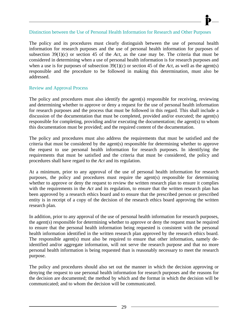#### Distinction between the Use of Personal Health Information for Research and Other Purposes

The policy and its procedures must clearly distinguish between the use of personal health information for research purposes and the use of personal health information for purposes of subsection  $39(1)(c)$  or section 45 of the *Act*, as the case may be. The criteria that must be considered in determining when a use of personal health information is for research purposes and when a use is for purposes of subsection  $39(1)(c)$  or section 45 of the *Act*, as well as the agent(s) responsible and the procedure to be followed in making this determination, must also be addressed.

#### Review and Approval Process

The policy and procedures must also identify the agent(s) responsible for receiving, reviewing and determining whether to approve or deny a request for the use of personal health information for research purposes and the process that must be followed in this regard. This shall include a discussion of the documentation that must be completed, provided and/or executed; the agent(s) responsible for completing, providing and/or executing the documentation; the agent(s) to whom this documentation must be provided; and the required content of the documentation.

The policy and procedures must also address the requirements that must be satisfied and the criteria that must be considered by the agent(s) responsible for determining whether to approve the request to use personal health information for research purposes. In identifying the requirements that must be satisfied and the criteria that must be considered, the policy and procedures shall have regard to the *Act* and its regulation.

At a minimum, prior to any approval of the use of personal health information for research purposes, the policy and procedures must require the agent(s) responsible for determining whether to approve or deny the request to review the written research plan to ensure it complies with the requirements in the *Act* and its regulation, to ensure that the written research plan has been approved by a research ethics board and to ensure that the prescribed person or prescribed entity is in receipt of a copy of the decision of the research ethics board approving the written research plan.

In addition, prior to any approval of the use of personal health information for research purposes, the agent(s) responsible for determining whether to approve or deny the request must be required to ensure that the personal health information being requested is consistent with the personal health information identified in the written research plan approved by the research ethics board. The responsible agent(s) must also be required to ensure that other information, namely deidentified and/or aggregate information, will not serve the research purpose and that no more personal health information is being requested than is reasonably necessary to meet the research purpose.

The policy and procedures should also set out the manner in which the decision approving or denying the request to use personal health information for research purposes and the reasons for the decision are documented; the method by which and the format in which the decision will be communicated; and to whom the decision will be communicated.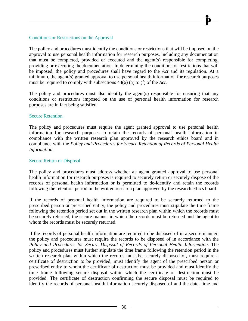## Conditions or Restrictions on the Approval

The policy and procedures must identify the conditions or restrictions that will be imposed on the approval to use personal health information for research purposes, including any documentation that must be completed, provided or executed and the agent(s) responsible for completing, providing or executing the documentation. In determining the conditions or restrictions that will be imposed, the policy and procedures shall have regard to the *Act* and its regulation. At a minimum, the agent(s) granted approval to use personal health information for research purposes must be required to comply with subsections 44(6) (a) to (f) of the *Act*.

The policy and procedures must also identify the agent(s) responsible for ensuring that any conditions or restrictions imposed on the use of personal health information for research purposes are in fact being satisfied.

#### Secure Retention

The policy and procedures must require the agent granted approval to use personal health information for research purposes to retain the records of personal health information in compliance with the written research plan approved by the research ethics board and in compliance with the *Policy and Procedures for Secure Retention of Records of Personal Health Information*.

#### Secure Return or Disposal

The policy and procedures must address whether an agent granted approval to use personal health information for research purposes is required to securely return or securely dispose of the records of personal health information or is permitted to de-identify and retain the records following the retention period in the written research plan approved by the research ethics board.

If the records of personal health information are required to be securely returned to the prescribed person or prescribed entity, the policy and procedures must stipulate the time frame following the retention period set out in the written research plan within which the records must be securely returned, the secure manner in which the records must be returned and the agent to whom the records must be securely returned.

If the records of personal health information are required to be disposed of in a secure manner, the policy and procedures must require the records to be disposed of in accordance with the *Policy and Procedures for Secure Disposal of Records of Personal Health Information*. The policy and procedures must further stipulate the time frame following the retention period in the written research plan within which the records must be securely disposed of, must require a certificate of destruction to be provided, must identify the agent of the prescribed person or prescribed entity to whom the certificate of destruction must be provided and must identify the time frame following secure disposal within which the certificate of destruction must be provided. The certificate of destruction confirming the secure disposal must be required to identify the records of personal health information securely disposed of and the date, time and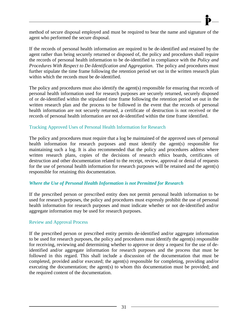method of secure disposal employed and must be required to bear the name and signature of the agent who performed the secure disposal.

If the records of personal health information are required to be de-identified and retained by the agent rather than being securely returned or disposed of, the policy and procedures shall require the records of personal health information to be de-identified in compliance with the *Policy and Procedures With Respect to De-Identification and Aggregation*. The policy and procedures must further stipulate the time frame following the retention period set out in the written research plan within which the records must be de-identified.

The policy and procedures must also identify the agent(s) responsible for ensuring that records of personal health information used for research purposes are securely returned, securely disposed of or de-identified within the stipulated time frame following the retention period set out in the written research plan and the process to be followed in the event that the records of personal health information are not securely returned, a certificate of destruction is not received or the records of personal health information are not de-identified within the time frame identified.

#### Tracking Approved Uses of Personal Health Information for Research

The policy and procedures must require that a log be maintained of the approved uses of personal health information for research purposes and must identify the agent(s) responsible for maintaining such a log. It is also recommended that the policy and procedures address where written research plans, copies of the decisions of research ethics boards, certificates of destruction and other documentation related to the receipt, review, approval or denial of requests for the use of personal health information for research purposes will be retained and the agent(s) responsible for retaining this documentation.

#### *Where the Use of Personal Health Information is not Permitted for Research*

If the prescribed person or prescribed entity does not permit personal health information to be used for research purposes, the policy and procedures must expressly prohibit the use of personal health information for research purposes and must indicate whether or not de-identified and/or aggregate information may be used for research purposes.

#### Review and Approval Process

If the prescribed person or prescribed entity permits de-identified and/or aggregate information to be used for research purposes, the policy and procedures must identify the agent(s) responsible for receiving, reviewing and determining whether to approve or deny a request for the use of deidentified and/or aggregate information for research purposes and the process that must be followed in this regard. This shall include a discussion of the documentation that must be completed, provided and/or executed; the agent(s) responsible for completing, providing and/or executing the documentation; the agent(s) to whom this documentation must be provided; and the required content of the documentation.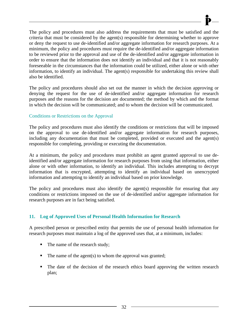The policy and procedures must also address the requirements that must be satisfied and the criteria that must be considered by the agent(s) responsible for determining whether to approve or deny the request to use de-identified and/or aggregate information for research purposes. At a minimum, the policy and procedures must require the de-identified and/or aggregate information to be reviewed prior to the approval and use of the de-identified and/or aggregate information in order to ensure that the information does not identify an individual and that it is not reasonably foreseeable in the circumstances that the information could be utilized, either alone or with other information, to identify an individual. The agent(s) responsible for undertaking this review shall also be identified.

The policy and procedures should also set out the manner in which the decision approving or denying the request for the use of de-identified and/or aggregate information for research purposes and the reasons for the decision are documented; the method by which and the format in which the decision will be communicated; and to whom the decision will be communicated.

### Conditions or Restrictions on the Approval

The policy and procedures must also identify the conditions or restrictions that will be imposed on the approval to use de-identified and/or aggregate information for research purposes, including any documentation that must be completed, provided or executed and the agent(s) responsible for completing, providing or executing the documentation.

At a minimum, the policy and procedures must prohibit an agent granted approval to use deidentified and/or aggregate information for research purposes from using that information, either alone or with other information, to identify an individual. This includes attempting to decrypt information that is encrypted, attempting to identify an individual based on unencrypted information and attempting to identify an individual based on prior knowledge.

The policy and procedures must also identify the agent(s) responsible for ensuring that any conditions or restrictions imposed on the use of de-identified and/or aggregate information for research purposes are in fact being satisfied.

### **11. Log of Approved Uses of Personal Health Information for Research**

A prescribed person or prescribed entity that permits the use of personal health information for research purposes must maintain a log of the approved uses that, at a minimum, includes:

- The name of the research study;
- $\blacksquare$  The name of the agent(s) to whom the approval was granted;
- The date of the decision of the research ethics board approving the written research plan;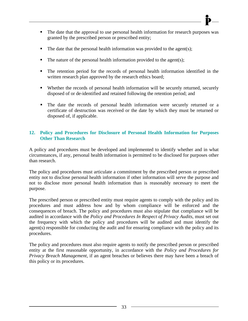- $\blacksquare$  The date that the personal health information was provided to the agent(s);
- $\blacksquare$  The nature of the personal health information provided to the agent(s);
- The retention period for the records of personal health information identified in the written research plan approved by the research ethics board;
- Whether the records of personal health information will be securely returned, securely disposed of or de-identified and retained following the retention period; and
- The date the records of personal health information were securely returned or a certificate of destruction was received or the date by which they must be returned or disposed of, if applicable.

### **12. Policy and Procedures for Disclosure of Personal Health Information for Purposes Other Than Research**

A policy and procedures must be developed and implemented to identify whether and in what circumstances, if any, personal health information is permitted to be disclosed for purposes other than research.

The policy and procedures must articulate a commitment by the prescribed person or prescribed entity not to disclose personal health information if other information will serve the purpose and not to disclose more personal health information than is reasonably necessary to meet the purpose.

The prescribed person or prescribed entity must require agents to comply with the policy and its procedures and must address how and by whom compliance will be enforced and the consequences of breach. The policy and procedures must also stipulate that compliance will be audited in accordance with the *Policy and Procedures In Respect of Privacy Audits*, must set out the frequency with which the policy and procedures will be audited and must identify the agent(s) responsible for conducting the audit and for ensuring compliance with the policy and its procedures.

The policy and procedures must also require agents to notify the prescribed person or prescribed entity at the first reasonable opportunity, in accordance with the *Policy and Procedures for Privacy Breach Management*, if an agent breaches or believes there may have been a breach of this policy or its procedures.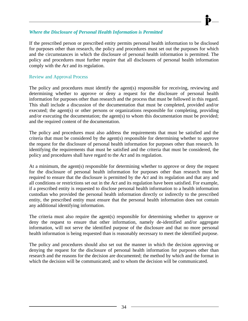### *Where the Disclosure of Personal Health Information is Permitted*

If the prescribed person or prescribed entity permits personal health information to be disclosed for purposes other than research, the policy and procedures must set out the purposes for which and the circumstances in which the disclosure of personal health information is permitted. The policy and procedures must further require that all disclosures of personal health information comply with the *Act* and its regulation.

### Review and Approval Process

The policy and procedures must identify the agent(s) responsible for receiving, reviewing and determining whether to approve or deny a request for the disclosure of personal health information for purposes other than research and the process that must be followed in this regard. This shall include a discussion of the documentation that must be completed, provided and/or executed; the agent(s) or other persons or organizations responsible for completing, providing and/or executing the documentation; the agent(s) to whom this documentation must be provided; and the required content of the documentation.

The policy and procedures must also address the requirements that must be satisfied and the criteria that must be considered by the agent(s) responsible for determining whether to approve the request for the disclosure of personal health information for purposes other than research. In identifying the requirements that must be satisfied and the criteria that must be considered, the policy and procedures shall have regard to the *Act* and its regulation.

At a minimum, the agent(s) responsible for determining whether to approve or deny the request for the disclosure of personal health information for purposes other than research must be required to ensure that the disclosure is permitted by the *Act* and its regulation and that any and all conditions or restrictions set out in the *Act* and its regulation have been satisfied. For example, if a prescribed entity is requested to disclose personal health information to a health information custodian who provided the personal health information directly or indirectly to the prescribed entity, the prescribed entity must ensure that the personal health information does not contain any additional identifying information.

The criteria must also require the agent(s) responsible for determining whether to approve or deny the request to ensure that other information, namely de-identified and/or aggregate information, will not serve the identified purpose of the disclosure and that no more personal health information is being requested than is reasonably necessary to meet the identified purpose.

The policy and procedures should also set out the manner in which the decision approving or denying the request for the disclosure of personal health information for purposes other than research and the reasons for the decision are documented; the method by which and the format in which the decision will be communicated; and to whom the decision will be communicated.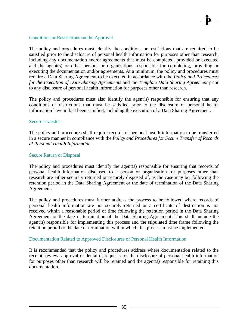### Conditions or Restrictions on the Approval

The policy and procedures must identify the conditions or restrictions that are required to be satisfied prior to the disclosure of personal health information for purposes other than research, including any documentation and/or agreements that must be completed, provided or executed and the agent(s) or other persons or organizations responsible for completing, providing or executing the documentation and/or agreements. At a minimum, the policy and procedures must require a Data Sharing Agreement to be executed in accordance with the *Policy and Procedures for the Execution of Data Sharing Agreements* and the *Template Data Sharing Agreement* prior to any disclosure of personal health information for purposes other than research.

The policy and procedures must also identify the agent(s) responsible for ensuring that any conditions or restrictions that must be satisfied prior to the disclosure of personal health information have in fact been satisfied, including the execution of a Data Sharing Agreement.

### Secure Transfer

The policy and procedures shall require records of personal health information to be transferred in a secure manner in compliance with the *Policy and Procedures for Secure Transfer of Records of Personal Health Information*.

### Secure Return or Disposal

The policy and procedures must identify the agent(s) responsible for ensuring that records of personal health information disclosed to a person or organization for purposes other than research are either securely returned or securely disposed of, as the case may be, following the retention period in the Data Sharing Agreement or the date of termination of the Data Sharing Agreement.

The policy and procedures must further address the process to be followed where records of personal health information are not securely returned or a certificate of destruction is not received within a reasonable period of time following the retention period in the Data Sharing Agreement or the date of termination of the Data Sharing Agreement. This shall include the agent(s) responsible for implementing this process and the stipulated time frame following the retention period or the date of termination within which this process must be implemented.

### Documentation Related to Approved Disclosures of Personal Health Information

It is recommended that the policy and procedures address where documentation related to the receipt, review, approval or denial of requests for the disclosure of personal health information for purposes other than research will be retained and the agent(s) responsible for retaining this documentation.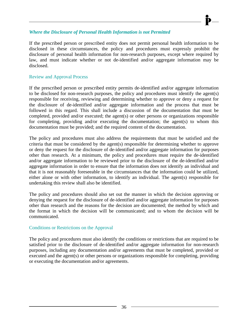### *Where the Disclosure of Personal Health Information is not Permitted*

If the prescribed person or prescribed entity does not permit personal health information to be disclosed in these circumstances, the policy and procedures must expressly prohibit the disclosure of personal health information for non-research purposes, except where required by law, and must indicate whether or not de-identified and/or aggregate information may be disclosed.

#### Review and Approval Process

If the prescribed person or prescribed entity permits de-identified and/or aggregate information to be disclosed for non-research purposes, the policy and procedures must identify the agent(s) responsible for receiving, reviewing and determining whether to approve or deny a request for the disclosure of de-identified and/or aggregate information and the process that must be followed in this regard. This shall include a discussion of the documentation that must be completed, provided and/or executed; the agent(s) or other persons or organizations responsible for completing, providing and/or executing the documentation; the agent(s) to whom this documentation must be provided; and the required content of the documentation.

The policy and procedures must also address the requirements that must be satisfied and the criteria that must be considered by the agent(s) responsible for determining whether to approve or deny the request for the disclosure of de-identified and/or aggregate information for purposes other than research. At a minimum, the policy and procedures must require the de-identified and/or aggregate information to be reviewed prior to the disclosure of the de-identified and/or aggregate information in order to ensure that the information does not identify an individual and that it is not reasonably foreseeable in the circumstances that the information could be utilized, either alone or with other information, to identify an individual. The agent(s) responsible for undertaking this review shall also be identified.

The policy and procedures should also set out the manner in which the decision approving or denying the request for the disclosure of de-identified and/or aggregate information for purposes other than research and the reasons for the decision are documented; the method by which and the format in which the decision will be communicated; and to whom the decision will be communicated.

#### Conditions or Restrictions on the Approval

The policy and procedures must also identify the conditions or restrictions that are required to be satisfied prior to the disclosure of de-identified and/or aggregate information for non-research purposes, including any documentation and/or agreements that must be completed, provided or executed and the agent(s) or other persons or organizations responsible for completing, providing or executing the documentation and/or agreements.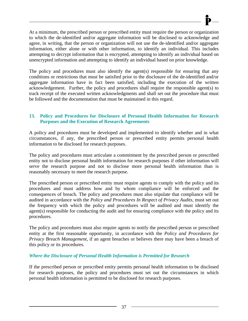At a minimum, the prescribed person or prescribed entity must require the person or organization to which the de-identified and/or aggregate information will be disclosed to acknowledge and agree, in writing, that the person or organization will not use the de-identified and/or aggregate information, either alone or with other information, to identify an individual. This includes attempting to decrypt information that is encrypted, attempting to identify an individual based on unencrypted information and attempting to identify an individual based on prior knowledge.

The policy and procedures must also identify the agent(s) responsible for ensuring that any conditions or restrictions that must be satisfied prior to the disclosure of the de-identified and/or aggregate information have in fact been satisfied, including the execution of the written acknowledgement. Further, the policy and procedures shall require the responsible agent(s) to track receipt of the executed written acknowledgments and shall set out the procedure that must be followed and the documentation that must be maintained in this regard.

### **13. Policy and Procedures for Disclosure of Personal Health Information for Research Purposes and the Execution of Research Agreements**

A policy and procedures must be developed and implemented to identify whether and in what circumstances, if any, the prescribed person or prescribed entity permits personal health information to be disclosed for research purposes.

The policy and procedures must articulate a commitment by the prescribed person or prescribed entity not to disclose personal health information for research purposes if other information will serve the research purpose and not to disclose more personal health information than is reasonably necessary to meet the research purpose.

The prescribed person or prescribed entity must require agents to comply with the policy and its procedures and must address how and by whom compliance will be enforced and the consequences of breach. The policy and procedures must also stipulate that compliance will be audited in accordance with the *Policy and Procedures In Respect of Privacy Audits*, must set out the frequency with which the policy and procedures will be audited and must identify the agent(s) responsible for conducting the audit and for ensuring compliance with the policy and its procedures.

The policy and procedures must also require agents to notify the prescribed person or prescribed entity at the first reasonable opportunity, in accordance with the *Policy and Procedures for Privacy Breach Management*, if an agent breaches or believes there may have been a breach of this policy or its procedures.

### *Where the Disclosure of Personal Health Information is Permitted for Research*

If the prescribed person or prescribed entity permits personal health information to be disclosed for research purposes, the policy and procedures must set out the circumstances in which personal health information is permitted to be disclosed for research purposes.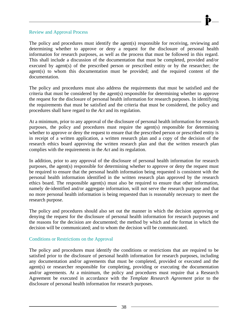#### Review and Approval Process

The policy and procedures must identify the agent(s) responsible for receiving, reviewing and determining whether to approve or deny a request for the disclosure of personal health information for research purposes, as well as the process that must be followed in this regard. This shall include a discussion of the documentation that must be completed, provided and/or executed by agent(s) of the prescribed person or prescribed entity or by the researcher; the agent(s) to whom this documentation must be provided; and the required content of the documentation.

The policy and procedures must also address the requirements that must be satisfied and the criteria that must be considered by the agent(s) responsible for determining whether to approve the request for the disclosure of personal health information for research purposes. In identifying the requirements that must be satisfied and the criteria that must be considered, the policy and procedures shall have regard to the *Act* and its regulation.

At a minimum, prior to any approval of the disclosure of personal health information for research purposes, the policy and procedures must require the agent(s) responsible for determining whether to approve or deny the request to ensure that the prescribed person or prescribed entity is in receipt of a written application, a written research plan and a copy of the decision of the research ethics board approving the written research plan and that the written research plan complies with the requirements in the *Act* and its regulation.

In addition, prior to any approval of the disclosure of personal health information for research purposes, the agent(s) responsible for determining whether to approve or deny the request must be required to ensure that the personal health information being requested is consistent with the personal health information identified in the written research plan approved by the research ethics board. The responsible agent(s) must also be required to ensure that other information, namely de-identified and/or aggregate information, will not serve the research purpose and that no more personal health information is being requested than is reasonably necessary to meet the research purpose.

The policy and procedures should also set out the manner in which the decision approving or denying the request for the disclosure of personal health information for research purposes and the reasons for the decision are documented; the method by which and the format in which the decision will be communicated; and to whom the decision will be communicated.

### Conditions or Restrictions on the Approval

The policy and procedures must identify the conditions or restrictions that are required to be satisfied prior to the disclosure of personal health information for research purposes, including any documentation and/or agreements that must be completed, provided or executed and the agent(s) or researcher responsible for completing, providing or executing the documentation and/or agreements. At a minimum, the policy and procedures must require that a Research Agreement be executed in accordance with the *Template Research Agreement* prior to the disclosure of personal health information for research purposes.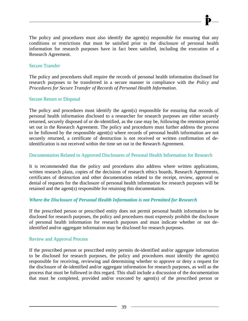The policy and procedures must also identify the agent(s) responsible for ensuring that any conditions or restrictions that must be satisfied prior to the disclosure of personal health information for research purposes have in fact been satisfied, including the execution of a Research Agreement.

### Secure Transfer

The policy and procedures shall require the records of personal health information disclosed for research purposes to be transferred in a secure manner in compliance with the *Policy and Procedures for Secure Transfer of Records of Personal Health Information*.

### Secure Return or Disposal

The policy and procedures must identify the agent(s) responsible for ensuring that records of personal health information disclosed to a researcher for research purposes are either securely returned, securely disposed of or de-identified, as the case may be, following the retention period set out in the Research Agreement. The policy and procedures must further address the process to be followed by the responsible agent(s) where records of personal health information are not securely returned, a certificate of destruction is not received or written confirmation of deidentification is not received within the time set out in the Research Agreement.

### Documentation Related to Approved Disclosures of Personal Health Information for Research

It is recommended that the policy and procedures also address where written applications, written research plans, copies of the decisions of research ethics boards, Research Agreements, certificates of destruction and other documentation related to the receipt, review, approval or denial of requests for the disclosure of personal health information for research purposes will be retained and the agent(s) responsible for retaining this documentation.

### *Where the Disclosure of Personal Health Information is not Permitted for Research*

If the prescribed person or prescribed entity does not permit personal health information to be disclosed for research purposes, the policy and procedures must expressly prohibit the disclosure of personal health information for research purposes and must indicate whether or not deidentified and/or aggregate information may be disclosed for research purposes.

### Review and Approval Process

If the prescribed person or prescribed entity permits de-identified and/or aggregate information to be disclosed for research purposes, the policy and procedures must identify the agent(s) responsible for receiving, reviewing and determining whether to approve or deny a request for the disclosure of de-identified and/or aggregate information for research purposes, as well as the process that must be followed in this regard. This shall include a discussion of the documentation that must be completed, provided and/or executed by agent(s) of the prescribed person or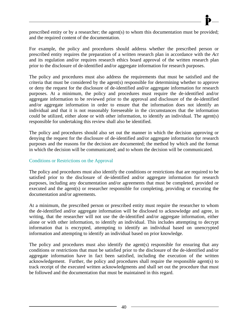prescribed entity or by a researcher; the agent(s) to whom this documentation must be provided; and the required content of the documentation.

For example, the policy and procedures should address whether the prescribed person or prescribed entity requires the preparation of a written research plan in accordance with the *Act*  and its regulation and/or requires research ethics board approval of the written research plan prior to the disclosure of de-identified and/or aggregate information for research purposes.

The policy and procedures must also address the requirements that must be satisfied and the criteria that must be considered by the agent(s) responsible for determining whether to approve or deny the request for the disclosure of de-identified and/or aggregate information for research purposes. At a minimum, the policy and procedures must require the de-identified and/or aggregate information to be reviewed prior to the approval and disclosure of the de-identified and/or aggregate information in order to ensure that the information does not identify an individual and that it is not reasonably foreseeable in the circumstances that the information could be utilized, either alone or with other information, to identify an individual. The agent(s) responsible for undertaking this review shall also be identified.

The policy and procedures should also set out the manner in which the decision approving or denying the request for the disclosure of de-identified and/or aggregate information for research purposes and the reasons for the decision are documented; the method by which and the format in which the decision will be communicated; and to whom the decision will be communicated.

### Conditions or Restrictions on the Approval

The policy and procedures must also identify the conditions or restrictions that are required to be satisfied prior to the disclosure of de-identified and/or aggregate information for research purposes, including any documentation and/or agreements that must be completed, provided or executed and the agent(s) or researcher responsible for completing, providing or executing the documentation and/or agreements.

At a minimum, the prescribed person or prescribed entity must require the researcher to whom the de-identified and/or aggregate information will be disclosed to acknowledge and agree, in writing, that the researcher will not use the de-identified and/or aggregate information, either alone or with other information, to identify an individual. This includes attempting to decrypt information that is encrypted, attempting to identify an individual based on unencrypted information and attempting to identify an individual based on prior knowledge.

The policy and procedures must also identify the agent(s) responsible for ensuring that any conditions or restrictions that must be satisfied prior to the disclosure of the de-identified and/or aggregate information have in fact been satisfied, including the execution of the written acknowledgement. Further, the policy and procedures shall require the responsible agent(s) to track receipt of the executed written acknowledgments and shall set out the procedure that must be followed and the documentation that must be maintained in this regard.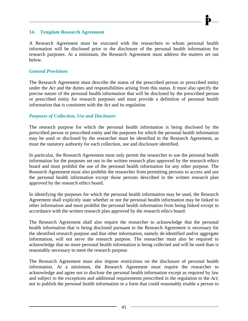#### **14. Template Research Agreement**

A Research Agreement must be executed with the researchers to whom personal health information will be disclosed prior to the disclosure of the personal health information for research purposes. At a minimum, the Research Agreement must address the matters set out below.

#### *General Provisions*

The Research Agreement must describe the status of the prescribed person or prescribed entity under the *Act* and the duties and responsibilities arising from this status. It must also specify the precise nature of the personal health information that will be disclosed by the prescribed person or prescribed entity for research purposes and must provide a definition of personal health information that is consistent with the *Act* and its regulation.

#### *Purposes of Collection, Use and Disclosure*

The research purpose for which the personal health information is being disclosed by the prescribed person or prescribed entity and the purposes for which the personal health information may be used or disclosed by the researcher must be identified in the Research Agreement, as must the statutory authority for each collection, use and disclosure identified.

In particular, the Research Agreement must only permit the researcher to use the personal health information for the purposes set out in the written research plan approved by the research ethics board and must prohibit the use of the personal health information for any other purpose. The Research Agreement must also prohibit the researcher from permitting persons to access and use the personal health information except those persons described in the written research plan approved by the research ethics board.

In identifying the purposes for which the personal health information may be used, the Research Agreement shall explicitly state whether or not the personal health information may be linked to other information and must prohibit the personal health information from being linked except in accordance with the written research plan approved by the research ethics board.

The Research Agreement shall also require the researcher to acknowledge that the personal health information that is being disclosed pursuant to the Research Agreement is necessary for the identified research purpose and that other information, namely de-identified and/or aggregate information, will not serve the research purpose. The researcher must also be required to acknowledge that no more personal health information is being collected and will be used than is reasonably necessary to meet the research purpose.

The Research Agreement must also impose restrictions on the disclosure of personal health information. At a minimum, the Research Agreement must require the researcher to acknowledge and agree not to disclose the personal health information except as required by law and subject to the exceptions and additional requirements prescribed in the regulation to the *Act*; not to publish the personal health information in a form that could reasonably enable a person to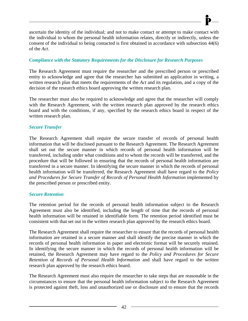ascertain the identity of the individual; and not to make contact or attempt to make contact with the individual to whom the personal health information relates, directly or indirectly, unless the consent of the individual to being contacted is first obtained in accordance with subsection 44(6) of the *Act*.

### *Compliance with the Statutory Requirements for the Disclosure for Research Purposes*

The Research Agreement must require the researcher and the prescribed person or prescribed entity to acknowledge and agree that the researcher has submitted an application in writing, a written research plan that meets the requirements of the *Act* and its regulation, and a copy of the decision of the research ethics board approving the written research plan.

The researcher must also be required to acknowledge and agree that the researcher will comply with the Research Agreement, with the written research plan approved by the research ethics board and with the conditions, if any, specified by the research ethics board in respect of the written research plan.

### *Secure Transfer*

The Research Agreement shall require the secure transfer of records of personal health information that will be disclosed pursuant to the Research Agreement. The Research Agreement shall set out the secure manner in which records of personal health information will be transferred, including under what conditions and to whom the records will be transferred, and the procedure that will be followed in ensuring that the records of personal health information are transferred in a secure manner. In identifying the secure manner in which the records of personal health information will be transferred, the Research Agreement shall have regard to the *Policy*  and Procedures for Secure Transfer of Records of Personal Health Information implemented by the prescribed person or prescribed entity.

#### *Secure Retention*

The retention period for the records of personal health information subject to the Research Agreement must also be identified, including the length of time that the records of personal health information will be retained in identifiable form. The retention period identified must be consistent with that set out in the written research plan approved by the research ethics board.

The Research Agreement shall require the researcher to ensure that the records of personal health information are retained in a secure manner and shall identify the precise manner in which the records of personal health information in paper and electronic format will be securely retained. In identifying the secure manner in which the records of personal health information will be retained, the Research Agreement may have regard to the *Policy and Procedures for Secure Retention of Records of Personal Health Information* and shall have regard to the written research plan approved by the research ethics board.

The Research Agreement must also require the researcher to take steps that are reasonable in the circumstances to ensure that the personal health information subject to the Research Agreement is protected against theft, loss and unauthorized use or disclosure and to ensure that the records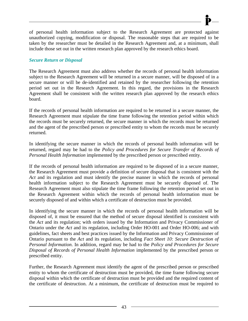of personal health information subject to the Research Agreement are protected against unauthorized copying, modification or disposal. The reasonable steps that are required to be taken by the researcher must be detailed in the Research Agreement and, at a minimum, shall include those set out in the written research plan approved by the research ethics board.

## *Secure Return or Disposal*

The Research Agreement must also address whether the records of personal health information subject to the Research Agreement will be returned in a secure manner, will be disposed of in a secure manner or will be de-identified and retained by the researcher following the retention period set out in the Research Agreement. In this regard, the provisions in the Research Agreement shall be consistent with the written research plan approved by the research ethics board.

If the records of personal health information are required to be returned in a secure manner, the Research Agreement must stipulate the time frame following the retention period within which the records must be securely returned, the secure manner in which the records must be returned and the agent of the prescribed person or prescribed entity to whom the records must be securely returned.

In identifying the secure manner in which the records of personal health information will be returned, regard may be had to the *Policy and Procedures for Secure Transfer of Records of Personal Health Information* implemented by the prescribed person or prescribed entity.

If the records of personal health information are required to be disposed of in a secure manner, the Research Agreement must provide a definition of secure disposal that is consistent with the *Act* and its regulation and must identify the precise manner in which the records of personal health information subject to the Research Agreement must be securely disposed of. The Research Agreement must also stipulate the time frame following the retention period set out in the Research Agreement within which the records of personal health information must be securely disposed of and within which a certificate of destruction must be provided.

In identifying the secure manner in which the records of personal health information will be disposed of, it must be ensured that the method of secure disposal identified is consistent with the *Act* and its regulation; with orders issued by the Information and Privacy Commissioner of Ontario under the *Act* and its regulation, including Order HO-001 and Order HO-006; and with guidelines, fact sheets and best practices issued by the Information and Privacy Commissioner of Ontario pursuant to the *Act* and its regulation, including *Fact Sheet 10: Secure Destruction of Personal Information*. In addition, regard may be had to the *Policy and Procedures for Secure Disposal of Records of Personal Health Information* implemented by the prescribed person or prescribed entity.

Further, the Research Agreement must identify the agent of the prescribed person or prescribed entity to whom the certificate of destruction must be provided, the time frame following secure disposal within which the certificate of destruction must be provided and the required content of the certificate of destruction. At a minimum, the certificate of destruction must be required to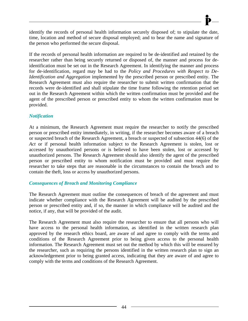identify the records of personal health information securely disposed of; to stipulate the date, time, location and method of secure disposal employed; and to bear the name and signature of the person who performed the secure disposal.

If the records of personal health information are required to be de-identified and retained by the researcher rather than being securely returned or disposed of, the manner and process for deidentification must be set out in the Research Agreement. In identifying the manner and process for de-identification, regard may be had to the *Policy and Procedures with Respect to De-Identification and Aggregation* implemented by the prescribed person or prescribed entity. The Research Agreement must also require the researcher to submit written confirmation that the records were de-identified and shall stipulate the time frame following the retention period set out in the Research Agreement within which the written confirmation must be provided and the agent of the prescribed person or prescribed entity to whom the written confirmation must be provided.

### *Notification*

At a minimum, the Research Agreement must require the researcher to notify the prescribed person or prescribed entity immediately, in writing, if the researcher becomes aware of a breach or suspected breach of the Research Agreement, a breach or suspected of subsection 44(6) of the *Act* or if personal health information subject to the Research Agreement is stolen, lost or accessed by unauthorized persons or is believed to have been stolen, lost or accessed by unauthorized persons. The Research Agreement should also identify the agent of the prescribed person or prescribed entity to whom notification must be provided and must require the researcher to take steps that are reasonable in the circumstances to contain the breach and to contain the theft, loss or access by unauthorized persons.

### *Consequences of Breach and Monitoring Compliance*

The Research Agreement must outline the consequences of breach of the agreement and must indicate whether compliance with the Research Agreement will be audited by the prescribed person or prescribed entity and, if so, the manner in which compliance will be audited and the notice, if any, that will be provided of the audit.

The Research Agreement must also require the researcher to ensure that all persons who will have access to the personal health information, as identified in the written research plan approved by the research ethics board, are aware of and agree to comply with the terms and conditions of the Research Agreement prior to being given access to the personal health information. The Research Agreement must set out the method by which this will be ensured by the researcher, such as requiring the persons identified in the written research plan to sign an acknowledgement prior to being granted access, indicating that they are aware of and agree to comply with the terms and conditions of the Research Agreement.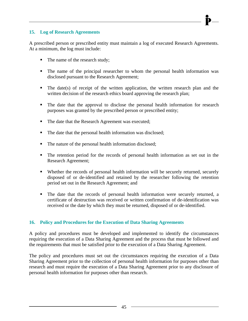### **15. Log of Research Agreements**

A prescribed person or prescribed entity must maintain a log of executed Research Agreements. At a minimum, the log must include:

- The name of the research study;
- The name of the principal researcher to whom the personal health information was disclosed pursuant to the Research Agreement;
- $\blacksquare$  The date(s) of receipt of the written application, the written research plan and the written decision of the research ethics board approving the research plan;
- The date that the approval to disclose the personal health information for research purposes was granted by the prescribed person or prescribed entity;
- The date that the Research Agreement was executed;
- The date that the personal health information was disclosed;
- The nature of the personal health information disclosed;
- The retention period for the records of personal health information as set out in the Research Agreement;
- Whether the records of personal health information will be securely returned, securely disposed of or de-identified and retained by the researcher following the retention period set out in the Research Agreement; and
- The date that the records of personal health information were securely returned, a certificate of destruction was received or written confirmation of de-identification was received or the date by which they must be returned, disposed of or de-identified.

### **16. Policy and Procedures for the Execution of Data Sharing Agreements**

A policy and procedures must be developed and implemented to identify the circumstances requiring the execution of a Data Sharing Agreement and the process that must be followed and the requirements that must be satisfied prior to the execution of a Data Sharing Agreement.

The policy and procedures must set out the circumstances requiring the execution of a Data Sharing Agreement prior to the collection of personal health information for purposes other than research and must require the execution of a Data Sharing Agreement prior to any disclosure of personal health information for purposes other than research.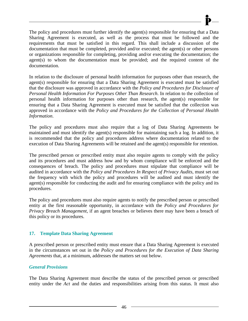The policy and procedures must further identify the agent(s) responsible for ensuring that a Data Sharing Agreement is executed, as well as the process that must be followed and the requirements that must be satisfied in this regard. This shall include a discussion of the documentation that must be completed, provided and/or executed; the agent(s) or other persons or organizations responsible for completing, providing and/or executing the documentation; the agent(s) to whom the documentation must be provided; and the required content of the documentation.

In relation to the disclosure of personal health information for purposes other than research, the agent(s) responsible for ensuring that a Data Sharing Agreement is executed must be satisfied that the disclosure was approved in accordance with the *Policy and Procedures for Disclosure of Personal Health Information For Purposes Other Than Research*. In relation to the collection of personal health information for purposes other than research, the agent(s) responsible for ensuring that a Data Sharing Agreement is executed must be satisfied that the collection was approved in accordance with the *Policy and Procedures for the Collection of Personal Health Information*.

The policy and procedures must also require that a log of Data Sharing Agreements be maintained and must identify the agent(s) responsible for maintaining such a log. In addition, it is recommended that the policy and procedures address where documentation related to the execution of Data Sharing Agreements will be retained and the agent(s) responsible for retention.

The prescribed person or prescribed entity must also require agents to comply with the policy and its procedures and must address how and by whom compliance will be enforced and the consequences of breach. The policy and procedures must stipulate that compliance will be audited in accordance with the *Policy and Procedures In Respect of Privacy Audits*, must set out the frequency with which the policy and procedures will be audited and must identify the agent(s) responsible for conducting the audit and for ensuring compliance with the policy and its procedures.

The policy and procedures must also require agents to notify the prescribed person or prescribed entity at the first reasonable opportunity, in accordance with the *Policy and Procedures for Privacy Breach Management*, if an agent breaches or believes there may have been a breach of this policy or its procedures.

### **17. Template Data Sharing Agreement**

A prescribed person or prescribed entity must ensure that a Data Sharing Agreement is executed in the circumstances set out in the *Policy and Procedures for the Execution of Data Sharing Agreements* that, at a minimum, addresses the matters set out below.

### *General Provisions*

The Data Sharing Agreement must describe the status of the prescribed person or prescribed entity under the *Act* and the duties and responsibilities arising from this status. It must also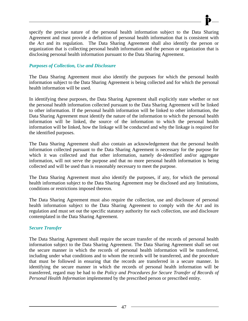specify the precise nature of the personal health information subject to the Data Sharing Agreement and must provide a definition of personal health information that is consistent with the *Act* and its regulation. The Data Sharing Agreement shall also identify the person or organization that is collecting personal health information and the person or organization that is disclosing personal health information pursuant to the Data Sharing Agreement.

## *Purposes of Collection, Use and Disclosure*

The Data Sharing Agreement must also identify the purposes for which the personal health information subject to the Data Sharing Agreement is being collected and for which the personal health information will be used.

In identifying these purposes, the Data Sharing Agreement shall explicitly state whether or not the personal health information collected pursuant to the Data Sharing Agreement will be linked to other information. If the personal health information will be linked to other information, the Data Sharing Agreement must identify the nature of the information to which the personal health information will be linked, the source of the information to which the personal health information will be linked, how the linkage will be conducted and why the linkage is required for the identified purposes.

The Data Sharing Agreement shall also contain an acknowledgement that the personal health information collected pursuant to the Data Sharing Agreement is necessary for the purpose for which it was collected and that other information, namely de-identified and/or aggregate information, will not serve the purpose and that no more personal health information is being collected and will be used than is reasonably necessary to meet the purpose.

The Data Sharing Agreement must also identify the purposes, if any, for which the personal health information subject to the Data Sharing Agreement may be disclosed and any limitations, conditions or restrictions imposed thereon.

The Data Sharing Agreement must also require the collection, use and disclosure of personal health information subject to the Data Sharing Agreement to comply with the *Act* and its regulation and must set out the specific statutory authority for each collection, use and disclosure contemplated in the Data Sharing Agreement.

### *Secure Transfer*

The Data Sharing Agreement shall require the secure transfer of the records of personal health information subject to the Data Sharing Agreement. The Data Sharing Agreement shall set out the secure manner in which the records of personal health information will be transferred, including under what conditions and to whom the records will be transferred, and the procedure that must be followed in ensuring that the records are transferred in a secure manner. In identifying the secure manner in which the records of personal health information will be transferred, regard may be had to the *Policy and Procedures for Secure Transfer of Records of Personal Health Information* implemented by the prescribed person or prescribed entity.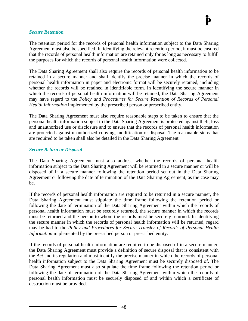#### *Secure Retention*

The retention period for the records of personal health information subject to the Data Sharing Agreement must also be specified. In identifying the relevant retention period, it must be ensured that the records of personal health information are retained only for as long as necessary to fulfill the purposes for which the records of personal health information were collected.

The Data Sharing Agreement shall also require the records of personal health information to be retained in a secure manner and shall identify the precise manner in which the records of personal health information in paper and electronic format will be securely retained, including whether the records will be retained in identifiable form. In identifying the secure manner in which the records of personal health information will be retained, the Data Sharing Agreement may have regard to the *Policy and Procedures for Secure Retention of Records of Personal Health Information* implemented by the prescribed person or prescribed entity.

The Data Sharing Agreement must also require reasonable steps to be taken to ensure that the personal health information subject to the Data Sharing Agreement is protected against theft, loss and unauthorized use or disclosure and to ensure that the records of personal health information are protected against unauthorized copying, modification or disposal. The reasonable steps that are required to be taken shall also be detailed in the Data Sharing Agreement.

#### *Secure Return or Disposal*

The Data Sharing Agreement must also address whether the records of personal health information subject to the Data Sharing Agreement will be returned in a secure manner or will be disposed of in a secure manner following the retention period set out in the Data Sharing Agreement or following the date of termination of the Data Sharing Agreement, as the case may be.

If the records of personal health information are required to be returned in a secure manner, the Data Sharing Agreement must stipulate the time frame following the retention period or following the date of termination of the Data Sharing Agreement within which the records of personal health information must be securely returned, the secure manner in which the records must be returned and the person to whom the records must be securely returned. In identifying the secure manner in which the records of personal health information will be returned, regard may be had to the *Policy and Procedures for Secure Transfer of Records of Personal Health Information* implemented by the prescribed person or prescribed entity.

If the records of personal health information are required to be disposed of in a secure manner, the Data Sharing Agreement must provide a definition of secure disposal that is consistent with the *Act* and its regulation and must identify the precise manner in which the records of personal health information subject to the Data Sharing Agreement must be securely disposed of. The Data Sharing Agreement must also stipulate the time frame following the retention period or following the date of termination of the Data Sharing Agreement within which the records of personal health information must be securely disposed of and within which a certificate of destruction must be provided.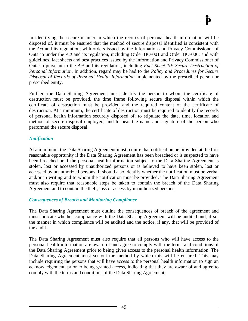In identifying the secure manner in which the records of personal health information will be disposed of, it must be ensured that the method of secure disposal identified is consistent with the *Act* and its regulation; with orders issued by the Information and Privacy Commissioner of Ontario under the *Act* and its regulation, including Order HO-001 and Order HO-006; and with guidelines, fact sheets and best practices issued by the Information and Privacy Commissioner of Ontario pursuant to the *Act* and its regulation, including *Fact Sheet 10: Secure Destruction of Personal Information*. In addition, regard may be had to the *Policy and Procedures for Secure Disposal of Records of Personal Health Information* implemented by the prescribed person or prescribed entity.

Further, the Data Sharing Agreement must identify the person to whom the certificate of destruction must be provided, the time frame following secure disposal within which the certificate of destruction must be provided and the required content of the certificate of destruction. At a minimum, the certificate of destruction must be required to identify the records of personal health information securely disposed of; to stipulate the date, time, location and method of secure disposal employed; and to bear the name and signature of the person who performed the secure disposal.

### *Notification*

At a minimum, the Data Sharing Agreement must require that notification be provided at the first reasonable opportunity if the Data Sharing Agreement has been breached or is suspected to have been breached or if the personal health information subject to the Data Sharing Agreement is stolen, lost or accessed by unauthorized persons or is believed to have been stolen, lost or accessed by unauthorized persons. It should also identify whether the notification must be verbal and/or in writing and to whom the notification must be provided. The Data Sharing Agreement must also require that reasonable steps be taken to contain the breach of the Data Sharing Agreement and to contain the theft, loss or access by unauthorized persons.

### *Consequences of Breach and Monitoring Compliance*

The Data Sharing Agreement must outline the consequences of breach of the agreement and must indicate whether compliance with the Data Sharing Agreement will be audited and, if so, the manner in which compliance will be audited and the notice, if any, that will be provided of the audit.

The Data Sharing Agreement must also require that all persons who will have access to the personal health information are aware of and agree to comply with the terms and conditions of the Data Sharing Agreement prior to being given access to the personal health information. The Data Sharing Agreement must set out the method by which this will be ensured. This may include requiring the persons that will have access to the personal health information to sign an acknowledgement, prior to being granted access, indicating that they are aware of and agree to comply with the terms and conditions of the Data Sharing Agreement.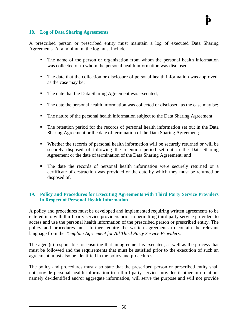### **18. Log of Data Sharing Agreements**

A prescribed person or prescribed entity must maintain a log of executed Data Sharing Agreements. At a minimum, the log must include:

- The name of the person or organization from whom the personal health information was collected or to whom the personal health information was disclosed;
- The date that the collection or disclosure of personal health information was approved, as the case may be;
- The date that the Data Sharing Agreement was executed;
- The date the personal health information was collected or disclosed, as the case may be;
- The nature of the personal health information subject to the Data Sharing Agreement;
- The retention period for the records of personal health information set out in the Data Sharing Agreement or the date of termination of the Data Sharing Agreement;
- Whether the records of personal health information will be securely returned or will be securely disposed of following the retention period set out in the Data Sharing Agreement or the date of termination of the Data Sharing Agreement; and
- The date the records of personal health information were securely returned or a certificate of destruction was provided or the date by which they must be returned or disposed of.

### **19. Policy and Procedures for Executing Agreements with Third Party Service Providers in Respect of Personal Health Information**

A policy and procedures must be developed and implemented requiring written agreements to be entered into with third party service providers prior to permitting third party service providers to access and use the personal health information of the prescribed person or prescribed entity. The policy and procedures must further require the written agreements to contain the relevant language from the *Template Agreement for All Third Party Service Providers*.

The agent(s) responsible for ensuring that an agreement is executed, as well as the process that must be followed and the requirements that must be satisfied prior to the execution of such an agreement, must also be identified in the policy and procedures.

The policy and procedures must also state that the prescribed person or prescribed entity shall not provide personal health information to a third party service provider if other information, namely de-identified and/or aggregate information, will serve the purpose and will not provide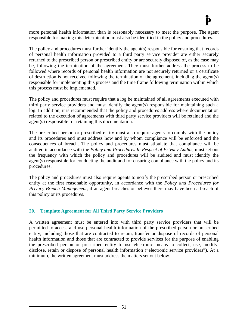more personal health information than is reasonably necessary to meet the purpose. The agent responsible for making this determination must also be identified in the policy and procedures.

The policy and procedures must further identify the agent(s) responsible for ensuring that records of personal health information provided to a third party service provider are either securely returned to the prescribed person or prescribed entity or are securely disposed of, as the case may be, following the termination of the agreement. They must further address the process to be followed where records of personal health information are not securely returned or a certificate of destruction is not received following the termination of the agreement, including the agent(s) responsible for implementing this process and the time frame following termination within which this process must be implemented.

The policy and procedures must require that a log be maintained of all agreements executed with third party service providers and must identify the agent(s) responsible for maintaining such a log. In addition, it is recommended that the policy and procedures address where documentation related to the execution of agreements with third party service providers will be retained and the agent(s) responsible for retaining this documentation.

The prescribed person or prescribed entity must also require agents to comply with the policy and its procedures and must address how and by whom compliance will be enforced and the consequences of breach. The policy and procedures must stipulate that compliance will be audited in accordance with the *Policy and Procedures In Respect of Privacy Audits*, must set out the frequency with which the policy and procedures will be audited and must identify the agent(s) responsible for conducting the audit and for ensuring compliance with the policy and its procedures.

The policy and procedures must also require agents to notify the prescribed person or prescribed entity at the first reasonable opportunity, in accordance with the *Policy and Procedures for Privacy Breach Management*, if an agent breaches or believes there may have been a breach of this policy or its procedures.

### **20. Template Agreement for All Third Party Service Providers**

A written agreement must be entered into with third party service providers that will be permitted to access and use personal health information of the prescribed person or prescribed entity, including those that are contracted to retain, transfer or dispose of records of personal health information and those that are contracted to provide services for the purpose of enabling the prescribed person or prescribed entity to use electronic means to collect, use, modify, disclose, retain or dispose of personal health information ("electronic service providers"). At a minimum, the written agreement must address the matters set out below.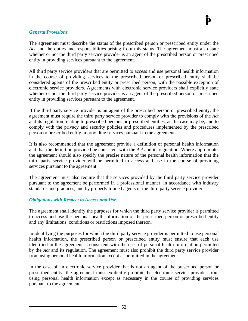#### *General Provisions*

The agreement must describe the status of the prescribed person or prescribed entity under the *Act* and the duties and responsibilities arising from this status. The agreement must also state whether or not the third party service provider is an agent of the prescribed person or prescribed entity in providing services pursuant to the agreement.

All third party service providers that are permitted to access and use personal health information in the course of providing services to the prescribed person or prescribed entity shall be considered agents of the prescribed entity or prescribed person, with the possible exception of electronic service providers. Agreements with electronic service providers shall explicitly state whether or not the third party service provider is an agent of the prescribed person or prescribed entity in providing services pursuant to the agreement.

If the third party service provider is an agent of the prescribed person or prescribed entity, the agreement must require the third party service provider to comply with the provisions of the *Act*  and its regulation relating to prescribed persons or prescribed entities, as the case may be, and to comply with the privacy and security policies and procedures implemented by the prescribed person or prescribed entity in providing services pursuant to the agreement.

It is also recommended that the agreement provide a definition of personal health information and that the definition provided be consistent with the *Act* and its regulation. Where appropriate, the agreement should also specify the precise nature of the personal health information that the third party service provider will be permitted to access and use in the course of providing services pursuant to the agreement.

The agreement must also require that the services provided by the third party service provider pursuant to the agreement be performed in a professional manner, in accordance with industry standards and practices, and by properly trained agents of the third party service provider.

### *Obligations with Respect to Access and Use*

The agreement shall identify the purposes for which the third party service provider is permitted to access and use the personal health information of the prescribed person or prescribed entity and any limitations, conditions or restrictions imposed thereon.

In identifying the purposes for which the third party service provider is permitted to use personal health information, the prescribed person or prescribed entity must ensure that each use identified in the agreement is consistent with the uses of personal health information permitted by the *Act* and its regulation. The agreement must also prohibit the third party service provider from using personal health information except as permitted in the agreement.

In the case of an electronic service provider that is not an agent of the prescribed person or prescribed entity, the agreement must explicitly prohibit the electronic service provider from using personal health information except as necessary in the course of providing services pursuant to the agreement.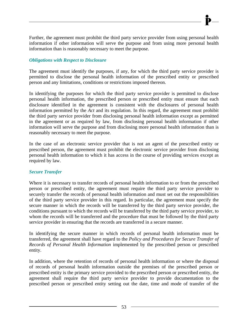Further, the agreement must prohibit the third party service provider from using personal health information if other information will serve the purpose and from using more personal health information than is reasonably necessary to meet the purpose.

### *Obligations with Respect to Disclosure*

The agreement must identify the purposes, if any, for which the third party service provider is permitted to disclose the personal health information of the prescribed entity or prescribed person and any limitations, conditions or restrictions imposed thereon.

In identifying the purposes for which the third party service provider is permitted to disclose personal health information, the prescribed person or prescribed entity must ensure that each disclosure identified in the agreement is consistent with the disclosures of personal health information permitted by the *Act* and its regulation. In this regard, the agreement must prohibit the third party service provider from disclosing personal health information except as permitted in the agreement or as required by law, from disclosing personal health information if other information will serve the purpose and from disclosing more personal health information than is reasonably necessary to meet the purpose.

In the case of an electronic service provider that is not an agent of the prescribed entity or prescribed person, the agreement must prohibit the electronic service provider from disclosing personal health information to which it has access in the course of providing services except as required by law.

### *Secure Transfer*

Where it is necessary to transfer records of personal health information to or from the prescribed person or prescribed entity, the agreement must require the third party service provider to securely transfer the records of personal health information and must set out the responsibilities of the third party service provider in this regard. In particular, the agreement must specify the secure manner in which the records will be transferred by the third party service provider, the conditions pursuant to which the records will be transferred by the third party service provider, to whom the records will be transferred and the procedure that must be followed by the third party service provider in ensuring that the records are transferred in a secure manner.

In identifying the secure manner in which records of personal health information must be transferred, the agreement shall have regard to the *Policy and Procedures for Secure Transfer of Records of Personal Health Information* implemented by the prescribed person or prescribed entity.

In addition, where the retention of records of personal health information or where the disposal of records of personal health information outside the premises of the prescribed person or prescribed entity is the primary service provided to the prescribed person or prescribed entity, the agreement shall require the third party service provider to provide documentation to the prescribed person or prescribed entity setting out the date, time and mode of transfer of the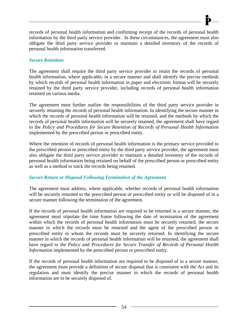records of personal health information and confirming receipt of the records of personal health information by the third party service provider. In these circumstances, the agreement must also obligate the third party service provider to maintain a detailed inventory of the records of personal health information transferred.

### *Secure Retention*

The agreement shall require the third party service provider to retain the records of personal health information, where applicable, in a secure manner and shall identify the precise methods by which records of personal health information in paper and electronic format will be securely retained by the third party service provider, including records of personal health information retained on various media.

The agreement must further outline the responsibilities of the third party service provider in securely retaining the records of personal health information. In identifying the secure manner in which the records of personal health information will be retained, and the methods by which the records of personal health information will be securely retained, the agreement shall have regard to the *Policy and Procedures for Secure Retention of Records of Personal Health Information*  implemented by the prescribed person or prescribed entity.

Where the retention of records of personal health information is the primary service provided to the prescribed person or prescribed entity by the third party service provider, the agreement must also obligate the third party service provider to maintain a detailed inventory of the records of personal health information being retained on behalf of the prescribed person or prescribed entity as well as a method to track the records being retained.

### *Secure Return or Disposal Following Termination of the Agreement*

The agreement must address, where applicable, whether records of personal health information will be securely returned to the prescribed person or prescribed entity or will be disposed of in a secure manner following the termination of the agreement.

If the records of personal health information are required to be returned in a secure manner, the agreement must stipulate the time frame following the date of termination of the agreement within which the records of personal health information must be securely returned, the secure manner in which the records must be returned and the agent of the prescribed person or prescribed entity to whom the records must be securely returned. In identifying the secure manner in which the records of personal health information will be returned, the agreement shall have regard to the *Policy and Procedures for Secure Transfer of Records of Personal Health Information* implemented by the prescribed person or prescribed entity.

If the records of personal health information are required to be disposed of in a secure manner, the agreement must provide a definition of secure disposal that is consistent with the *Act* and its regulation and must identify the precise manner in which the records of personal health information are to be securely disposed of.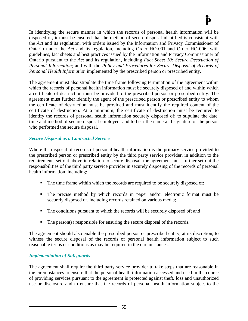In identifying the secure manner in which the records of personal health information will be disposed of, it must be ensured that the method of secure disposal identified is consistent with the *Act* and its regulation; with orders issued by the Information and Privacy Commissioner of Ontario under the *Act* and its regulation, including Order HO-001 and Order HO-006; with guidelines, fact sheets and best practices issued by the Information and Privacy Commissioner of Ontario pursuant to the *Act* and its regulation, including *Fact Sheet 10: Secure Destruction of Personal Information*; and with the *Policy and Procedures for Secure Disposal of Records of Personal Health Information* implemented by the prescribed person or prescribed entity.

The agreement must also stipulate the time frame following termination of the agreement within which the records of personal health information must be securely disposed of and within which a certificate of destruction must be provided to the prescribed person or prescribed entity. The agreement must further identify the agent of the prescribed person or prescribed entity to whom the certificate of destruction must be provided and must identify the required content of the certificate of destruction. At a minimum, the certificate of destruction must be required to identify the records of personal health information securely disposed of; to stipulate the date, time and method of secure disposal employed; and to bear the name and signature of the person who performed the secure disposal.

## *Secure Disposal as a Contracted Service*

Where the disposal of records of personal health information is the primary service provided to the prescribed person or prescribed entity by the third party service provider, in addition to the requirements set out above in relation to secure disposal, the agreement must further set out the responsibilities of the third party service provider in securely disposing of the records of personal health information, including:

- The time frame within which the records are required to be securely disposed of;
- The precise method by which records in paper and/or electronic format must be securely disposed of, including records retained on various media;
- The conditions pursuant to which the records will be securely disposed of; and
- The person(s) responsible for ensuring the secure disposal of the records.

The agreement should also enable the prescribed person or prescribed entity, at its discretion, to witness the secure disposal of the records of personal health information subject to such reasonable terms or conditions as may be required in the circumstances.

### *Implementation of Safeguards*

The agreement shall require the third party service provider to take steps that are reasonable in the circumstances to ensure that the personal health information accessed and used in the course of providing services pursuant to the agreement is protected against theft, loss and unauthorized use or disclosure and to ensure that the records of personal health information subject to the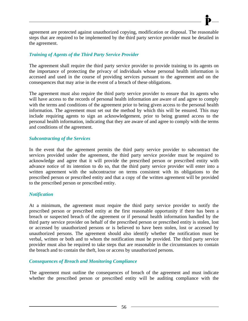agreement are protected against unauthorized copying, modification or disposal. The reasonable steps that are required to be implemented by the third party service provider must be detailed in the agreement.

### *Training of Agents of the Third Party Service Provider*

The agreement shall require the third party service provider to provide training to its agents on the importance of protecting the privacy of individuals whose personal health information is accessed and used in the course of providing services pursuant to the agreement and on the consequences that may arise in the event of a breach of these obligations.

The agreement must also require the third party service provider to ensure that its agents who will have access to the records of personal health information are aware of and agree to comply with the terms and conditions of the agreement prior to being given access to the personal health information. The agreement must set out the method by which this will be ensured. This may include requiring agents to sign an acknowledgement, prior to being granted access to the personal health information, indicating that they are aware of and agree to comply with the terms and conditions of the agreement.

#### *Subcontracting of the Services*

In the event that the agreement permits the third party service provider to subcontract the services provided under the agreement, the third party service provider must be required to acknowledge and agree that it will provide the prescribed person or prescribed entity with advance notice of its intention to do so, that the third party service provider will enter into a written agreement with the subcontractor on terms consistent with its obligations to the prescribed person or prescribed entity and that a copy of the written agreement will be provided to the prescribed person or prescribed entity.

### *Notification*

At a minimum, the agreement must require the third party service provider to notify the prescribed person or prescribed entity at the first reasonable opportunity if there has been a breach or suspected breach of the agreement or if personal health information handled by the third party service provider on behalf of the prescribed person or prescribed entity is stolen, lost or accessed by unauthorized persons or is believed to have been stolen, lost or accessed by unauthorized persons. The agreement should also identify whether the notification must be verbal, written or both and to whom the notification must be provided. The third party service provider must also be required to take steps that are reasonable in the circumstances to contain the breach and to contain the theft, loss or access by unauthorized persons.

### *Consequences of Breach and Monitoring Compliance*

The agreement must outline the consequences of breach of the agreement and must indicate whether the prescribed person or prescribed entity will be auditing compliance with the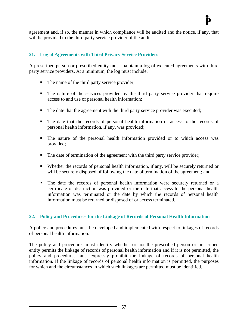agreement and, if so, the manner in which compliance will be audited and the notice, if any, that will be provided to the third party service provider of the audit.

## **21. Log of Agreements with Third Privacy Service Providers**

A prescribed person or prescribed entity must maintain a log of executed agreements with third party service providers. At a minimum, the log must include:

- The name of the third party service provider;
- The nature of the services provided by the third party service provider that require access to and use of personal health information;
- The date that the agreement with the third party service provider was executed;
- The date that the records of personal health information or access to the records of personal health information, if any, was provided;
- The nature of the personal health information provided or to which access was provided;
- The date of termination of the agreement with the third party service provider;
- Whether the records of personal health information, if any, will be securely returned or will be securely disposed of following the date of termination of the agreement; and
- The date the records of personal health information were securely returned or a certificate of destruction was provided or the date that access to the personal health information was terminated or the date by which the records of personal health information must be returned or disposed of or access terminated.

### **22. Policy and Procedures for the Linkage of Records of Personal Health Information**

A policy and procedures must be developed and implemented with respect to linkages of records of personal health information.

The policy and procedures must identify whether or not the prescribed person or prescribed entity permits the linkage of records of personal health information and if it is not permitted, the policy and procedures must expressly prohibit the linkage of records of personal health information. If the linkage of records of personal health information is permitted, the purposes for which and the circumstances in which such linkages are permitted must be identified.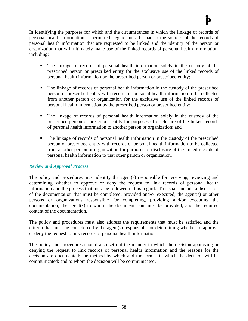In identifying the purposes for which and the circumstances in which the linkage of records of personal health information is permitted, regard must be had to the sources of the records of personal health information that are requested to be linked and the identity of the person or organization that will ultimately make use of the linked records of personal health information, including:

- The linkage of records of personal health information solely in the custody of the prescribed person or prescribed entity for the exclusive use of the linked records of personal health information by the prescribed person or prescribed entity;
- The linkage of records of personal health information in the custody of the prescribed person or prescribed entity with records of personal health information to be collected from another person or organization for the exclusive use of the linked records of personal health information by the prescribed person or prescribed entity;
- The linkage of records of personal health information solely in the custody of the prescribed person or prescribed entity for purposes of disclosure of the linked records of personal health information to another person or organization; and
- The linkage of records of personal health information in the custody of the prescribed person or prescribed entity with records of personal health information to be collected from another person or organization for purposes of disclosure of the linked records of personal health information to that other person or organization.

### *Review and Approval Process*

The policy and procedures must identify the agent(s) responsible for receiving, reviewing and determining whether to approve or deny the request to link records of personal health information and the process that must be followed in this regard. This shall include a discussion of the documentation that must be completed, provided and/or executed; the agent(s) or other persons or organizations responsible for completing, providing and/or executing the documentation; the agent(s) to whom the documentation must be provided; and the required content of the documentation.

The policy and procedures must also address the requirements that must be satisfied and the criteria that must be considered by the agent(s) responsible for determining whether to approve or deny the request to link records of personal health information.

The policy and procedures should also set out the manner in which the decision approving or denying the request to link records of personal health information and the reasons for the decision are documented; the method by which and the format in which the decision will be communicated; and to whom the decision will be communicated.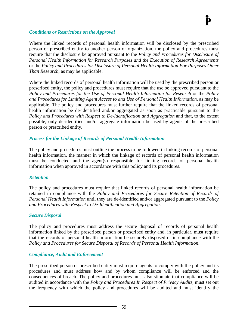#### *Conditions or Restrictions on the Approval*

Where the linked records of personal health information will be disclosed by the prescribed person or prescribed entity to another person or organization, the policy and procedures must require that the disclosure be approved pursuant to the *Policy and Procedures for Disclosure of Personal Health Information for Research Purposes and the Execution of Research Agreements*  or the *Policy and Procedures for Disclosure of Personal Health Information For Purposes Other Than Research*, as may be applicable.

Where the linked records of personal health information will be used by the prescribed person or prescribed entity, the policy and procedures must require that the use be approved pursuant to the *Policy and Procedures for the Use of Personal Health Information for Research* or the *Policy and Procedures for Limiting Agent Access to and Use of Personal Health Information*, as may be applicable. The policy and procedures must further require that the linked records of personal health information be de-identified and/or aggregated as soon as practicable pursuant to the *Policy and Procedures with Respect to De-Identification and Aggregation* and that, to the extent possible, only de-identified and/or aggregate information be used by agents of the prescribed person or prescribed entity.

### *Process for the Linkage of Records of Personal Health Information*

The policy and procedures must outline the process to be followed in linking records of personal health information, the manner in which the linkage of records of personal health information must be conducted and the agent(s) responsible for linking records of personal health information when approved in accordance with this policy and its procedures.

### *Retention*

The policy and procedures must require that linked records of personal health information be retained in compliance with the *Policy and Procedures for Secure Retention of Records of Personal Health Information* until they are de-identified and/or aggregated pursuant to the *Policy and Procedures with Respect to De-Identification and Aggregation*.

### *Secure Disposal*

The policy and procedures must address the secure disposal of records of personal health information linked by the prescribed person or prescribed entity and, in particular, must require that the records of personal health information be securely disposed of in compliance with the *Policy and Procedures for Secure Disposal of Records of Personal Health Information*.

### *Compliance, Audit and Enforcement*

The prescribed person or prescribed entity must require agents to comply with the policy and its procedures and must address how and by whom compliance will be enforced and the consequences of breach. The policy and procedures must also stipulate that compliance will be audited in accordance with the *Policy and Procedures In Respect of Privacy Audits*, must set out the frequency with which the policy and procedures will be audited and must identify the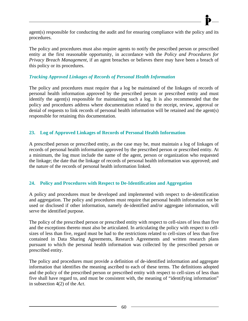agent(s) responsible for conducting the audit and for ensuring compliance with the policy and its procedures.

The policy and procedures must also require agents to notify the prescribed person or prescribed entity at the first reasonable opportunity, in accordance with the *Policy and Procedures for Privacy Breach Management*, if an agent breaches or believes there may have been a breach of this policy or its procedures.

### *Tracking Approved Linkages of Records of Personal Health Information*

The policy and procedures must require that a log be maintained of the linkages of records of personal health information approved by the prescribed person or prescribed entity and must identify the agent(s) responsible for maintaining such a log. It is also recommended that the policy and procedures address where documentation related to the receipt, review, approval or denial of requests to link records of personal health information will be retained and the agent(s) responsible for retaining this documentation.

### **23. Log of Approved Linkages of Records of Personal Health Information**

A prescribed person or prescribed entity, as the case may be, must maintain a log of linkages of records of personal health information approved by the prescribed person or prescribed entity. At a minimum, the log must include the name of the agent, person or organization who requested the linkage; the date that the linkage of records of personal health information was approved; and the nature of the records of personal health information linked.

### **24. Policy and Procedures with Respect to De-Identification and Aggregation**

A policy and procedures must be developed and implemented with respect to de-identification and aggregation. The policy and procedures must require that personal health information not be used or disclosed if other information, namely de-identified and/or aggregate information, will serve the identified purpose.

The policy of the prescribed person or prescribed entity with respect to cell-sizes of less than five and the exceptions thereto must also be articulated. In articulating the policy with respect to cellsizes of less than five, regard must be had to the restrictions related to cell-sizes of less than five contained in Data Sharing Agreements, Research Agreements and written research plans pursuant to which the personal health information was collected by the prescribed person or prescribed entity.

The policy and procedures must provide a definition of de-identified information and aggregate information that identifies the meaning ascribed to each of these terms. The definitions adopted and the policy of the prescribed person or prescribed entity with respect to cell-sizes of less than five shall have regard to, and must be consistent with, the meaning of "identifying information" in subsection 4(2) of the *Act*.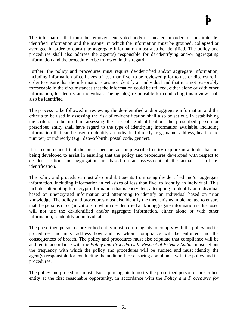The information that must be removed, encrypted and/or truncated in order to constitute deidentified information and the manner in which the information must be grouped, collapsed or averaged in order to constitute aggregate information must also be identified. The policy and procedures shall also address the agent(s) responsible for de-identifying and/or aggregating information and the procedure to be followed in this regard.

Further, the policy and procedures must require de-identified and/or aggregate information, including information of cell-sizes of less than five, to be reviewed prior to use or disclosure in order to ensure that the information does not identify an individual and that it is not reasonably foreseeable in the circumstances that the information could be utilized, either alone or with other information, to identify an individual. The agent(s) responsible for conducting this review shall also be identified.

The process to be followed in reviewing the de-identified and/or aggregate information and the criteria to be used in assessing the risk of re-identification shall also be set out. In establishing the criteria to be used in assessing the risk of re-identification, the prescribed person or prescribed entity shall have regard to the type of identifying information available, including information that can be used to identify an individual directly (e.g., name, address, health card number) or indirectly (e.g., date-of-birth, postal code, gender).

It is recommended that the prescribed person or prescribed entity explore new tools that are being developed to assist in ensuring that the policy and procedures developed with respect to de-identification and aggregation are based on an assessment of the actual risk of reidentification.

The policy and procedures must also prohibit agents from using de-identified and/or aggregate information, including information in cell-sizes of less than five, to identify an individual. This includes attempting to decrypt information that is encrypted, attempting to identify an individual based on unencrypted information and attempting to identify an individual based on prior knowledge. The policy and procedures must also identify the mechanisms implemented to ensure that the persons or organizations to whom de-identified and/or aggregate information is disclosed will not use the de-identified and/or aggregate information, either alone or with other information, to identify an individual.

The prescribed person or prescribed entity must require agents to comply with the policy and its procedures and must address how and by whom compliance will be enforced and the consequences of breach. The policy and procedures must also stipulate that compliance will be audited in accordance with the *Policy and Procedures In Respect of Privacy Audits*, must set out the frequency with which the policy and procedures will be audited and must identify the agent(s) responsible for conducting the audit and for ensuring compliance with the policy and its procedures.

The policy and procedures must also require agents to notify the prescribed person or prescribed entity at the first reasonable opportunity, in accordance with the *Policy and Procedures for*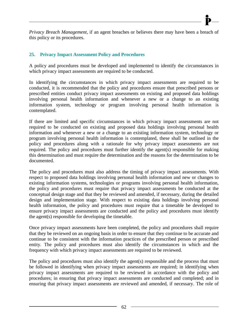*Privacy Breach Management*, if an agent breaches or believes there may have been a breach of this policy or its procedures.

### **25. Privacy Impact Assessment Policy and Procedures**

A policy and procedures must be developed and implemented to identify the circumstances in which privacy impact assessments are required to be conducted.

In identifying the circumstances in which privacy impact assessments are required to be conducted, it is recommended that the policy and procedures ensure that prescribed persons or prescribed entities conduct privacy impact assessments on existing and proposed data holdings involving personal health information and whenever a new or a change to an existing information system, technology or program involving personal health information is contemplated.

If there are limited and specific circumstances in which privacy impact assessments are not required to be conducted on existing and proposed data holdings involving personal health information and whenever a new or a change to an existing information system, technology or program involving personal health information is contemplated, these shall be outlined in the policy and procedures along with a rationale for why privacy impact assessments are not required. The policy and procedures must further identify the agent(s) responsible for making this determination and must require the determination and the reasons for the determination to be documented.

The policy and procedures must also address the timing of privacy impact assessments. With respect to proposed data holdings involving personal health information and new or changes to existing information systems, technologies or programs involving personal health information, the policy and procedures must require that privacy impact assessments be conducted at the conceptual design stage and that they be reviewed and amended, if necessary, during the detailed design and implementation stage. With respect to existing data holdings involving personal health information, the policy and procedures must require that a timetable be developed to ensure privacy impact assessments are conducted and the policy and procedures must identify the agent(s) responsible for developing the timetable.

Once privacy impact assessments have been completed, the policy and procedures shall require that they be reviewed on an ongoing basis in order to ensure that they continue to be accurate and continue to be consistent with the information practices of the prescribed person or prescribed entity. The policy and procedures must also identify the circumstances in which and the frequency with which privacy impact assessments are required to be reviewed.

The policy and procedures must also identify the agent(s) responsible and the process that must be followed in identifying when privacy impact assessments are required; in identifying when privacy impact assessments are required to be reviewed in accordance with the policy and procedures; in ensuring that privacy impact assessments are conducted and completed; and in ensuring that privacy impact assessments are reviewed and amended, if necessary. The role of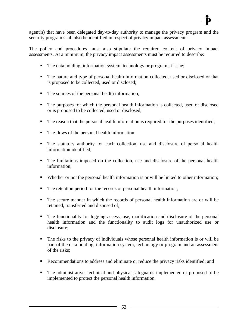

agent(s) that have been delegated day-to-day authority to manage the privacy program and the security program shall also be identified in respect of privacy impact assessments.

The policy and procedures must also stipulate the required content of privacy impact assessments. At a minimum, the privacy impact assessments must be required to describe:

- The data holding, information system, technology or program at issue;
- The nature and type of personal health information collected, used or disclosed or that is proposed to be collected, used or disclosed;
- The sources of the personal health information;
- The purposes for which the personal health information is collected, used or disclosed or is proposed to be collected, used or disclosed;
- The reason that the personal health information is required for the purposes identified;
- The flows of the personal health information;
- The statutory authority for each collection, use and disclosure of personal health information identified;
- The limitations imposed on the collection, use and disclosure of the personal health information;
- Whether or not the personal health information is or will be linked to other information;
- The retention period for the records of personal health information;
- The secure manner in which the records of personal health information are or will be retained, transferred and disposed of;
- The functionality for logging access, use, modification and disclosure of the personal health information and the functionality to audit logs for unauthorized use or disclosure;
- The risks to the privacy of individuals whose personal health information is or will be part of the data holding, information system, technology or program and an assessment of the risks;
- Recommendations to address and eliminate or reduce the privacy risks identified; and
- The administrative, technical and physical safeguards implemented or proposed to be implemented to protect the personal health information.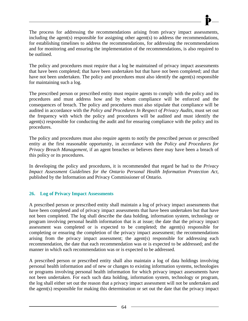The process for addressing the recommendations arising from privacy impact assessments, including the agent(s) responsible for assigning other agent(s) to address the recommendations, for establishing timelines to address the recommendations, for addressing the recommendations and for monitoring and ensuring the implementation of the recommendations, is also required to be outlined.

The policy and procedures must require that a log be maintained of privacy impact assessments that have been completed; that have been undertaken but that have not been completed; and that have not been undertaken. The policy and procedures must also identify the agent(s) responsible for maintaining such a log.

The prescribed person or prescribed entity must require agents to comply with the policy and its procedures and must address how and by whom compliance will be enforced and the consequences of breach. The policy and procedures must also stipulate that compliance will be audited in accordance with the *Policy and Procedures In Respect of Privacy Audits*, must set out the frequency with which the policy and procedures will be audited and must identify the agent(s) responsible for conducting the audit and for ensuring compliance with the policy and its procedures.

The policy and procedures must also require agents to notify the prescribed person or prescribed entity at the first reasonable opportunity, in accordance with the *Policy and Procedures for Privacy Breach Management*, if an agent breaches or believes there may have been a breach of this policy or its procedures.

In developing the policy and procedures, it is recommended that regard be had to the *Privacy Impact Assessment Guidelines for the Ontario Personal Health Information Protection Act*, published by the Information and Privacy Commissioner of Ontario.

### **26. Log of Privacy Impact Assessments**

A prescribed person or prescribed entity shall maintain a log of privacy impact assessments that have been completed and of privacy impact assessments that have been undertaken but that have not been completed. The log shall describe the data holding, information system, technology or program involving personal health information that is at issue; the date that the privacy impact assessment was completed or is expected to be completed; the agent(s) responsible for completing or ensuring the completion of the privacy impact assessment; the recommendations arising from the privacy impact assessment; the agent(s) responsible for addressing each recommendation, the date that each recommendation was or is expected to be addressed; and the manner in which each recommendation was or is expected to be addressed.

A prescribed person or prescribed entity shall also maintain a log of data holdings involving personal health information and of new or changes to existing information systems, technologies or programs involving personal health information for which privacy impact assessments have not been undertaken. For each such data holding, information system, technology or program, the log shall either set out the reason that a privacy impact assessment will not be undertaken and the agent(s) responsible for making this determination or set out the date that the privacy impact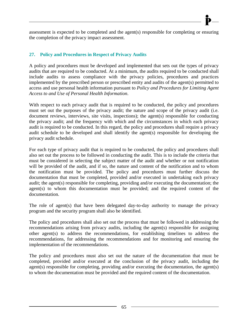# **27. Policy and Procedures in Respect of Privacy Audits**

A policy and procedures must be developed and implemented that sets out the types of privacy audits that are required to be conducted. At a minimum, the audits required to be conducted shall include audits to assess compliance with the privacy policies, procedures and practices implemented by the prescribed person or prescribed entity and audits of the agent(s) permitted to access and use personal health information pursuant to *Policy and Procedures for Limiting Agent Access to and Use of Personal Health Information*.

With respect to each privacy audit that is required to be conducted, the policy and procedures must set out the purposes of the privacy audit; the nature and scope of the privacy audit (i.e. document reviews, interviews, site visits, inspections); the agent(s) responsible for conducting the privacy audit; and the frequency with which and the circumstances in which each privacy audit is required to be conducted. In this regard, the policy and procedures shall require a privacy audit schedule to be developed and shall identify the agent(s) responsible for developing the privacy audit schedule.

For each type of privacy audit that is required to be conducted, the policy and procedures shall also set out the process to be followed in conducting the audit. This is to include the criteria that must be considered in selecting the subject matter of the audit and whether or not notification will be provided of the audit, and if so, the nature and content of the notification and to whom the notification must be provided. The policy and procedures must further discuss the documentation that must be completed, provided and/or executed in undertaking each privacy audit; the agent(s) responsible for completing, providing and/or executing the documentation; the agent(s) to whom this documentation must be provided; and the required content of the documentation.

The role of agent(s) that have been delegated day-to-day authority to manage the privacy program and the security program shall also be identified.

The policy and procedures shall also set out the process that must be followed in addressing the recommendations arising from privacy audits, including the agent(s) responsible for assigning other agent(s) to address the recommendations, for establishing timelines to address the recommendations, for addressing the recommendations and for monitoring and ensuring the implementation of the recommendations.

The policy and procedures must also set out the nature of the documentation that must be completed, provided and/or executed at the conclusion of the privacy audit, including the agent(s) responsible for completing, providing and/or executing the documentation, the agent(s) to whom the documentation must be provided and the required content of the documentation.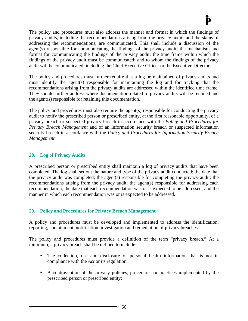The policy and procedures must also address the manner and format in which the findings of privacy audits, including the recommendations arising from the privacy audits and the status of addressing the recommendations, are communicated. This shall include a discussion of the agent(s) responsible for communicating the findings of the privacy audit; the mechanism and format for communicating the findings of the privacy audit; the time frame within which the findings of the privacy audit must be communicated; and to whom the findings of the privacy audit will be communicated, including the Chief Executive Officer or the Executive Director.

The policy and procedures must further require that a log be maintained of privacy audits and must identify the agent(s) responsible for maintaining the log and for tracking that the recommendations arising from the privacy audits are addressed within the identified time frame. They should further address where documentation related to privacy audits will be retained and the agent(s) responsible for retaining this documentation.

The policy and procedures must also require the agent(s) responsible for conducting the privacy audit to notify the prescribed person or prescribed entity, at the first reasonable opportunity, of a privacy breach or suspected privacy breach in accordance with the *Policy and Procedures for Privacy Breach Management* and of an information security breach or suspected information security breach in accordance with the *Policy and Procedures for Information Security Breach Management*.

## **28. Log of Privacy Audits**

A prescribed person or prescribed entity shall maintain a log of privacy audits that have been completed. The log shall set out the nature and type of the privacy audit conducted; the date that the privacy audit was completed; the agent(s) responsible for completing the privacy audit; the recommendations arising from the privacy audit; the agent(s) responsible for addressing each recommendation; the date that each recommendation was or is expected to be addressed; and the manner in which each recommendation was or is expected to be addressed.

### **29. Policy and Procedures for Privacy Breach Management**

A policy and procedures must be developed and implemented to address the identification, reporting, containment, notification, investigation and remediation of privacy breaches.

The policy and procedures must provide a definition of the term "privacy breach." At a minimum, a privacy breach shall be defined to include:

- The collection, use and disclosure of personal health information that is not in compliance with the *Act* or its regulation;
- A contravention of the privacy policies, procedures or practices implemented by the prescribed person or prescribed entity;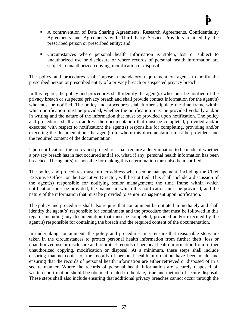- A contravention of Data Sharing Agreements, Research Agreements, Confidentiality Agreements and Agreements with Third Party Service Providers retained by the prescribed person or prescribed entity; and
- Circumstances where personal health information is stolen, lost or subject to unauthorized use or disclosure or where records of personal health information are subject to unauthorized copying, modification or disposal.

The policy and procedures shall impose a mandatory requirement on agents to notify the prescribed person or prescribed entity of a privacy breach or suspected privacy breach.

In this regard, the policy and procedures shall identify the agent(s) who must be notified of the privacy breach or suspected privacy breach and shall provide contact information for the agent(s) who must be notified. The policy and procedures shall further stipulate the time frame within which notification must be provided, whether the notification must be provided verbally and/or in writing and the nature of the information that must be provided upon notification. The policy and procedures shall also address the documentation that must be completed, provided and/or executed with respect to notification; the agent(s) responsible for completing, providing and/or executing the documentation; the agent(s) to whom this documentation must be provided; and the required content of the documentation.

Upon notification, the policy and procedures shall require a determination to be made of whether a privacy breach has in fact occurred and if so, what, if any, personal health information has been breached. The agent(s) responsible for making this determination must also be identified.

The policy and procedures must further address when senior management, including the Chief Executive Officer or the Executive Director, will be notified. This shall include a discussion of the agent(s) responsible for notifying senior management; the time frame within which notification must be provided; the manner in which this notification must be provided; and the nature of the information that must be provided to senior management upon notification.

The policy and procedures shall also require that containment be initiated immediately and shall identify the agent(s) responsible for containment and the procedure that must be followed in this regard, including any documentation that must be completed, provided and/or executed by the agent(s) responsible for containing the breach and the required content of the documentation.

In undertaking containment, the policy and procedures must ensure that reasonable steps are taken in the circumstances to protect personal health information from further theft, loss or unauthorized use or disclosure and to protect records of personal health information from further unauthorized copying, modification or disposal. At a minimum, these steps shall include ensuring that no copies of the records of personal health information have been made and ensuring that the records of personal health information are either retrieved or disposed of in a secure manner. Where the records of personal health information are securely disposed of, written confirmation should be obtained related to the date, time and method of secure disposal. These steps shall also include ensuring that additional privacy breaches cannot occur through the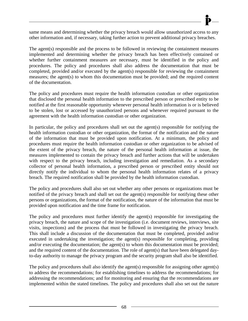same means and determining whether the privacy breach would allow unauthorized access to any other information and, if necessary, taking further action to prevent additional privacy breaches.

The agent(s) responsible and the process to be followed in reviewing the containment measures implemented and determining whether the privacy breach has been effectively contained or whether further containment measures are necessary, must be identified in the policy and procedures. The policy and procedures shall also address the documentation that must be completed, provided and/or executed by the agent(s) responsible for reviewing the containment measures; the agent(s) to whom this documentation must be provided; and the required content of the documentation.

The policy and procedures must require the health information custodian or other organization that disclosed the personal health information to the prescribed person or prescribed entity to be notified at the first reasonable opportunity whenever personal health information is or is believed to be stolen, lost or accessed by unauthorized persons and whenever required pursuant to the agreement with the health information custodian or other organization.

In particular, the policy and procedures shall set out the agent(s) responsible for notifying the health information custodian or other organization, the format of the notification and the nature of the information that must be provided upon notification. At a minimum, the policy and procedures must require the health information custodian or other organization to be advised of the extent of the privacy breach, the nature of the personal health information at issue, the measures implemented to contain the privacy breach and further actions that will be undertaken with respect to the privacy breach, including investigation and remediation. As a secondary collector of personal health information, a prescribed person or prescribed entity should not directly notify the individual to whom the personal health information relates of a privacy breach. The required notification shall be provided by the health information custodian.

The policy and procedures shall also set out whether any other persons or organizations must be notified of the privacy breach and shall set out the agent(s) responsible for notifying these other persons or organizations, the format of the notification, the nature of the information that must be provided upon notification and the time frame for notification.

The policy and procedures must further identify the agent(s) responsible for investigating the privacy breach, the nature and scope of the investigation (i.e. document reviews, interviews, site visits, inspections) and the process that must be followed in investigating the privacy breach. This shall include a discussion of the documentation that must be completed, provided and/or executed in undertaking the investigation; the agent(s) responsible for completing, providing and/or executing the documentation; the agent(s) to whom this documentation must be provided; and the required content of the documentation. The role of agent(s) that have been delegated dayto-day authority to manage the privacy program and the security program shall also be identified.

The policy and procedures shall also identify the agent(s) responsible for assigning other agent(s) to address the recommendations; for establishing timelines to address the recommendations; for addressing the recommendations; and for monitoring and ensuring that the recommendations are implemented within the stated timelines. The policy and procedures shall also set out the nature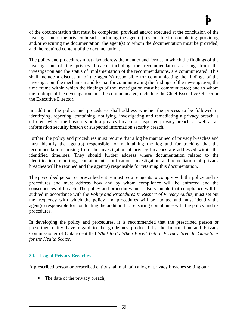of the documentation that must be completed, provided and/or executed at the conclusion of the investigation of the privacy breach, including the agent(s) responsible for completing, providing and/or executing the documentation; the agent(s) to whom the documentation must be provided; and the required content of the documentation.

The policy and procedures must also address the manner and format in which the findings of the investigation of the privacy breach, including the recommendations arising from the investigation and the status of implementation of the recommendations, are communicated. This shall include a discussion of the agent(s) responsible for communicating the findings of the investigation; the mechanism and format for communicating the findings of the investigation; the time frame within which the findings of the investigation must be communicated; and to whom the findings of the investigation must be communicated, including the Chief Executive Officer or the Executive Director.

In addition, the policy and procedures shall address whether the process to be followed in identifying, reporting, containing, notifying, investigating and remediating a privacy breach is different where the breach is both a privacy breach or suspected privacy breach, as well as an information security breach or suspected information security breach.

Further, the policy and procedures must require that a log be maintained of privacy breaches and must identify the agent(s) responsible for maintaining the log and for tracking that the recommendations arising from the investigation of privacy breaches are addressed within the identified timelines. They should further address where documentation related to the identification, reporting, containment, notification, investigation and remediation of privacy breaches will be retained and the agent(s) responsible for retaining this documentation.

The prescribed person or prescribed entity must require agents to comply with the policy and its procedures and must address how and by whom compliance will be enforced and the consequences of breach. The policy and procedures must also stipulate that compliance will be audited in accordance with the *Policy and Procedures In Respect of Privacy Audits*, must set out the frequency with which the policy and procedures will be audited and must identify the agent(s) responsible for conducting the audit and for ensuring compliance with the policy and its procedures.

In developing the policy and procedures, it is recommended that the prescribed person or prescribed entity have regard to the guidelines produced by the Information and Privacy Commissioner of Ontario entitled *What to do When Faced With a Privacy Breach: Guidelines for the Health Sector*.

## **30. Log of Privacy Breaches**

A prescribed person or prescribed entity shall maintain a log of privacy breaches setting out:

• The date of the privacy breach;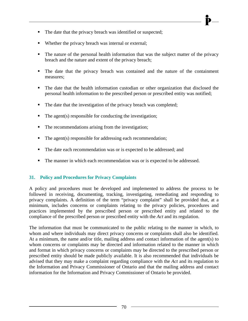- The date that the privacy breach was identified or suspected;
- Whether the privacy breach was internal or external;
- The nature of the personal health information that was the subject matter of the privacy breach and the nature and extent of the privacy breach;
- The date that the privacy breach was contained and the nature of the containment measures;
- The date that the health information custodian or other organization that disclosed the personal health information to the prescribed person or prescribed entity was notified;
- The date that the investigation of the privacy breach was completed;
- $\blacksquare$  The agent(s) responsible for conducting the investigation;
- The recommendations arising from the investigation;
- $\blacksquare$  The agent(s) responsible for addressing each recommendation;
- The date each recommendation was or is expected to be addressed; and
- The manner in which each recommendation was or is expected to be addressed.

## **31. Policy and Procedures for Privacy Complaints**

A policy and procedures must be developed and implemented to address the process to be followed in receiving, documenting, tracking, investigating, remediating and responding to privacy complaints. A definition of the term "privacy complaint" shall be provided that, at a minimum, includes concerns or complaints relating to the privacy policies, procedures and practices implemented by the prescribed person or prescribed entity and related to the compliance of the prescribed person or prescribed entity with the *Act* and its regulation.

The information that must be communicated to the public relating to the manner in which, to whom and where individuals may direct privacy concerns or complaints shall also be identified. At a minimum, the name and/or title, mailing address and contact information of the agent(s) to whom concerns or complaints may be directed and information related to the manner in which and format in which privacy concerns or complaints may be directed to the prescribed person or prescribed entity should be made publicly available. It is also recommended that individuals be advised that they may make a complaint regarding compliance with the *Act* and its regulation to the Information and Privacy Commissioner of Ontario and that the mailing address and contact information for the Information and Privacy Commissioner of Ontario be provided.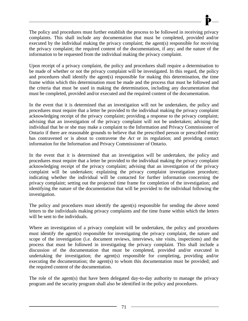The policy and procedures must further establish the process to be followed in receiving privacy complaints. This shall include any documentation that must be completed, provided and/or executed by the individual making the privacy complaint; the agent(s) responsible for receiving the privacy complaint; the required content of the documentation, if any; and the nature of the information to be requested from the individual making the privacy complaint.

Upon receipt of a privacy complaint, the policy and procedures shall require a determination to be made of whether or not the privacy complaint will be investigated. In this regard, the policy and procedures shall identify the agent(s) responsible for making this determination, the time frame within which this determination must be made and the process that must be followed and the criteria that must be used in making the determination, including any documentation that must be completed, provided and/or executed and the required content of the documentation.

In the event that it is determined that an investigation will not be undertaken, the policy and procedures must require that a letter be provided to the individual making the privacy complaint acknowledging receipt of the privacy complaint; providing a response to the privacy complaint; advising that an investigation of the privacy complaint will not be undertaken; advising the individual that he or she may make a complaint to the Information and Privacy Commissioner of Ontario if there are reasonable grounds to believe that the prescribed person or prescribed entity has contravened or is about to contravene the *Act* or its regulation; and providing contact information for the Information and Privacy Commissioner of Ontario.

In the event that it is determined that an investigation will be undertaken, the policy and procedures must require that a letter be provided to the individual making the privacy complaint acknowledging receipt of the privacy complaint; advising that an investigation of the privacy complaint will be undertaken; explaining the privacy complaint investigation procedure; indicating whether the individual will be contacted for further information concerning the privacy complaint; setting out the projected time frame for completion of the investigation; and identifying the nature of the documentation that will be provided to the individual following the investigation.

The policy and procedures must identify the agent(s) responsible for sending the above noted letters to the individuals making privacy complaints and the time frame within which the letters will be sent to the individuals.

Where an investigation of a privacy complaint will be undertaken, the policy and procedures must identify the agent(s) responsible for investigating the privacy complaint, the nature and scope of the investigation (i.e. document reviews, interviews, site visits, inspections) and the process that must be followed in investigating the privacy complaint. This shall include a discussion of the documentation that must be completed, provided and/or executed in undertaking the investigation; the agent(s) responsible for completing, providing and/or executing the documentation; the agent(s) to whom this documentation must be provided; and the required content of the documentation.

The role of the agent(s) that have been delegated day-to-day authority to manage the privacy program and the security program shall also be identified in the policy and procedures.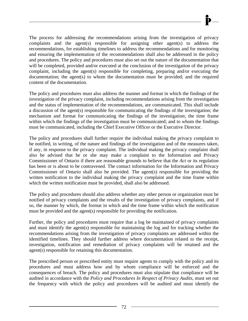The process for addressing the recommendations arising from the investigation of privacy complaints and the agent(s) responsible for assigning other agent(s) to address the recommendations, for establishing timelines to address the recommendations and for monitoring and ensuring the implementation of the recommendations shall also be addressed in the policy and procedures. The policy and procedures must also set out the nature of the documentation that will be completed, provided and/or executed at the conclusion of the investigation of the privacy complaint, including the agent(s) responsible for completing, preparing and/or executing the documentation; the agent(s) to whom the documentation must be provided; and the required content of the documentation.

The policy and procedures must also address the manner and format in which the findings of the investigation of the privacy complaint, including recommendations arising from the investigation and the status of implementation of the recommendations, are communicated. This shall include a discussion of the agent(s) responsible for communicating the findings of the investigation; the mechanism and format for communicating the findings of the investigation; the time frame within which the findings of the investigation must be communicated; and to whom the findings must be communicated, including the Chief Executive Officer or the Executive Director.

The policy and procedures shall further require the individual making the privacy complaint to be notified, in writing, of the nature and findings of the investigation and of the measures taken, if any, in response to the privacy complaint. The individual making the privacy complaint shall also be advised that he or she may make a complaint to the Information and Privacy Commissioner of Ontario if there are reasonable grounds to believe that the *Act* or its regulation has been or is about to be contravened. The contact information for the Information and Privacy Commissioner of Ontario shall also be provided. The agent(s) responsible for providing the written notification to the individual making the privacy complaint and the time frame within which the written notification must be provided, shall also be addressed.

The policy and procedures should also address whether any other person or organization must be notified of privacy complaints and the results of the investigation of privacy complaints, and if so, the manner by which, the format in which and the time frame within which the notification must be provided and the agent(s) responsible for providing the notification.

Further, the policy and procedures must require that a log be maintained of privacy complaints and must identify the agent(s) responsible for maintaining the log and for tracking whether the recommendations arising from the investigation of privacy complaints are addressed within the identified timelines. They should further address where documentation related to the receipt, investigation, notification and remediation of privacy complaints will be retained and the agent(s) responsible for retaining this documentation.

The prescribed person or prescribed entity must require agents to comply with the policy and its procedures and must address how and by whom compliance will be enforced and the consequences of breach. The policy and procedures must also stipulate that compliance will be audited in accordance with the *Policy and Procedures In Respect of Privacy Audits*, must set out the frequency with which the policy and procedures will be audited and must identify the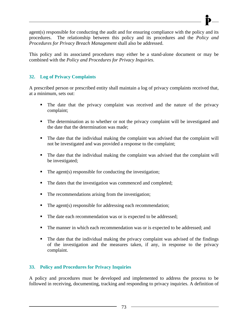agent(s) responsible for conducting the audit and for ensuring compliance with the policy and its procedures. The relationship between this policy and its procedures and the *Policy and Procedures for Privacy Breach Management* shall also be addressed.

This policy and its associated procedures may either be a stand-alone document or may be combined with the *Policy and Procedures for Privacy Inquiries*.

# **32. Log of Privacy Complaints**

A prescribed person or prescribed entity shall maintain a log of privacy complaints received that, at a minimum, sets out:

- The date that the privacy complaint was received and the nature of the privacy complaint;
- The determination as to whether or not the privacy complaint will be investigated and the date that the determination was made;
- The date that the individual making the complaint was advised that the complaint will not be investigated and was provided a response to the complaint;
- The date that the individual making the complaint was advised that the complaint will be investigated;
- $\blacksquare$  The agent(s) responsible for conducting the investigation;
- The dates that the investigation was commenced and completed;
- The recommendations arising from the investigation;
- $\blacksquare$  The agent(s) responsible for addressing each recommendation;
- The date each recommendation was or is expected to be addressed;
- The manner in which each recommendation was or is expected to be addressed; and
- The date that the individual making the privacy complaint was advised of the findings of the investigation and the measures taken, if any, in response to the privacy complaint.

## **33. Policy and Procedures for Privacy Inquiries**

A policy and procedures must be developed and implemented to address the process to be followed in receiving, documenting, tracking and responding to privacy inquiries. A definition of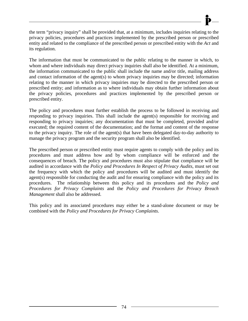the term "privacy inquiry" shall be provided that, at a minimum, includes inquiries relating to the privacy policies, procedures and practices implemented by the prescribed person or prescribed entity and related to the compliance of the prescribed person or prescribed entity with the *Act* and its regulation.

The information that must be communicated to the public relating to the manner in which, to whom and where individuals may direct privacy inquiries shall also be identified. At a minimum, the information communicated to the public shall include the name and/or title, mailing address and contact information of the agent(s) to whom privacy inquiries may be directed; information relating to the manner in which privacy inquiries may be directed to the prescribed person or prescribed entity; and information as to where individuals may obtain further information about the privacy policies, procedures and practices implemented by the prescribed person or prescribed entity.

The policy and procedures must further establish the process to be followed in receiving and responding to privacy inquiries. This shall include the agent(s) responsible for receiving and responding to privacy inquiries; any documentation that must be completed, provided and/or executed; the required content of the documentation; and the format and content of the response to the privacy inquiry. The role of the agent(s) that have been delegated day-to-day authority to manage the privacy program and the security program shall also be identified.

The prescribed person or prescribed entity must require agents to comply with the policy and its procedures and must address how and by whom compliance will be enforced and the consequences of breach. The policy and procedures must also stipulate that compliance will be audited in accordance with the *Policy and Procedures In Respect of Privacy Audits*, must set out the frequency with which the policy and procedures will be audited and must identify the agent(s) responsible for conducting the audit and for ensuring compliance with the policy and its procedures. The relationship between this policy and its procedures and the *Policy and Procedures for Privacy Complaints* and the *Policy and Procedures for Privacy Breach Management* shall also be addressed.

This policy and its associated procedures may either be a stand-alone document or may be combined with the *Policy and Procedures for Privacy Complaints*.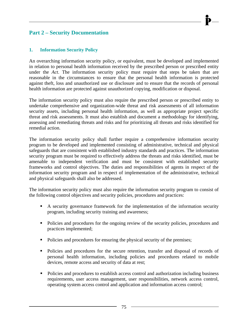# **Part 2 – Security Documentation**

## **1. Information Security Policy**

An overarching information security policy, or equivalent, must be developed and implemented in relation to personal health information received by the prescribed person or prescribed entity under the *Act*. The information security policy must require that steps be taken that are reasonable in the circumstances to ensure that the personal health information is protected against theft, loss and unauthorized use or disclosure and to ensure that the records of personal health information are protected against unauthorized copying, modification or disposal.

The information security policy must also require the prescribed person or prescribed entity to undertake comprehensive and organization-wide threat and risk assessments of all information security assets, including personal health information, as well as appropriate project specific threat and risk assessments. It must also establish and document a methodology for identifying, assessing and remediating threats and risks and for prioritizing all threats and risks identified for remedial action.

The information security policy shall further require a comprehensive information security program to be developed and implemented consisting of administrative, technical and physical safeguards that are consistent with established industry standards and practices. The information security program must be required to effectively address the threats and risks identified, must be amenable to independent verification and must be consistent with established security frameworks and control objectives. The duties and responsibilities of agents in respect of the information security program and in respect of implementation of the administrative, technical and physical safeguards shall also be addressed.

The information security policy must also require the information security program to consist of the following control objectives and security policies, procedures and practices:

- A security governance framework for the implementation of the information security program, including security training and awareness;
- Policies and procedures for the ongoing review of the security policies, procedures and practices implemented;
- Policies and procedures for ensuring the physical security of the premises;
- Policies and procedures for the secure retention, transfer and disposal of records of personal health information, including policies and procedures related to mobile devices, remote access and security of data at rest;
- Policies and procedures to establish access control and authorization including business requirements, user access management, user responsibilities, network access control, operating system access control and application and information access control;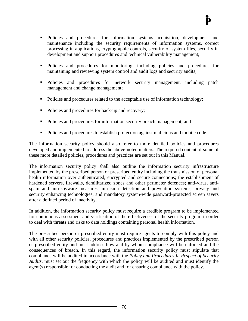- Policies and procedures for information systems acquisition, development and maintenance including the security requirements of information systems, correct processing in applications, cryptographic controls, security of system files, security in development and support procedures and technical vulnerability management;
- Policies and procedures for monitoring, including policies and procedures for maintaining and reviewing system control and audit logs and security audits;
- Policies and procedures for network security management, including patch management and change management;
- Policies and procedures related to the acceptable use of information technology;
- Policies and procedures for back-up and recovery;
- Policies and procedures for information security breach management; and
- Policies and procedures to establish protection against malicious and mobile code.

The information security policy should also refer to more detailed policies and procedures developed and implemented to address the above-noted matters. The required content of some of these more detailed policies, procedures and practices are set out in this Manual.

The information security policy shall also outline the information security infrastructure implemented by the prescribed person or prescribed entity including the transmission of personal health information over authenticated, encrypted and secure connections; the establishment of hardened servers, firewalls, demilitarized zones and other perimeter defences; anti-virus, antispam and anti-spyware measures; intrusion detection and prevention systems; privacy and security enhancing technologies; and mandatory system-wide password-protected screen savers after a defined period of inactivity.

In addition, the information security policy must require a credible program to be implemented for continuous assessment and verification of the effectiveness of the security program in order to deal with threats and risks to data holdings containing personal health information.

The prescribed person or prescribed entity must require agents to comply with this policy and with all other security policies, procedures and practices implemented by the prescribed person or prescribed entity and must address how and by whom compliance will be enforced and the consequences of breach. In this regard, the information security policy must stipulate that compliance will be audited in accordance with the *Policy and Procedures In Respect of Security Audits*, must set out the frequency with which the policy will be audited and must identify the agent(s) responsible for conducting the audit and for ensuring compliance with the policy.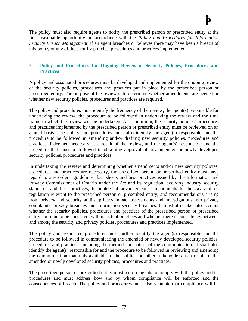The policy must also require agents to notify the prescribed person or prescribed entity at the first reasonable opportunity, in accordance with the *Policy and Procedures for Information Security Breach Management*, if an agent breaches or believes there may have been a breach of this policy or any of the security policies, procedures and practices implemented.

## **2. Policy and Procedures for Ongoing Review of Security Policies, Procedures and Practices**

A policy and associated procedures must be developed and implemented for the ongoing review of the security policies, procedures and practices put in place by the prescribed person or prescribed entity. The purpose of the review is to determine whether amendments are needed or whether new security policies, procedures and practices are required.

The policy and procedures must identify the frequency of the review, the agent(s) responsible for undertaking the review, the procedure to be followed in undertaking the review and the time frame in which the review will be undertaken. At a minimum, the security policies, procedures and practices implemented by the prescribed person or prescribed entity must be reviewed on an annual basis. The policy and procedures must also identify the agent(s) responsible and the procedure to be followed in amending and/or drafting new security policies, procedures and practices if deemed necessary as a result of the review, and the agent(s) responsible and the procedure that must be followed in obtaining approval of any amended or newly developed security policies, procedures and practices.

In undertaking the review and determining whether amendments and/or new security policies, procedures and practices are necessary, the prescribed person or prescribed entity must have regard to any orders, guidelines, fact sheets and best practices issued by the Information and Privacy Commissioner of Ontario under the *Act* and its regulation; evolving industry security standards and best practices; technological advancements; amendments to the *Act* and its regulation relevant to the prescribed person or prescribed entity; and recommendations arising from privacy and security audits, privacy impact assessments and investigations into privacy complaints, privacy breaches and information security breaches. It must also take into account whether the security policies, procedures and practices of the prescribed person or prescribed entity continue to be consistent with its actual practices and whether there is consistency between and among the security and privacy policies, procedures and practices implemented.

The policy and associated procedures must further identify the agent(s) responsible and the procedure to be followed in communicating the amended or newly developed security policies, procedures and practices, including the method and nature of the communication. It shall also identify the agent(s) responsible for and the procedure to be followed in reviewing and amending the communication materials available to the public and other stakeholders as a result of the amended or newly developed security policies, procedures and practices.

The prescribed person or prescribed entity must require agents to comply with the policy and its procedures and must address how and by whom compliance will be enforced and the consequences of breach. The policy and procedures must also stipulate that compliance will be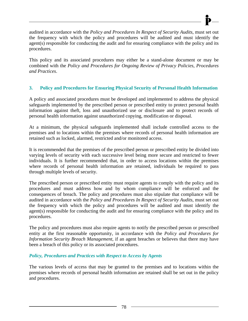audited in accordance with the *Policy and Procedures In Respect of Security Audits*, must set out the frequency with which the policy and procedures will be audited and must identify the agent(s) responsible for conducting the audit and for ensuring compliance with the policy and its procedures.

This policy and its associated procedures may either be a stand-alone document or may be combined with the *Policy and Procedures for Ongoing Review of Privacy Policies, Procedures and Practices*.

# **3. Policy and Procedures for Ensuring Physical Security of Personal Health Information**

A policy and associated procedures must be developed and implemented to address the physical safeguards implemented by the prescribed person or prescribed entity to protect personal health information against theft, loss and unauthorized use or disclosure and to protect records of personal health information against unauthorized copying, modification or disposal.

At a minimum, the physical safeguards implemented shall include controlled access to the premises and to locations within the premises where records of personal health information are retained such as locked, alarmed, restricted and/or monitored access.

It is recommended that the premises of the prescribed person or prescribed entity be divided into varying levels of security with each successive level being more secure and restricted to fewer individuals. It is further recommended that, in order to access locations within the premises where records of personal health information are retained, individuals be required to pass through multiple levels of security.

The prescribed person or prescribed entity must require agents to comply with the policy and its procedures and must address how and by whom compliance will be enforced and the consequences of breach. The policy and procedures must also stipulate that compliance will be audited in accordance with the *Policy and Procedures In Respect of Security Audits*, must set out the frequency with which the policy and procedures will be audited and must identify the agent(s) responsible for conducting the audit and for ensuring compliance with the policy and its procedures.

The policy and procedures must also require agents to notify the prescribed person or prescribed entity at the first reasonable opportunity, in accordance with the *Policy and Procedures for Information Security Breach Management*, if an agent breaches or believes that there may have been a breach of this policy or its associated procedures.

## *Policy, Procedures and Practices with Respect to Access by Agents*

The various levels of access that may be granted to the premises and to locations within the premises where records of personal health information are retained shall be set out in the policy and procedures.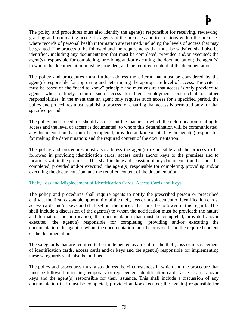The policy and procedures must also identify the agent(s) responsible for receiving, reviewing, granting and terminating access by agents to the premises and to locations within the premises where records of personal health information are retained, including the levels of access that may be granted. The process to be followed and the requirements that must be satisfied shall also be identified, including any documentation that must be completed, provided and/or executed; the agent(s) responsible for completing, providing and/or executing the documentation; the agent(s) to whom the documentation must be provided; and the required content of the documentation.

The policy and procedures must further address the criteria that must be considered by the agent(s) responsible for approving and determining the appropriate level of access. The criteria must be based on the "need to know" principle and must ensure that access is only provided to agents who routinely require such access for their employment, contractual or other responsibilities. In the event that an agent only requires such access for a specified period, the policy and procedures must establish a process for ensuring that access is permitted only for that specified period.

The policy and procedures should also set out the manner in which the determination relating to access and the level of access is documented; to whom this determination will be communicated; any documentation that must be completed, provided and/or executed by the agent(s) responsible for making the determination; and the required content of the documentation.

The policy and procedures must also address the agent(s) responsible and the process to be followed in providing identification cards, access cards and/or keys to the premises and to locations within the premises. This shall include a discussion of any documentation that must be completed, provided and/or executed; the agent(s) responsible for completing, providing and/or executing the documentation; and the required content of the documentation.

## Theft, Loss and Misplacement of Identification Cards, Access Cards and Keys

The policy and procedures shall require agents to notify the prescribed person or prescribed entity at the first reasonable opportunity of the theft, loss or misplacement of identification cards, access cards and/or keys and shall set out the process that must be followed in this regard. This shall include a discussion of the agent(s) to whom the notification must be provided; the nature and format of the notification; the documentation that must be completed, provided and/or executed; the agent(s) responsible for completing, providing and/or executing the documentation; the agent to whom the documentation must be provided; and the required content of the documentation.

The safeguards that are required to be implemented as a result of the theft, loss or misplacement of identification cards, access cards and/or keys and the agent(s) responsible for implementing these safeguards shall also be outlined.

The policy and procedures must also address the circumstances in which and the procedure that must be followed in issuing temporary or replacement identification cards, access cards and/or keys and the agent(s) responsible for their issuance. This shall include a discussion of any documentation that must be completed, provided and/or executed; the agent(s) responsible for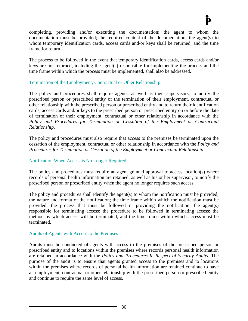completing, providing and/or executing the documentation; the agent to whom the documentation must be provided; the required content of the documentation; the agent(s) to whom temporary identification cards, access cards and/or keys shall be returned; and the time frame for return.

The process to be followed in the event that temporary identification cards, access cards and/or keys are not returned, including the agent(s) responsible for implementing the process and the time frame within which the process must be implemented, shall also be addressed.

## Termination of the Employment, Contractual or Other Relationship

The policy and procedures shall require agents, as well as their supervisors, to notify the prescribed person or prescribed entity of the termination of their employment, contractual or other relationship with the prescribed person or prescribed entity and to return their identification cards, access cards and/or keys to the prescribed person or prescribed entity on or before the date of termination of their employment, contractual or other relationship in accordance with the *Policy and Procedures for Termination or Cessation of the Employment or Contractual Relationship*.

The policy and procedures must also require that access to the premises be terminated upon the cessation of the employment, contractual or other relationship in accordance with the *Policy and Procedures for Termination or Cessation of the Employment or Contractual Relationship*.

### Notification When Access is No Longer Required

The policy and procedures must require an agent granted approval to access location(s) where records of personal health information are retained, as well as his or her supervisor, to notify the prescribed person or prescribed entity when the agent no longer requires such access.

The policy and procedures shall identify the agent(s) to whom the notification must be provided; the nature and format of the notification; the time frame within which the notification must be provided; the process that must be followed in providing the notification; the agent(s) responsible for terminating access; the procedure to be followed in terminating access; the method by which access will be terminated; and the time frame within which access must be terminated.

### Audits of Agents with Access to the Premises

Audits must be conducted of agents with access to the premises of the prescribed person or prescribed entity and to locations within the premises where records personal health information are retained in accordance with the *Policy and Procedures In Respect of Security Audits*. The purpose of the audit is to ensure that agents granted access to the premises and to locations within the premises where records of personal health information are retained continue to have an employment, contractual or other relationship with the prescribed person or prescribed entity and continue to require the same level of access.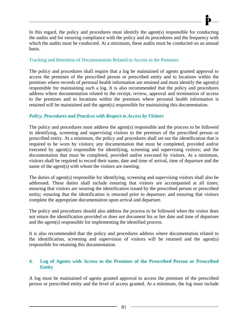In this regard, the policy and procedures must identify the agent(s) responsible for conducting the audits and for ensuring compliance with the policy and its procedures and the frequency with which the audits must be conducted. At a minimum, these audits must be conducted on an annual basis.

### Tracking and Retention of Documentation Related to Access to the Premises

The policy and procedures shall require that a log be maintained of agents granted approval to access the premises of the prescribed person or prescribed entity and to locations within the premises where records of personal health information are retained and must identify the agent(s) responsible for maintaining such a log. It is also recommended that the policy and procedures address where documentation related to the receipt, review, approval and termination of access to the premises and to locations within the premises where personal health information is retained will be maintained and the agent(s) responsible for maintaining this documentation.

### *Policy, Procedures and Practices with Respect to Access by Visitors*

The policy and procedures must address the agent(s) responsible and the process to be followed in identifying, screening and supervising visitors to the premises of the prescribed person or prescribed entity. At a minimum, the policy and procedures shall set out the identification that is required to be worn by visitors; any documentation that must be completed, provided and/or executed by agent(s) responsible for identifying, screening and supervising visitors; and the documentation that must be completed, provided and/or executed by visitors. At a minimum, visitors shall be required to record their name, date and time of arrival, time of departure and the name of the agent(s) with whom the visitors are meeting.

The duties of agent(s) responsible for identifying, screening and supervising visitors shall also be addressed. These duties shall include ensuring that visitors are accompanied at all times; ensuring that visitors are wearing the identification issued by the prescribed person or prescribed entity; ensuring that the identification is returned prior to departure; and ensuring that visitors complete the appropriate documentation upon arrival and departure.

The policy and procedures should also address the process to be followed when the visitor does not return the identification provided or does not document his or her date and time of departure and the agent(s) responsible for implementing the identified process.

It is also recommended that the policy and procedures address where documentation related to the identification, screening and supervision of visitors will be retained and the agent(s) responsible for retaining this documentation.

### **4. Log of Agents with Access to the Premises of the Prescribed Person or Prescribed Entity**

A log must be maintained of agents granted approval to access the premises of the prescribed person or prescribed entity and the level of access granted. At a minimum, the log must include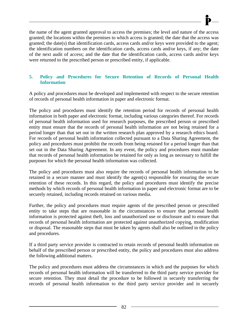the name of the agent granted approval to access the premises; the level and nature of the access granted; the locations within the premises to which access is granted; the date that the access was granted; the date(s) that identification cards, access cards and/or keys were provided to the agent; the identification numbers on the identification cards, access cards and/or keys, if any; the date of the next audit of access; and the date that the identification cards, access cards and/or keys were returned to the prescribed person or prescribed entity, if applicable.

## **5. Policy and Procedures for Secure Retention of Records of Personal Health Information**

A policy and procedures must be developed and implemented with respect to the secure retention of records of personal health information in paper and electronic format.

The policy and procedures must identify the retention period for records of personal health information in both paper and electronic format, including various categories thereof. For records of personal health information used for research purposes, the prescribed person or prescribed entity must ensure that the records of personal health information are not being retained for a period longer than that set out in the written research plan approved by a research ethics board. For records of personal health information collected pursuant to a Data Sharing Agreement, the policy and procedures must prohibit the records from being retained for a period longer than that set out in the Data Sharing Agreement. In any event, the policy and procedures must mandate that records of personal health information be retained for only as long as necessary to fulfill the purposes for which the personal health information was collected.

The policy and procedures must also require the records of personal health information to be retained in a secure manner and must identify the agent(s) responsible for ensuring the secure retention of these records. In this regard, the policy and procedures must identify the precise methods by which records of personal health information in paper and electronic format are to be securely retained, including records retained on various media.

Further, the policy and procedures must require agents of the prescribed person or prescribed entity to take steps that are reasonable in the circumstances to ensure that personal health information is protected against theft, loss and unauthorized use or disclosure and to ensure that records of personal health information are protected against unauthorized copying, modification or disposal. The reasonable steps that must be taken by agents shall also be outlined in the policy and procedures.

If a third party service provider is contracted to retain records of personal health information on behalf of the prescribed person or prescribed entity, the policy and procedures must also address the following additional matters.

The policy and procedures must address the circumstances in which and the purposes for which records of personal health information will be transferred to the third party service provider for secure retention. They must detail the procedure to be followed in securely transferring the records of personal health information to the third party service provider and in securely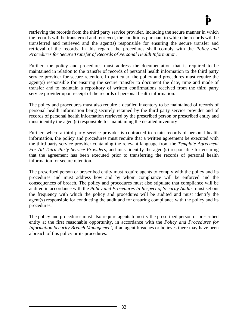retrieving the records from the third party service provider, including the secure manner in which the records will be transferred and retrieved, the conditions pursuant to which the records will be transferred and retrieved and the agent(s) responsible for ensuring the secure transfer and retrieval of the records. In this regard, the procedures shall comply with the *Policy and Procedures for Secure Transfer of Records of Personal Health Information*.

Further, the policy and procedures must address the documentation that is required to be maintained in relation to the transfer of records of personal health information to the third party service provider for secure retention. In particular, the policy and procedures must require the agent(s) responsible for ensuring the secure transfer to document the date, time and mode of transfer and to maintain a repository of written confirmations received from the third party service provider upon receipt of the records of personal health information.

The policy and procedures must also require a detailed inventory to be maintained of records of personal health information being securely retained by the third party service provider and of records of personal health information retrieved by the prescribed person or prescribed entity and must identify the agent(s) responsible for maintaining the detailed inventory.

Further, where a third party service provider is contracted to retain records of personal health information, the policy and procedures must require that a written agreement be executed with the third party service provider containing the relevant language from the *Template Agreement For All Third Party Service Providers*, and must identify the agent(s) responsible for ensuring that the agreement has been executed prior to transferring the records of personal health information for secure retention.

The prescribed person or prescribed entity must require agents to comply with the policy and its procedures and must address how and by whom compliance will be enforced and the consequences of breach. The policy and procedures must also stipulate that compliance will be audited in accordance with the *Policy and Procedures In Respect of Security Audits*, must set out the frequency with which the policy and procedures will be audited and must identify the agent(s) responsible for conducting the audit and for ensuring compliance with the policy and its procedures.

The policy and procedures must also require agents to notify the prescribed person or prescribed entity at the first reasonable opportunity, in accordance with the *Policy and Procedures for Information Security Breach Management*, if an agent breaches or believes there may have been a breach of this policy or its procedures.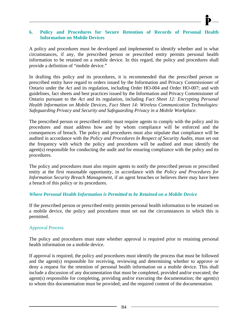### **6. Policy and Procedures for Secure Retention of Records of Personal Health Information on Mobile Devices**

A policy and procedures must be developed and implemented to identify whether and in what circumstances, if any, the prescribed person or prescribed entity permits personal health information to be retained on a mobile device. In this regard, the policy and procedures shall provide a definition of "mobile device."

In drafting this policy and its procedures, it is recommended that the prescribed person or prescribed entity have regard to orders issued by the Information and Privacy Commissioner of Ontario under the *Act* and its regulation, including Order HO-004 and Order HO-007; and with guidelines, fact sheets and best practices issued by the Information and Privacy Commissioner of Ontario pursuant to the *Act* and its regulation, including *Fact Sheet 12: Encrypting Personal Health Information on Mobile Devices, Fact Sheet 14: Wireless Communication Technologies: Safeguarding Privacy and Security and Safeguarding Privacy in a Mobile Workplace.* 

The prescribed person or prescribed entity must require agents to comply with the policy and its procedures and must address how and by whom compliance will be enforced and the consequences of breach. The policy and procedures must also stipulate that compliance will be audited in accordance with the *Policy and Procedures In Respect of Security Audits*, must set out the frequency with which the policy and procedures will be audited and must identify the agent(s) responsible for conducting the audit and for ensuring compliance with the policy and its procedures.

The policy and procedures must also require agents to notify the prescribed person or prescribed entity at the first reasonable opportunity, in accordance with the *Policy and Procedures for Information Security Breach Management*, if an agent breaches or believes there may have been a breach of this policy or its procedures.

### *Where Personal Health Information is Permitted to be Retained on a Mobile Device*

If the prescribed person or prescribed entity permits personal health information to be retained on a mobile device, the policy and procedures must set out the circumstances in which this is permitted.

#### Approval Process

The policy and procedures must state whether approval is required prior to retaining personal health information on a mobile device.

If approval is required, the policy and procedures must identify the process that must be followed and the agent(s) responsible for receiving, reviewing and determining whether to approve or deny a request for the retention of personal health information on a mobile device. This shall include a discussion of any documentation that must be completed, provided and/or executed; the agent(s) responsible for completing, providing and/or executing the documentation; the agent(s) to whom this documentation must be provided; and the required content of the documentation.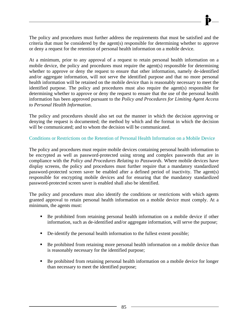The policy and procedures must further address the requirements that must be satisfied and the criteria that must be considered by the agent(s) responsible for determining whether to approve or deny a request for the retention of personal health information on a mobile device.

At a minimum, prior to any approval of a request to retain personal health information on a mobile device, the policy and procedures must require the agent(s) responsible for determining whether to approve or deny the request to ensure that other information, namely de-identified and/or aggregate information, will not serve the identified purpose and that no more personal health information will be retained on the mobile device than is reasonably necessary to meet the identified purpose. The policy and procedures must also require the agent(s) responsible for determining whether to approve or deny the request to ensure that the use of the personal health information has been approved pursuant to the *Policy and Procedures for Limiting Agent Access to Personal Health Information*.

The policy and procedures should also set out the manner in which the decision approving or denying the request is documented; the method by which and the format in which the decision will be communicated; and to whom the decision will be communicated.

## Conditions or Restrictions on the Retention of Personal Health Information on a Mobile Device

The policy and procedures must require mobile devices containing personal health information to be encrypted as well as password-protected using strong and complex passwords that are in compliance with the *Policy and Procedures Relating to Passwords*. Where mobile devices have display screens, the policy and procedures must further require that a mandatory standardized password-protected screen saver be enabled after a defined period of inactivity. The agent(s) responsible for encrypting mobile devices and for ensuring that the mandatory standardized password-protected screen saver is enabled shall also be identified.

The policy and procedures must also identify the conditions or restrictions with which agents granted approval to retain personal health information on a mobile device must comply. At a minimum, the agents must:

- Be prohibited from retaining personal health information on a mobile device if other information, such as de-identified and/or aggregate information, will serve the purpose;
- De-identify the personal health information to the fullest extent possible;
- Be prohibited from retaining more personal health information on a mobile device than is reasonably necessary for the identified purpose;
- Be prohibited from retaining personal health information on a mobile device for longer than necessary to meet the identified purpose;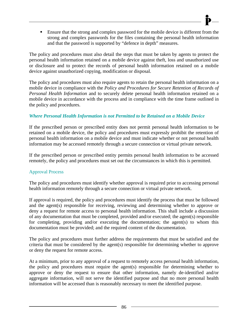**Ensure that the strong and complex password for the mobile device is different from the** strong and complex passwords for the files containing the personal health information and that the password is supported by "defence in depth" measures.

The policy and procedures must also detail the steps that must be taken by agents to protect the personal health information retained on a mobile device against theft, loss and unauthorized use or disclosure and to protect the records of personal health information retained on a mobile device against unauthorized copying, modification or disposal.

The policy and procedures must also require agents to retain the personal health information on a mobile device in compliance with the *Policy and Procedures for Secure Retention of Records of Personal Health Information* and to securely delete personal health information retained on a mobile device in accordance with the process and in compliance with the time frame outlined in the policy and procedures.

## *Where Personal Health Information is not Permitted to be Retained on a Mobile Device*

If the prescribed person or prescribed entity does not permit personal health information to be retained on a mobile device, the policy and procedures must expressly prohibit the retention of personal health information on a mobile device and must indicate whether or not personal health information may be accessed remotely through a secure connection or virtual private network.

If the prescribed person or prescribed entity permits personal health information to be accessed remotely, the policy and procedures must set out the circumstances in which this is permitted.

## Approval Process

The policy and procedures must identify whether approval is required prior to accessing personal health information remotely through a secure connection or virtual private network.

If approval is required, the policy and procedures must identify the process that must be followed and the agent(s) responsible for receiving, reviewing and determining whether to approve or deny a request for remote access to personal health information. This shall include a discussion of any documentation that must be completed, provided and/or executed; the agent(s) responsible for completing, providing and/or executing the documentation; the agent(s) to whom this documentation must be provided; and the required content of the documentation.

The policy and procedures must further address the requirements that must be satisfied and the criteria that must be considered by the agent(s) responsible for determining whether to approve or deny the request for remote access.

At a minimum, prior to any approval of a request to remotely access personal health information, the policy and procedures must require the agent(s) responsible for determining whether to approve or deny the request to ensure that other information, namely de-identified and/or aggregate information, will not serve the identified purpose and that no more personal health information will be accessed than is reasonably necessary to meet the identified purpose.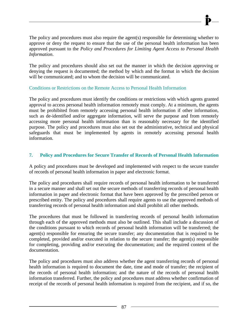The policy and procedures must also require the agent(s) responsible for determining whether to approve or deny the request to ensure that the use of the personal health information has been approved pursuant to the *Policy and Procedures for Limiting Agent Access to Personal Health Information*.

The policy and procedures should also set out the manner in which the decision approving or denying the request is documented; the method by which and the format in which the decision will be communicated; and to whom the decision will be communicated.

## Conditions or Restrictions on the Remote Access to Personal Health Information

The policy and procedures must identify the conditions or restrictions with which agents granted approval to access personal health information remotely must comply. At a minimum, the agents must be prohibited from remotely accessing personal health information if other information, such as de-identified and/or aggregate information, will serve the purpose and from remotely accessing more personal health information than is reasonably necessary for the identified purpose. The policy and procedures must also set out the administrative, technical and physical safeguards that must be implemented by agents in remotely accessing personal health information.

## **7. Policy and Procedures for Secure Transfer of Records of Personal Health Information**

A policy and procedures must be developed and implemented with respect to the secure transfer of records of personal health information in paper and electronic format.

The policy and procedures shall require records of personal health information to be transferred in a secure manner and shall set out the secure methods of transferring records of personal health information in paper and electronic format that have been approved by the prescribed person or prescribed entity. The policy and procedures shall require agents to use the approved methods of transferring records of personal health information and shall prohibit all other methods.

The procedures that must be followed in transferring records of personal health information through each of the approved methods must also be outlined. This shall include a discussion of the conditions pursuant to which records of personal health information will be transferred; the agent(s) responsible for ensuring the secure transfer; any documentation that is required to be completed, provided and/or executed in relation to the secure transfer; the agent(s) responsible for completing, providing and/or executing the documentation; and the required content of the documentation.

The policy and procedures must also address whether the agent transferring records of personal health information is required to document the date, time and mode of transfer; the recipient of the records of personal health information; and the nature of the records of personal health information transferred. Further, the policy and procedures must address whether confirmation of receipt of the records of personal health information is required from the recipient, and if so, the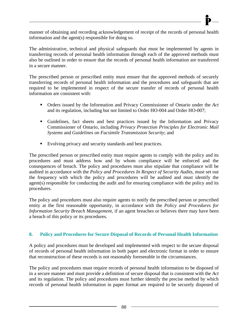manner of obtaining and recording acknowledgement of receipt of the records of personal health information and the agent(s) responsible for doing so.

The administrative, technical and physical safeguards that must be implemented by agents in transferring records of personal health information through each of the approved methods must also be outlined in order to ensure that the records of personal health information are transferred in a secure manner.

The prescribed person or prescribed entity must ensure that the approved methods of securely transferring records of personal health information and the procedures and safeguards that are required to be implemented in respect of the secure transfer of records of personal health information are consistent with:

- Orders issued by the Information and Privacy Commissioner of Ontario under the *Act*  and its regulation, including but not limited to Order HO-004 and Order HO-007;
- Guidelines, fact sheets and best practices issued by the Information and Privacy Commissioner of Ontario, including *Privacy Protection Principles for Electronic Mail Systems* and *Guidelines on Facsimile Transmission Security*; and
- Evolving privacy and security standards and best practices.

The prescribed person or prescribed entity must require agents to comply with the policy and its procedures and must address how and by whom compliance will be enforced and the consequences of breach. The policy and procedures must also stipulate that compliance will be audited in accordance with the *Policy and Procedures In Respect of Security Audits*, must set out the frequency with which the policy and procedures will be audited and must identify the agent(s) responsible for conducting the audit and for ensuring compliance with the policy and its procedures.

The policy and procedures must also require agents to notify the prescribed person or prescribed entity at the first reasonable opportunity, in accordance with the *Policy and Procedures for Information Security Breach Management*, if an agent breaches or believes there may have been a breach of this policy or its procedures.

### **8. Policy and Procedures for Secure Disposal of Records of Personal Health Information**

A policy and procedures must be developed and implemented with respect to the secure disposal of records of personal health information in both paper and electronic format in order to ensure that reconstruction of these records is not reasonably foreseeable in the circumstances.

The policy and procedures must require records of personal health information to be disposed of in a secure manner and must provide a definition of secure disposal that is consistent with the *Act*  and its regulation. The policy and procedures must further identify the precise method by which records of personal health information in paper format are required to be securely disposed of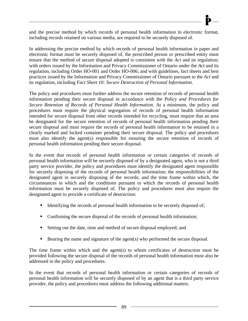

and the precise method by which records of personal health information in electronic format, including records retained on various media, are required to be securely disposed of.

In addressing the precise method by which records of personal health information in paper and electronic format must be securely disposed of, the prescribed person or prescribed entity must ensure that the method of secure disposal adopted is consistent with the *Act* and its regulation; with orders issued by the Information and Privacy Commissioner of Ontario under the *Act* and its regulation, including Order HO-001 and Order HO-006; and with guidelines, fact sheets and best practices issued by the Information and Privacy Commissioner of Ontario pursuant to the *Act* and its regulation, including *Fact Sheet 10: Secure Destruction of Personal Information*.

The policy and procedures must further address the secure retention of records of personal health information pending their secure disposal in accordance with the *Policy and Procedures for Secure Retention of Records of Personal Health Information*. At a minimum, the policy and procedures must require the physical segregation of records of personal health information intended for secure disposal from other records intended for recycling, must require that an area be designated for the secure retention of records of personal health information pending their secure disposal and must require the records of personal health information to be retained in a clearly marked and locked container pending their secure disposal. The policy and procedures must also identify the agent(s) responsible for ensuring the secure retention of records of personal health information pending their secure disposal.

In the event that records of personal health information or certain categories of records of personal health information will be securely disposed of by a designated agent, who is not a third party service provider, the policy and procedures must identify the designated agent responsible for securely disposing of the records of personal health information; the responsibilities of the designated agent in securely disposing of the records; and the time frame within which, the circumstances in which and the conditions pursuant to which the records of personal health information must be securely disposed of. The policy and procedures must also require the designated agent to provide a certificate of destruction:

- Identifying the records of personal health information to be securely disposed of;
- Confirming the secure disposal of the records of personal health information;
- Setting out the date, time and method of secure disposal employed; and
- Bearing the name and signature of the agent(s) who performed the secure disposal.

The time frame within which and the agent(s) to whom certificates of destruction must be provided following the secure disposal of the records of personal health information must also be addressed in the policy and procedures.

In the event that records of personal health information or certain categories of records of personal health information will be securely disposed of by an agent that is a third party service provider, the policy and procedures must address the following additional matters.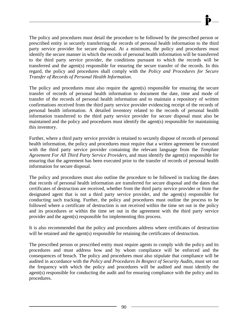The policy and procedures must detail the procedure to be followed by the prescribed person or prescribed entity in securely transferring the records of personal health information to the third party service provider for secure disposal. At a minimum, the policy and procedures must identify the secure manner in which the records of personal health information will be transferred to the third party service provider, the conditions pursuant to which the records will be transferred and the agent(s) responsible for ensuring the secure transfer of the records. In this regard, the policy and procedures shall comply with the *Policy and Procedures for Secure Transfer of Records of Personal Health Information*.

The policy and procedures must also require the agent(s) responsible for ensuring the secure transfer of records of personal health information to document the date, time and mode of transfer of the records of personal health information and to maintain a repository of written confirmations received from the third party service provider evidencing receipt of the records of personal health information. A detailed inventory related to the records of personal health information transferred to the third party service provider for secure disposal must also be maintained and the policy and procedures must identify the agent(s) responsible for maintaining this inventory.

Further, where a third party service provider is retained to securely dispose of records of personal health information, the policy and procedures must require that a written agreement be executed with the third party service provider containing the relevant language from the *Template Agreement For All Third Party Service Providers*, and must identify the agent(s) responsible for ensuring that the agreement has been executed prior to the transfer of records of personal health information for secure disposal.

The policy and procedures must also outline the procedure to be followed in tracking the dates that records of personal health information are transferred for secure disposal and the dates that certificates of destruction are received, whether from the third party service provider or from the designated agent that is not a third party service provider, and the agent(s) responsible for conducting such tracking. Further, the policy and procedures must outline the process to be followed where a certificate of destruction is not received within the time set out in the policy and its procedures or within the time set out in the agreement with the third party service provider and the agent(s) responsible for implementing this process.

It is also recommended that the policy and procedures address where certificates of destruction will be retained and the agent(s) responsible for retaining the certificates of destruction.

The prescribed person or prescribed entity must require agents to comply with the policy and its procedures and must address how and by whom compliance will be enforced and the consequences of breach. The policy and procedures must also stipulate that compliance will be audited in accordance with the *Policy and Procedures In Respect of Security Audits*, must set out the frequency with which the policy and procedures will be audited and must identify the agent(s) responsible for conducting the audit and for ensuring compliance with the policy and its procedures.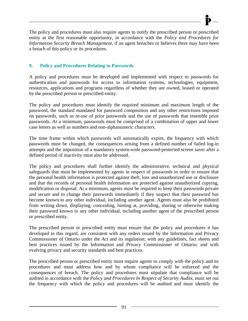The policy and procedures must also require agents to notify the prescribed person or prescribed entity at the first reasonable opportunity, in accordance with the *Policy and Procedures for Information Security Breach Management*, if an agent breaches or believes there may have been a breach of this policy or its procedures.

# **9. Policy and Procedures Relating to Passwords**

A policy and procedures must be developed and implemented with respect to passwords for authentication and passwords for access to information systems, technologies, equipment, resources, applications and programs regardless of whether they are owned, leased or operated by the prescribed person or prescribed entity.

The policy and procedures must identify the required minimum and maximum length of the password, the standard mandated for password composition and any other restrictions imposed on passwords, such as re-use of prior passwords and the use of passwords that resemble prior passwords. At a minimum, passwords must be comprised of a combination of upper and lower case letters as well as numbers and non-alphanumeric characters.

The time frame within which passwords will automatically expire, the frequency with which passwords must be changed, the consequences arising from a defined number of failed log-in attempts and the imposition of a mandatory system-wide password-protected screen saver after a defined period of inactivity must also be addressed.

The policy and procedures shall further identify the administrative, technical and physical safeguards that must be implemented by agents in respect of passwords in order to ensure that the personal health information is protected against theft, loss and unauthorized use or disclosure and that the records of personal health information are protected against unauthorized copying, modification or disposal. At a minimum, agents must be required to keep their passwords private and secure and to change their passwords immediately if they suspect that their password has become known to any other individual, including another agent. Agents must also be prohibited from writing down, displaying, concealing, hinting at, providing, sharing or otherwise making their password known to any other individual, including another agent of the prescribed person or prescribed entity.

The prescribed person or prescribed entity must ensure that the policy and procedures it has developed in this regard, are consistent with any orders issued by the Information and Privacy Commissioner of Ontario under the *Act* and its regulation; with any guidelines, fact sheets and best practices issued by the Information and Privacy Commissioner of Ontario; and with evolving privacy and security standards and best practices.

The prescribed person or prescribed entity must require agents to comply with the policy and its procedures and must address how and by whom compliance will be enforced and the consequences of breach. The policy and procedures must stipulate that compliance will be audited in accordance with the *Policy and Procedures In Respect of Security Audits*, must set out the frequency with which the policy and procedures will be audited and must identify the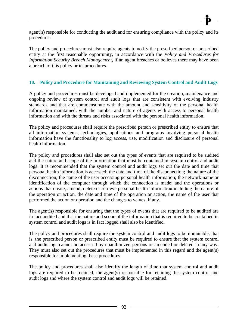The policy and procedures must also require agents to notify the prescribed person or prescribed entity at the first reasonable opportunity, in accordance with the *Policy and Procedures for Information Security Breach Management*, if an agent breaches or believes there may have been a breach of this policy or its procedures.

procedures.

## **10. Policy and Procedure for Maintaining and Reviewing System Control and Audit Logs**

A policy and procedures must be developed and implemented for the creation, maintenance and ongoing review of system control and audit logs that are consistent with evolving industry standards and that are commensurate with the amount and sensitivity of the personal health information maintained, with the number and nature of agents with access to personal health information and with the threats and risks associated with the personal health information.

The policy and procedures shall require the prescribed person or prescribed entity to ensure that all information systems, technologies, applications and programs involving personal health information have the functionality to log access, use, modification and disclosure of personal health information.

The policy and procedures shall also set out the types of events that are required to be audited and the nature and scope of the information that must be contained in system control and audit logs. It is recommended that the system control and audit logs set out the date and time that personal health information is accessed; the date and time of the disconnection; the nature of the disconnection; the name of the user accessing personal health information; the network name or identification of the computer through which the connection is made; and the operations or actions that create, amend, delete or retrieve personal health information including the nature of the operation or action, the date and time of the operation or action, the name of the user that performed the action or operation and the changes to values, if any.

The agent(s) responsible for ensuring that the types of events that are required to be audited are in fact audited and that the nature and scope of the information that is required to be contained in system control and audit logs is in fact logged shall also be identified.

The policy and procedures shall require the system control and audit logs to be immutable, that is, the prescribed person or prescribed entity must be required to ensure that the system control and audit logs cannot be accessed by unauthorized persons or amended or deleted in any way. They must also set out the procedures that must be implemented in this regard and the agent(s) responsible for implementing these procedures.

The policy and procedures shall also identify the length of time that system control and audit logs are required to be retained, the agent(s) responsible for retaining the system control and audit logs and where the system control and audit logs will be retained.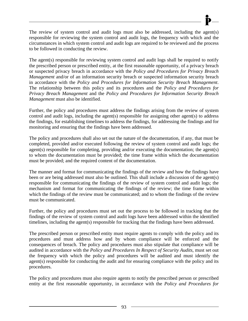The review of system control and audit logs must also be addressed, including the agent(s) responsible for reviewing the system control and audit logs, the frequency with which and the circumstances in which system control and audit logs are required to be reviewed and the process to be followed in conducting the review.

The agent(s) responsible for reviewing system control and audit logs shall be required to notify the prescribed person or prescribed entity, at the first reasonable opportunity, of a privacy breach or suspected privacy breach in accordance with the *Policy and Procedures for Privacy Breach Management* and/or of an information security breach or suspected information security breach in accordance with the *Policy and Procedures for Information Security Breach Management*. The relationship between this policy and its procedures and the *Policy and Procedures for Privacy Breach Management* and the *Policy and Procedures for Information Security Breach Management* must also be identified.

Further, the policy and procedures must address the findings arising from the review of system control and audit logs, including the agent(s) responsible for assigning other agent(s) to address the findings, for establishing timelines to address the findings, for addressing the findings and for monitoring and ensuring that the findings have been addressed.

The policy and procedures shall also set out the nature of the documentation, if any, that must be completed, provided and/or executed following the review of system control and audit logs; the agent(s) responsible for completing, providing and/or executing the documentation; the agent(s) to whom the documentation must be provided; the time frame within which the documentation must be provided; and the required content of the documentation.

The manner and format for communicating the findings of the review and how the findings have been or are being addressed must also be outlined. This shall include a discussion of the agent(s) responsible for communicating the findings of the review of system control and audit logs; the mechanism and format for communicating the findings of the review; the time frame within which the findings of the review must be communicated; and to whom the findings of the review must be communicated.

Further, the policy and procedures must set out the process to be followed in tracking that the findings of the review of system control and audit logs have been addressed within the identified timelines, including the agent(s) responsible for tracking that the findings have been addressed.

The prescribed person or prescribed entity must require agents to comply with the policy and its procedures and must address how and by whom compliance will be enforced and the consequences of breach. The policy and procedures must also stipulate that compliance will be audited in accordance with the *Policy and Procedures In Respect of Security Audits*, must set out the frequency with which the policy and procedures will be audited and must identify the agent(s) responsible for conducting the audit and for ensuring compliance with the policy and its procedures.

The policy and procedures must also require agents to notify the prescribed person or prescribed entity at the first reasonable opportunity, in accordance with the *Policy and Procedures for*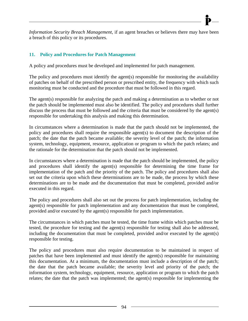*Information Security Breach Management*, if an agent breaches or believes there may have been a breach of this policy or its procedures.

# **11. Policy and Procedures for Patch Management**

A policy and procedures must be developed and implemented for patch management.

The policy and procedures must identify the agent(s) responsible for monitoring the availability of patches on behalf of the prescribed person or prescribed entity, the frequency with which such monitoring must be conducted and the procedure that must be followed in this regard.

The agent(s) responsible for analyzing the patch and making a determination as to whether or not the patch should be implemented must also be identified. The policy and procedures shall further discuss the process that must be followed and the criteria that must be considered by the agent(s) responsible for undertaking this analysis and making this determination.

In circumstances where a determination is made that the patch should not be implemented, the policy and procedures shall require the responsible agent(s) to document the description of the patch; the date that the patch became available; the severity level of the patch; the information system, technology, equipment, resource, application or program to which the patch relates; and the rationale for the determination that the patch should not be implemented.

In circumstances where a determination is made that the patch should be implemented, the policy and procedures shall identify the agent(s) responsible for determining the time frame for implementation of the patch and the priority of the patch. The policy and procedures shall also set out the criteria upon which these determinations are to be made, the process by which these determinations are to be made and the documentation that must be completed, provided and/or executed in this regard.

The policy and procedures shall also set out the process for patch implementation, including the agent(s) responsible for patch implementation and any documentation that must be completed, provided and/or executed by the agent(s) responsible for patch implementation.

The circumstances in which patches must be tested, the time frame within which patches must be tested, the procedure for testing and the agent(s) responsible for testing shall also be addressed, including the documentation that must be completed, provided and/or executed by the agent(s) responsible for testing.

The policy and procedures must also require documentation to be maintained in respect of patches that have been implemented and must identify the agent(s) responsible for maintaining this documentation. At a minimum, the documentation must include a description of the patch; the date that the patch became available; the severity level and priority of the patch; the information system, technology, equipment, resource, application or program to which the patch relates; the date that the patch was implemented; the agent(s) responsible for implementing the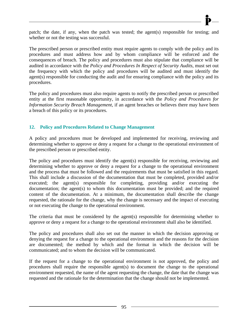patch; the date, if any, when the patch was tested; the agent(s) responsible for testing; and whether or not the testing was successful.

The prescribed person or prescribed entity must require agents to comply with the policy and its procedures and must address how and by whom compliance will be enforced and the consequences of breach. The policy and procedures must also stipulate that compliance will be audited in accordance with the *Policy and Procedures In Respect of Security Audits*, must set out the frequency with which the policy and procedures will be audited and must identify the agent(s) responsible for conducting the audit and for ensuring compliance with the policy and its procedures.

The policy and procedures must also require agents to notify the prescribed person or prescribed entity at the first reasonable opportunity, in accordance with the *Policy and Procedures for Information Security Breach Management*, if an agent breaches or believes there may have been a breach of this policy or its procedures.

### **12. Policy and Procedures Related to Change Management**

A policy and procedures must be developed and implemented for receiving, reviewing and determining whether to approve or deny a request for a change to the operational environment of the prescribed person or prescribed entity.

The policy and procedures must identify the agent(s) responsible for receiving, reviewing and determining whether to approve or deny a request for a change to the operational environment and the process that must be followed and the requirements that must be satisfied in this regard. This shall include a discussion of the documentation that must be completed, provided and/or executed; the agent(s) responsible for completing, providing and/or executing the documentation; the agent(s) to whom this documentation must be provided; and the required content of the documentation. At a minimum, the documentation shall describe the change requested, the rationale for the change, why the change is necessary and the impact of executing or not executing the change to the operational environment.

The criteria that must be considered by the agent(s) responsible for determining whether to approve or deny a request for a change to the operational environment shall also be identified.

The policy and procedures shall also set out the manner in which the decision approving or denying the request for a change to the operational environment and the reasons for the decision are documented; the method by which and the format in which the decision will be communicated; and to whom the decision will be communicated.

If the request for a change to the operational environment is not approved, the policy and procedures shall require the responsible agent(s) to document the change to the operational environment requested, the name of the agent requesting the change, the date that the change was requested and the rationale for the determination that the change should not be implemented.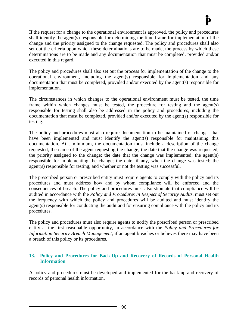If the request for a change to the operational environment is approved, the policy and procedures shall identify the agent(s) responsible for determining the time frame for implementation of the change and the priority assigned to the change requested. The policy and procedures shall also set out the criteria upon which these determinations are to be made, the process by which these determinations are to be made and any documentation that must be completed, provided and/or executed in this regard.

The policy and procedures shall also set out the process for implementation of the change to the operational environment, including the agent(s) responsible for implementation and any documentation that must be completed, provided and/or executed by the agent(s) responsible for implementation.

The circumstances in which changes to the operational environment must be tested, the time frame within which changes must be tested, the procedure for testing and the agent(s) responsible for testing shall also be addressed in the policy and procedures, including the documentation that must be completed, provided and/or executed by the agent(s) responsible for testing.

The policy and procedures must also require documentation to be maintained of changes that have been implemented and must identify the agent(s) responsible for maintaining this documentation. At a minimum, the documentation must include a description of the change requested; the name of the agent requesting the change; the date that the change was requested; the priority assigned to the change; the date that the change was implemented; the agent(s) responsible for implementing the change; the date, if any, when the change was tested; the agent(s) responsible for testing; and whether or not the testing was successful.

The prescribed person or prescribed entity must require agents to comply with the policy and its procedures and must address how and by whom compliance will be enforced and the consequences of breach. The policy and procedures must also stipulate that compliance will be audited in accordance with the *Policy and Procedures In Respect of Security Audits*, must set out the frequency with which the policy and procedures will be audited and must identify the agent(s) responsible for conducting the audit and for ensuring compliance with the policy and its procedures.

The policy and procedures must also require agents to notify the prescribed person or prescribed entity at the first reasonable opportunity, in accordance with the *Policy and Procedures for Information Security Breach Management*, if an agent breaches or believes there may have been a breach of this policy or its procedures.

## **13. Policy and Procedures for Back-Up and Recovery of Records of Personal Health Information**

A policy and procedures must be developed and implemented for the back-up and recovery of records of personal health information.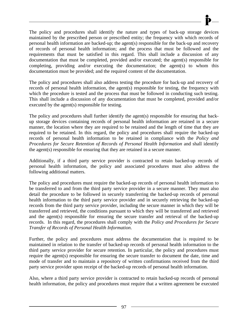The policy and procedures shall identify the nature and types of back-up storage devices maintained by the prescribed person or prescribed entity; the frequency with which records of personal health information are backed-up; the agent(s) responsible for the back-up and recovery of records of personal health information; and the process that must be followed and the requirements that must be satisfied in this regard. This shall include a discussion of any documentation that must be completed, provided and/or executed; the agent(s) responsible for completing, providing and/or executing the documentation; the agent(s) to whom this documentation must be provided; and the required content of the documentation.

The policy and procedures shall also address testing the procedure for back-up and recovery of records of personal health information, the agent(s) responsible for testing, the frequency with which the procedure is tested and the process that must be followed in conducting such testing. This shall include a discussion of any documentation that must be completed, provided and/or executed by the agent(s) responsible for testing.

The policy and procedures shall further identify the agent(s) responsible for ensuring that backup storage devices containing records of personal health information are retained in a secure manner, the location where they are required to be retained and the length of time that they are required to be retained. In this regard, the policy and procedures shall require the backed-up records of personal health information to be retained in compliance with the *Policy and Procedures for Secure Retention of Records of Personal Health Information* and shall identify the agent(s) responsible for ensuring that they are retained in a secure manner.

Additionally, if a third party service provider is contracted to retain backed-up records of personal health information, the policy and associated procedures must also address the following additional matters.

The policy and procedures must require the backed-up records of personal health information to be transferred to and from the third party service provider in a secure manner. They must also detail the procedure to be followed in securely transferring the backed-up records of personal health information to the third party service provider and in securely retrieving the backed-up records from the third party service provider, including the secure manner in which they will be transferred and retrieved, the conditions pursuant to which they will be transferred and retrieved and the agent(s) responsible for ensuring the secure transfer and retrieval of the backed-up records. In this regard, the procedures shall comply with the *Policy and Procedures for Secure Transfer of Records of Personal Health Information*.

Further, the policy and procedures must address the documentation that is required to be maintained in relation to the transfer of backed-up records of personal health information to the third party service provider for secure retention. In particular, the policy and procedures must require the agent(s) responsible for ensuring the secure transfer to document the date, time and mode of transfer and to maintain a repository of written confirmations received from the third party service provider upon receipt of the backed-up records of personal health information.

Also, where a third party service provider is contracted to retain backed-up records of personal health information, the policy and procedures must require that a written agreement be executed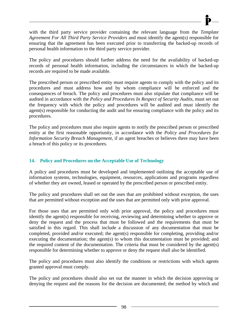with the third party service provider containing the relevant language from the *Template Agreement For All Third Party Service Providers* and must identify the agent(s) responsible for ensuring that the agreement has been executed prior to transferring the backed-up records of personal health information to the third party service provider.

The policy and procedures should further address the need for the availability of backed-up records of personal health information, including the circumstances in which the backed-up records are required to be made available.

The prescribed person or prescribed entity must require agents to comply with the policy and its procedures and must address how and by whom compliance will be enforced and the consequences of breach. The policy and procedures must also stipulate that compliance will be audited in accordance with the *Policy and Procedures In Respect of Security Audits*, must set out the frequency with which the policy and procedures will be audited and must identify the agent(s) responsible for conducting the audit and for ensuring compliance with the policy and its procedures.

The policy and procedures must also require agents to notify the prescribed person or prescribed entity at the first reasonable opportunity, in accordance with the *Policy and Procedures for Information Security Breach Management*, if an agent breaches or believes there may have been a breach of this policy or its procedures.

## **14. Policy and Procedures on the Acceptable Use of Technology**

A policy and procedures must be developed and implemented outlining the acceptable use of information systems, technologies, equipment, resources, applications and programs regardless of whether they are owned, leased or operated by the prescribed person or prescribed entity.

The policy and procedures shall set out the uses that are prohibited without exception, the uses that are permitted without exception and the uses that are permitted only with prior approval.

For those uses that are permitted only with prior approval, the policy and procedures must identify the agent(s) responsible for receiving, reviewing and determining whether to approve or deny the request and the process that must be followed and the requirements that must be satisfied in this regard. This shall include a discussion of any documentation that must be completed, provided and/or executed; the agent(s) responsible for completing, providing and/or executing the documentation; the agent(s) to whom this documentation must be provided; and the required content of the documentation. The criteria that must be considered by the agent(s) responsible for determining whether to approve or deny the request shall also be identified.

The policy and procedures must also identify the conditions or restrictions with which agents granted approval must comply.

The policy and procedures should also set out the manner in which the decision approving or denying the request and the reasons for the decision are documented; the method by which and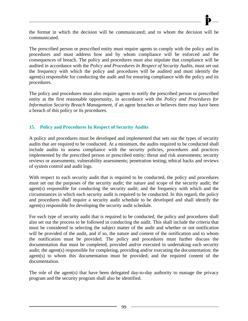the format in which the decision will be communicated; and to whom the decision will be communicated.

The prescribed person or prescribed entity must require agents to comply with the policy and its procedures and must address how and by whom compliance will be enforced and the consequences of breach. The policy and procedures must also stipulate that compliance will be audited in accordance with the *Policy and Procedures In Respect of Security Audits*, must set out the frequency with which the policy and procedures will be audited and must identify the agent(s) responsible for conducting the audit and for ensuring compliance with the policy and its procedures.

The policy and procedures must also require agents to notify the prescribed person or prescribed entity at the first reasonable opportunity, in accordance with the *Policy and Procedures for Information Security Breach Management*, if an agent breaches or believes there may have been a breach of this policy or its procedures.

## **15. Policy and Procedures In Respect of Security Audits**

A policy and procedures must be developed and implemented that sets out the types of security audits that are required to be conducted. At a minimum, the audits required to be conducted shall include audits to assess compliance with the security policies, procedures and practices implemented by the prescribed person or prescribed entity; threat and risk assessments; security reviews or assessments; vulnerability assessments; penetration testing; ethical hacks and reviews of system control and audit logs.

With respect to each security audit that is required to be conducted, the policy and procedures must set out the purposes of the security audit; the nature and scope of the security audit; the agent(s) responsible for conducting the security audit; and the frequency with which and the circumstances in which each security audit is required to be conducted. In this regard, the policy and procedures shall require a security audit schedule to be developed and shall identify the agent(s) responsible for developing the security audit schedule.

For each type of security audit that is required to be conducted, the policy and procedures shall also set out the process to be followed in conducting the audit. This shall include the criteria that must be considered in selecting the subject matter of the audit and whether or not notification will be provided of the audit, and if so, the nature and content of the notification and to whom the notification must be provided. The policy and procedures must further discuss the documentation that must be completed, provided and/or executed in undertaking each security audit; the agent(s) responsible for completing, providing and/or executing the documentation; the agent(s) to whom this documentation must be provided; and the required content of the documentation.

The role of the agent(s) that have been delegated day-to-day authority to manage the privacy program and the security program shall also be identified.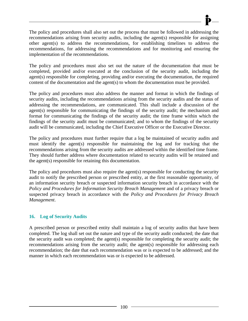The policy and procedures shall also set out the process that must be followed in addressing the recommendations arising from security audits, including the agent(s) responsible for assigning other agent(s) to address the recommendations, for establishing timelines to address the recommendations, for addressing the recommendations and for monitoring and ensuring the implementation of the recommendations.

The policy and procedures must also set out the nature of the documentation that must be completed, provided and/or executed at the conclusion of the security audit, including the agent(s) responsible for completing, providing and/or executing the documentation, the required content of the documentation and the agent(s) to whom the documentation must be provided.

The policy and procedures must also address the manner and format in which the findings of security audits, including the recommendations arising from the security audits and the status of addressing the recommendations, are communicated. This shall include a discussion of the agent(s) responsible for communicating the findings of the security audit; the mechanism and format for communicating the findings of the security audit; the time frame within which the findings of the security audit must be communicated; and to whom the findings of the security audit will be communicated, including the Chief Executive Officer or the Executive Director.

The policy and procedures must further require that a log be maintained of security audits and must identify the agent(s) responsible for maintaining the log and for tracking that the recommendations arising from the security audits are addressed within the identified time frame. They should further address where documentation related to security audits will be retained and the agent(s) responsible for retaining this documentation.

The policy and procedures must also require the agent(s) responsible for conducting the security audit to notify the prescribed person or prescribed entity, at the first reasonable opportunity, of an information security breach or suspected information security breach in accordance with the *Policy and Procedures for Information Security Breach Management* and of a privacy breach or suspected privacy breach in accordance with the *Policy and Procedures for Privacy Breach Management*.

## **16. Log of Security Audits**

A prescribed person or prescribed entity shall maintain a log of security audits that have been completed. The log shall set out the nature and type of the security audit conducted; the date that the security audit was completed; the agent(s) responsible for completing the security audit; the recommendations arising from the security audit; the agent(s) responsible for addressing each recommendation; the date that each recommendation was or is expected to be addressed; and the manner in which each recommendation was or is expected to be addressed.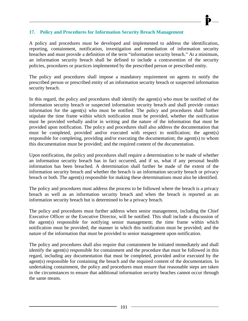## **17. Policy and Procedures for Information Security Breach Management**

A policy and procedures must be developed and implemented to address the identification, reporting, containment, notification, investigation and remediation of information security breaches and must provide a definition of the term "information security breach." At a minimum, an information security breach shall be defined to include a contravention of the security policies, procedures or practices implemented by the prescribed person or prescribed entity.

The policy and procedures shall impose a mandatory requirement on agents to notify the prescribed person or prescribed entity of an information security breach or suspected information security breach.

In this regard, the policy and procedures shall identify the agent(s) who must be notified of the information security breach or suspected information security breach and shall provide contact information for the agent(s) who must be notified. The policy and procedures shall further stipulate the time frame within which notification must be provided, whether the notification must be provided verbally and/or in writing and the nature of the information that must be provided upon notification. The policy and procedures shall also address the documentation that must be completed, provided and/or executed with respect to notification; the agent(s) responsible for completing, providing and/or executing the documentation; the agent(s) to whom this documentation must be provided; and the required content of the documentation.

Upon notification, the policy and procedures shall require a determination to be made of whether an information security breach has in fact occurred, and if so, what if any personal health information has been breached. A determination shall further be made of the extent of the information security breach and whether the breach is an information security breach or privacy breach or both. The agent(s) responsible for making these determinations must also be identified.

The policy and procedures must address the process to be followed where the breach is a privacy breach as well as an information security breach and when the breach is reported as an information security breach but is determined to be a privacy breach.

The policy and procedures must further address when senior management, including the Chief Executive Officer or the Executive Director, will be notified. This shall include a discussion of the agent(s) responsible for notifying senior management; the time frame within which notification must be provided; the manner in which this notification must be provided; and the nature of the information that must be provided to senior management upon notification.

The policy and procedures shall also require that containment be initiated immediately and shall identify the agent(s) responsible for containment and the procedure that must be followed in this regard, including any documentation that must be completed, provided and/or executed by the agent(s) responsible for containing the breach and the required content of the documentation. In undertaking containment, the policy and procedures must ensure that reasonable steps are taken in the circumstances to ensure that additional information security beaches cannot occur through the same means.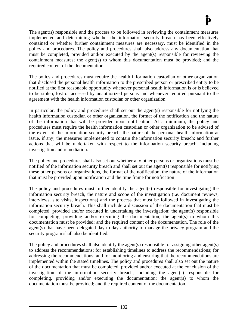The agent(s) responsible and the process to be followed in reviewing the containment measures implemented and determining whether the information security breach has been effectively contained or whether further containment measures are necessary, must be identified in the policy and procedures. The policy and procedures shall also address any documentation that must be completed, provided and/or executed by the agent(s) responsible for reviewing the containment measures; the agent(s) to whom this documentation must be provided; and the required content of the documentation.

The policy and procedures must require the health information custodian or other organization that disclosed the personal health information to the prescribed person or prescribed entity to be notified at the first reasonable opportunity whenever personal health information is or is believed to be stolen, lost or accessed by unauthorized persons and whenever required pursuant to the agreement with the health information custodian or other organization.

In particular, the policy and procedures shall set out the agent(s) responsible for notifying the health information custodian or other organization, the format of the notification and the nature of the information that will be provided upon notification. At a minimum, the policy and procedures must require the health information custodian or other organization to be advised of the extent of the information security breach; the nature of the personal health information at issue, if any; the measures implemented to contain the information security breach; and further actions that will be undertaken with respect to the information security breach, including investigation and remediation.

The policy and procedures shall also set out whether any other persons or organizations must be notified of the information security breach and shall set out the agent(s) responsible for notifying these other persons or organizations, the format of the notification, the nature of the information that must be provided upon notification and the time frame for notification

The policy and procedures must further identify the agent(s) responsible for investigating the information security breach, the nature and scope of the investigation (i.e. document reviews, interviews, site visits, inspections) and the process that must be followed in investigating the information security breach. This shall include a discussion of the documentation that must be completed, provided and/or executed in undertaking the investigation; the agent(s) responsible for completing, providing and/or executing the documentation; the agent(s) to whom this documentation must be provided; and the required content of the documentation. The role of the agent(s) that have been delegated day-to-day authority to manage the privacy program and the security program shall also be identified.

The policy and procedures shall also identify the agent(s) responsible for assigning other agent(s) to address the recommendations; for establishing timelines to address the recommendations; for addressing the recommendations; and for monitoring and ensuring that the recommendations are implemented within the stated timelines. The policy and procedures shall also set out the nature of the documentation that must be completed, provided and/or executed at the conclusion of the investigation of the information security breach, including the agent(s) responsible for completing, providing and/or executing the documentation; the agent(s) to whom the documentation must be provided; and the required content of the documentation.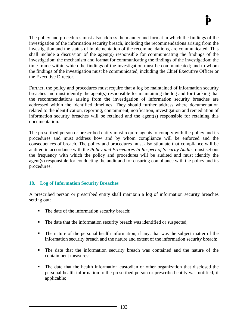The policy and procedures must also address the manner and format in which the findings of the investigation of the information security breach, including the recommendations arising from the investigation and the status of implementation of the recommendations, are communicated. This shall include a discussion of the agent(s) responsible for communicating the findings of the investigation; the mechanism and format for communicating the findings of the investigation; the time frame within which the findings of the investigation must be communicated; and to whom the findings of the investigation must be communicated, including the Chief Executive Officer or the Executive Director.

Further, the policy and procedures must require that a log be maintained of information security breaches and must identify the agent(s) responsible for maintaining the log and for tracking that the recommendations arising from the investigation of information security breaches are addressed within the identified timelines. They should further address where documentation related to the identification, reporting, containment, notification, investigation and remediation of information security breaches will be retained and the agent(s) responsible for retaining this documentation.

The prescribed person or prescribed entity must require agents to comply with the policy and its procedures and must address how and by whom compliance will be enforced and the consequences of breach. The policy and procedures must also stipulate that compliance will be audited in accordance with the *Policy and Procedures In Respect of Security Audits*, must set out the frequency with which the policy and procedures will be audited and must identify the agent(s) responsible for conducting the audit and for ensuring compliance with the policy and its procedures.

# **18. Log of Information Security Breaches**

A prescribed person or prescribed entity shall maintain a log of information security breaches setting out:

- The date of the information security breach;
- The date that the information security breach was identified or suspected;
- The nature of the personal health information, if any, that was the subject matter of the information security breach and the nature and extent of the information security breach;
- The date that the information security breach was contained and the nature of the containment measures;
- The date that the health information custodian or other organization that disclosed the personal health information to the prescribed person or prescribed entity was notified, if applicable;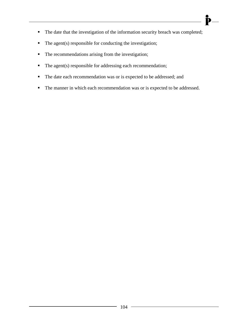The date that the investigation of the information security breach was completed;

 $\mathbf{\dot{P}}-$ 

- $\blacksquare$  The agent(s) responsible for conducting the investigation;
- The recommendations arising from the investigation;
- The agent(s) responsible for addressing each recommendation;
- The date each recommendation was or is expected to be addressed; and
- The manner in which each recommendation was or is expected to be addressed.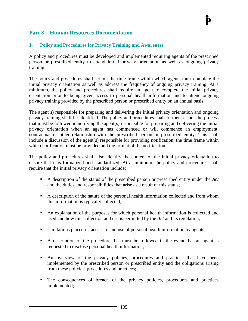### **Part 3 – Human Resources Documentation**

#### **1. Policy and Procedures for Privacy Training and Awareness**

A policy and procedures must be developed and implemented requiring agents of the prescribed person or prescribed entity to attend initial privacy orientation as well as ongoing privacy training.

The policy and procedures shall set out the time frame within which agents must complete the initial privacy orientation as well as address the frequency of ongoing privacy training. At a minimum, the policy and procedures shall require an agent to complete the initial privacy orientation prior to being given access to personal health information and to attend ongoing privacy training provided by the prescribed person or prescribed entity on an annual basis.

The agent(s) responsible for preparing and delivering the initial privacy orientation and ongoing privacy training shall be identified. The policy and procedures shall further set out the process that must be followed in notifying the agent(s) responsible for preparing and delivering the initial privacy orientation when an agent has commenced or will commence an employment, contractual or other relationship with the prescribed person or prescribed entity. This shall include a discussion of the agent(s) responsible for providing notification, the time frame within which notification must be provided and the format of the notification.

The policy and procedures shall also identify the content of the initial privacy orientation to ensure that it is formalized and standardized. At a minimum, the policy and procedures shall require that the initial privacy orientation include:

- A description of the status of the prescribed person or prescribed entity under the *Act*  and the duties and responsibilities that arise as a result of this status;
- A description of the nature of the personal health information collected and from whom this information is typically collected;
- An explanation of the purposes for which personal health information is collected and used and how this collection and use is permitted by the *Act* and its regulation;
- Limitations placed on access to and use of personal health information by agents;
- A description of the procedure that must be followed in the event that an agent is requested to disclose personal health information;
- An overview of the privacy policies, procedures and practices that have been implemented by the prescribed person or prescribed entity and the obligations arising from these policies, procedures and practices;
- The consequences of breach of the privacy policies, procedures and practices implemented;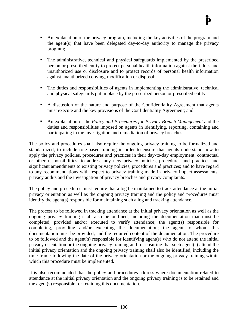- An explanation of the privacy program, including the key activities of the program and the agent(s) that have been delegated day-to-day authority to manage the privacy program;
- The administrative, technical and physical safeguards implemented by the prescribed person or prescribed entity to protect personal health information against theft, loss and unauthorized use or disclosure and to protect records of personal health information against unauthorized copying, modification or disposal;
- The duties and responsibilities of agents in implementing the administrative, technical and physical safeguards put in place by the prescribed person or prescribed entity;
- A discussion of the nature and purpose of the Confidentiality Agreement that agents must execute and the key provisions of the Confidentiality Agreement; and
- An explanation of the *Policy and Procedures for Privacy Breach Management* and the duties and responsibilities imposed on agents in identifying, reporting, containing and participating in the investigation and remediation of privacy breaches.

The policy and procedures shall also require the ongoing privacy training to be formalized and standardized; to include role-based training in order to ensure that agents understand how to apply the privacy policies, procedures and practices in their day-to-day employment, contractual or other responsibilities; to address any new privacy policies, procedures and practices and significant amendments to existing privacy policies, procedures and practices; and to have regard to any recommendations with respect to privacy training made in privacy impact assessments, privacy audits and the investigation of privacy breaches and privacy complaints.

The policy and procedures must require that a log be maintained to track attendance at the initial privacy orientation as well as the ongoing privacy training and the policy and procedures must identify the agent(s) responsible for maintaining such a log and tracking attendance.

The process to be followed in tracking attendance at the initial privacy orientation as well as the ongoing privacy training shall also be outlined, including the documentation that must be completed, provided and/or executed to verify attendance; the agent(s) responsible for completing, providing and/or executing the documentation; the agent to whom this documentation must be provided; and the required content of the documentation. The procedure to be followed and the agent(s) responsible for identifying agent(s) who do not attend the initial privacy orientation or the ongoing privacy training and for ensuring that such agent(s) attend the initial privacy orientation and the ongoing privacy training shall also be identified, including the time frame following the date of the privacy orientation or the ongoing privacy training within which this procedure must be implemented.

It is also recommended that the policy and procedures address where documentation related to attendance at the initial privacy orientation and the ongoing privacy training is to be retained and the agent(s) responsible for retaining this documentation.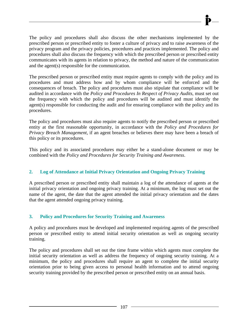The policy and procedures shall also discuss the other mechanisms implemented by the prescribed person or prescribed entity to foster a culture of privacy and to raise awareness of the privacy program and the privacy policies, procedures and practices implemented. The policy and procedures shall also discuss the frequency with which the prescribed person or prescribed entity communicates with its agents in relation to privacy, the method and nature of the communication and the agent(s) responsible for the communication.

The prescribed person or prescribed entity must require agents to comply with the policy and its procedures and must address how and by whom compliance will be enforced and the consequences of breach. The policy and procedures must also stipulate that compliance will be audited in accordance with the *Policy and Procedures In Respect of Privacy Audits*, must set out the frequency with which the policy and procedures will be audited and must identify the agent(s) responsible for conducting the audit and for ensuring compliance with the policy and its procedures.

The policy and procedures must also require agents to notify the prescribed person or prescribed entity at the first reasonable opportunity, in accordance with the *Policy and Procedures for Privacy Breach Management*, if an agent breaches or believes there may have been a breach of this policy or its procedures.

This policy and its associated procedures may either be a stand-alone document or may be combined with the *Policy and Procedures for Security Training and Awareness*.

### **2. Log of Attendance at Initial Privacy Orientation and Ongoing Privacy Training**

A prescribed person or prescribed entity shall maintain a log of the attendance of agents at the initial privacy orientation and ongoing privacy training. At a minimum, the log must set out the name of the agent, the date that the agent attended the initial privacy orientation and the dates that the agent attended ongoing privacy training.

#### **3. Policy and Procedures for Security Training and Awareness**

A policy and procedures must be developed and implemented requiring agents of the prescribed person or prescribed entity to attend initial security orientation as well as ongoing security training.

The policy and procedures shall set out the time frame within which agents must complete the initial security orientation as well as address the frequency of ongoing security training. At a minimum, the policy and procedures shall require an agent to complete the initial security orientation prior to being given access to personal health information and to attend ongoing security training provided by the prescribed person or prescribed entity on an annual basis.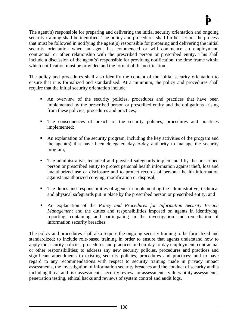The agent(s) responsible for preparing and delivering the initial security orientation and ongoing security training shall be identified. The policy and procedures shall further set out the process that must be followed in notifying the agent(s) responsible for preparing and delivering the initial security orientation when an agent has commenced or will commence an employment, contractual or other relationship with the prescribed person or prescribed entity. This shall include a discussion of the agent(s) responsible for providing notification, the time frame within which notification must be provided and the format of the notification.

The policy and procedures shall also identify the content of the initial security orientation to ensure that it is formalized and standardized. At a minimum, the policy and procedures shall require that the initial security orientation include:

- An overview of the security policies, procedures and practices that have been implemented by the prescribed person or prescribed entity and the obligations arising from these policies, procedures and practices;
- The consequences of breach of the security policies, procedures and practices implemented;
- An explanation of the security program, including the key activities of the program and the agent(s) that have been delegated day-to-day authority to manage the security program;
- The administrative, technical and physical safeguards implemented by the prescribed person or prescribed entity to protect personal health information against theft, loss and unauthorized use or disclosure and to protect records of personal health information against unauthorized copying, modification or disposal;
- The duties and responsibilities of agents in implementing the administrative, technical and physical safeguards put in place by the prescribed person or prescribed entity; and
- An explanation of the *Policy and Procedures for Information Security Breach Management* and the duties and responsibilities imposed on agents in identifying, reporting, containing and participating in the investigation and remediation of information security breaches.

The policy and procedures shall also require the ongoing security training to be formalized and standardized; to include role-based training in order to ensure that agents understand how to apply the security policies, procedures and practices in their day-to-day employment, contractual or other responsibilities; to address any new security policies, procedures and practices and significant amendments to existing security policies, procedures and practices; and to have regard to any recommendations with respect to security training made in privacy impact assessments, the investigation of information security breaches and the conduct of security audits including threat and risk assessments, security reviews or assessments, vulnerability assessments, penetration testing, ethical hacks and reviews of system control and audit logs.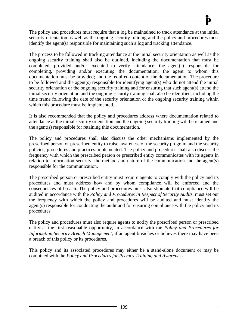The policy and procedures must require that a log be maintained to track attendance at the initial security orientation as well as the ongoing security training and the policy and procedures must identify the agent(s) responsible for maintaining such a log and tracking attendance.

The process to be followed in tracking attendance at the initial security orientation as well as the ongoing security training shall also be outlined, including the documentation that must be completed, provided and/or executed to verify attendance; the agent(s) responsible for completing, providing and/or executing the documentation; the agent to whom this documentation must be provided; and the required content of the documentation. The procedure to be followed and the agent(s) responsible for identifying agent(s) who do not attend the initial security orientation or the ongoing security training and for ensuring that such agent(s) attend the initial security orientation and the ongoing security training shall also be identified, including the time frame following the date of the security orientation or the ongoing security training within which this procedure must be implemented.

It is also recommended that the policy and procedures address where documentation related to attendance at the initial security orientation and the ongoing security training will be retained and the agent(s) responsible for retaining this documentation.

The policy and procedures shall also discuss the other mechanisms implemented by the prescribed person or prescribed entity to raise awareness of the security program and the security policies, procedures and practices implemented. The policy and procedures shall also discuss the frequency with which the prescribed person or prescribed entity communicates with its agents in relation to information security, the method and nature of the communication and the agent(s) responsible for the communication.

The prescribed person or prescribed entity must require agents to comply with the policy and its procedures and must address how and by whom compliance will be enforced and the consequences of breach. The policy and procedures must also stipulate that compliance will be audited in accordance with the *Policy and Procedures In Respect of Security Audits*, must set out the frequency with which the policy and procedures will be audited and must identify the agent(s) responsible for conducting the audit and for ensuring compliance with the policy and its procedures.

The policy and procedures must also require agents to notify the prescribed person or prescribed entity at the first reasonable opportunity, in accordance with the *Policy and Procedures for Information Security Breach Management*, if an agent breaches or believes there may have been a breach of this policy or its procedures.

This policy and its associated procedures may either be a stand-alone document or may be combined with the *Policy and Procedures for Privacy Training and Awareness*.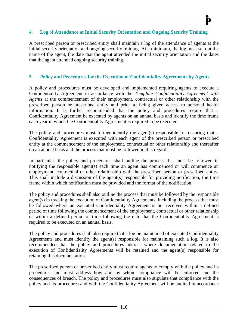#### **4. Log of Attendance at Initial Security Orientation and Ongoing Security Training**

A prescribed person or prescribed entity shall maintain a log of the attendance of agents at the initial security orientation and ongoing security training. At a minimum, the log must set out the name of the agent, the date that the agent attended the initial security orientation and the dates that the agent attended ongoing security training.

#### **5. Policy and Procedures for the Execution of Confidentiality Agreements by Agents**

A policy and procedures must be developed and implemented requiring agents to execute a Confidentiality Agreement in accordance with the *Template Confidentiality Agreement with Agents* at the commencement of their employment, contractual or other relationship with the prescribed person or prescribed entity and prior to being given access to personal health information. It is further recommended that the policy and procedures require that a Confidentiality Agreement be executed by agents on an annual basis and identify the time frame each year in which the Confidentiality Agreement is required to be executed.

The policy and procedures must further identify the agent(s) responsible for ensuring that a Confidentiality Agreement is executed with each agent of the prescribed person or prescribed entity at the commencement of the employment, contractual or other relationship and thereafter on an annual basis and the process that must be followed in this regard.

In particular, the policy and procedures shall outline the process that must be followed in notifying the responsible agent(s) each time an agent has commenced or will commence an employment, contractual or other relationship with the prescribed person or prescribed entity. This shall include a discussion of the agent(s) responsible for providing notification, the time frame within which notification must be provided and the format of the notification.

The policy and procedures shall also outline the process that must be followed by the responsible agent(s) in tracking the execution of Confidentiality Agreements, including the process that must be followed where an executed Confidentiality Agreement is not received within a defined period of time following the commencement of the employment, contractual or other relationship or within a defined period of time following the date that the Confidentiality Agreement is required to be executed on an annual basis.

The policy and procedures shall also require that a log be maintained of executed Confidentiality Agreements and must identify the agent(s) responsible for maintaining such a log. It is also recommended that the policy and procedures address where documentation related to the execution of Confidentiality Agreements will be retained and the agent(s) responsible for retaining this documentation.

The prescribed person or prescribed entity must require agents to comply with the policy and its procedures and must address how and by whom compliance will be enforced and the consequences of breach. The policy and procedures must also stipulate that compliance with the policy and its procedures and with the Confidentiality Agreement will be audited in accordance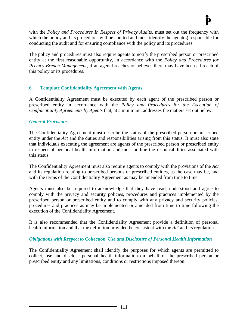with the *Policy and Procedures In Respect of Privacy Audits*, must set out the frequency with which the policy and its procedures will be audited and must identify the agent(s) responsible for conducting the audit and for ensuring compliance with the policy and its procedures.

The policy and procedures must also require agents to notify the prescribed person or prescribed entity at the first reasonable opportunity, in accordance with the *Policy and Procedures for Privacy Breach Management*, if an agent breaches or believes there may have been a breach of this policy or its procedures.

#### **6. Template Confidentiality Agreement with Agents**

A Confidentiality Agreement must be executed by each agent of the prescribed person or prescribed entity in accordance with the *Policy and Procedures for the Execution of Confidentiality Agreements by Agents* that, at a minimum, addresses the matters set out below.

#### *General Provisions*

The Confidentiality Agreement must describe the status of the prescribed person or prescribed entity under the *Act* and the duties and responsibilities arising from this status. It must also state that individuals executing the agreement are agents of the prescribed person or prescribed entity in respect of personal health information and must outline the responsibilities associated with this status.

The Confidentiality Agreement must also require agents to comply with the provisions of the *Act*  and its regulation relating to prescribed persons or prescribed entities, as the case may be, and with the terms of the Confidentiality Agreement as may be amended from time to time.

Agents must also be required to acknowledge that they have read, understood and agree to comply with the privacy and security policies, procedures and practices implemented by the prescribed person or prescribed entity and to comply with any privacy and security policies, procedures and practices as may be implemented or amended from time to time following the execution of the Confidentiality Agreement.

It is also recommended that the Confidentiality Agreement provide a definition of personal health information and that the definition provided be consistent with the *Act* and its regulation.

#### *Obligations with Respect to Collection, Use and Disclosure of Personal Health Information*

The Confidentiality Agreement shall identify the purposes for which agents are permitted to collect, use and disclose personal health information on behalf of the prescribed person or prescribed entity and any limitations, conditions or restrictions imposed thereon.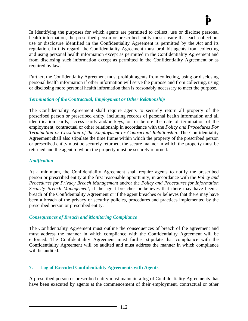In identifying the purposes for which agents are permitted to collect, use or disclose personal health information, the prescribed person or prescribed entity must ensure that each collection, use or disclosure identified in the Confidentiality Agreement is permitted by the *Act* and its regulation. In this regard, the Confidentiality Agreement must prohibit agents from collecting and using personal health information except as permitted in the Confidentiality Agreement and from disclosing such information except as permitted in the Confidentiality Agreement or as required by law.

Further, the Confidentiality Agreement must prohibit agents from collecting, using or disclosing personal health information if other information will serve the purpose and from collecting, using or disclosing more personal health information than is reasonably necessary to meet the purpose.

#### *Termination of the Contractual, Employment or Other Relationship*

The Confidentiality Agreement shall require agents to securely return all property of the prescribed person or prescribed entity, including records of personal health information and all identification cards, access cards and/or keys, on or before the date of termination of the employment, contractual or other relationship in accordance with the *Policy and Procedures For Termination or Cessation of the Employment or Contractual Relationship*. The Confidentiality Agreement shall also stipulate the time frame within which the property of the prescribed person or prescribed entity must be securely returned, the secure manner in which the property must be returned and the agent to whom the property must be securely returned.

#### *Notification*

At a minimum, the Confidentiality Agreement shall require agents to notify the prescribed person or prescribed entity at the first reasonable opportunity, in accordance with the *Policy and Procedures for Privacy Breach Management* and/or the *Policy and Procedures for Information Security Breach Management*, if the agent breaches or believes that there may have been a breach of the Confidentiality Agreement or if the agent breaches or believes that there may have been a breach of the privacy or security policies, procedures and practices implemented by the prescribed person or prescribed entity.

#### *Consequences of Breach and Monitoring Compliance*

The Confidentiality Agreement must outline the consequences of breach of the agreement and must address the manner in which compliance with the Confidentiality Agreement will be enforced. The Confidentiality Agreement must further stipulate that compliance with the Confidentiality Agreement will be audited and must address the manner in which compliance will be audited.

#### **7. Log of Executed Confidentiality Agreements with Agents**

A prescribed person or prescribed entity must maintain a log of Confidentiality Agreements that have been executed by agents at the commencement of their employment, contractual or other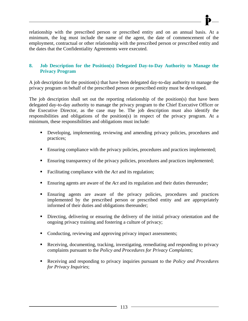relationship with the prescribed person or prescribed entity and on an annual basis. At a minimum, the log must include the name of the agent, the date of commencement of the employment, contractual or other relationship with the prescribed person or prescribed entity and the dates that the Confidentiality Agreements were executed.

#### **8. Job Description for the Position(s) Delegated Day-to-Day Authority to Manage the Privacy Program**

A job description for the position(s) that have been delegated day-to-day authority to manage the privacy program on behalf of the prescribed person or prescribed entity must be developed.

The job description shall set out the reporting relationship of the position(s) that have been delegated day-to-day authority to manage the privacy program to the Chief Executive Officer or the Executive Director, as the case may be. The job description must also identify the responsibilities and obligations of the position(s) in respect of the privacy program. At a minimum, these responsibilities and obligations must include:

- Developing, implementing, reviewing and amending privacy policies, procedures and practices;
- **Ensuring compliance with the privacy policies, procedures and practices implemented;**
- **Ensuring transparency of the privacy policies, procedures and practices implemented;**
- Facilitating compliance with the *Act* and its regulation;
- Ensuring agents are aware of the *Act* and its regulation and their duties thereunder;
- Ensuring agents are aware of the privacy policies, procedures and practices implemented by the prescribed person or prescribed entity and are appropriately informed of their duties and obligations thereunder;
- Directing, delivering or ensuring the delivery of the initial privacy orientation and the ongoing privacy training and fostering a culture of privacy;
- Conducting, reviewing and approving privacy impact assessments;
- Receiving, documenting, tracking, investigating, remediating and responding to privacy complaints pursuant to the *Policy and Procedures for Privacy Complaints*;
- Receiving and responding to privacy inquiries pursuant to the *Policy and Procedures for Privacy Inquiries*;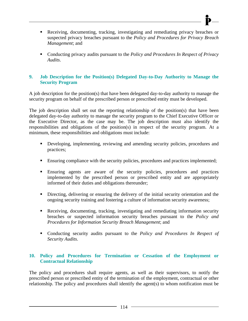- Receiving, documenting, tracking, investigating and remediating privacy breaches or suspected privacy breaches pursuant to the *Policy and Procedures for Privacy Breach*
- Conducting privacy audits pursuant to the *Policy and Procedures In Respect of Privacy Audits*.

#### **9. Job Description for the Position(s) Delegated Day-to-Day Authority to Manage the Security Program**

*Management*; and

A job description for the position(s) that have been delegated day-to-day authority to manage the security program on behalf of the prescribed person or prescribed entity must be developed.

The job description shall set out the reporting relationship of the position(s) that have been delegated day-to-day authority to manage the security program to the Chief Executive Officer or the Executive Director, as the case may be. The job description must also identify the responsibilities and obligations of the position(s) in respect of the security program. At a minimum, these responsibilities and obligations must include:

- Developing, implementing, reviewing and amending security policies, procedures and practices;
- **Ensuring compliance with the security policies, procedures and practices implemented;**
- Ensuring agents are aware of the security policies, procedures and practices implemented by the prescribed person or prescribed entity and are appropriately informed of their duties and obligations thereunder;
- Directing, delivering or ensuring the delivery of the initial security orientation and the ongoing security training and fostering a culture of information security awareness;
- Receiving, documenting, tracking, investigating and remediating information security breaches or suspected information security breaches pursuant to the *Policy and Procedures for Information Security Breach Management*; and
- Conducting security audits pursuant to the *Policy and Procedures In Respect of Security Audits*.

#### **10. Policy and Procedures for Termination or Cessation of the Employment or Contractual Relationship**

The policy and procedures shall require agents, as well as their supervisors, to notify the prescribed person or prescribed entity of the termination of the employment, contractual or other relationship. The policy and procedures shall identify the agent(s) to whom notification must be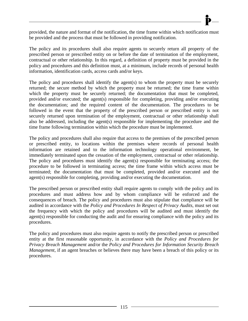

provided, the nature and format of the notification, the time frame within which notification must be provided and the process that must be followed in providing notification.

The policy and its procedures shall also require agents to securely return all property of the prescribed person or prescribed entity on or before the date of termination of the employment, contractual or other relationship. In this regard, a definition of property must be provided in the policy and procedures and this definition must, at a minimum, include records of personal health information, identification cards, access cards and/or keys.

The policy and procedures shall identify the agent(s) to whom the property must be securely returned; the secure method by which the property must be returned; the time frame within which the property must be securely returned; the documentation that must be completed, provided and/or executed; the agent(s) responsible for completing, providing and/or executing the documentation; and the required content of the documentation. The procedures to be followed in the event that the property of the prescribed person or prescribed entity is not securely returned upon termination of the employment, contractual or other relationship shall also be addressed, including the agent(s) responsible for implementing the procedure and the time frame following termination within which the procedure must be implemented.

The policy and procedures shall also require that access to the premises of the prescribed person or prescribed entity, to locations within the premises where records of personal health information are retained and to the information technology operational environment, be immediately terminated upon the cessation of the employment, contractual or other relationship. The policy and procedures must identify the agent(s) responsible for terminating access; the procedure to be followed in terminating access; the time frame within which access must be terminated; the documentation that must be completed, provided and/or executed and the agent(s) responsible for completing, providing and/or executing the documentation.

The prescribed person or prescribed entity shall require agents to comply with the policy and its procedures and must address how and by whom compliance will be enforced and the consequences of breach. The policy and procedures must also stipulate that compliance will be audited in accordance with the *Policy and Procedures In Respect of Privacy Audits*, must set out the frequency with which the policy and procedures will be audited and must identify the agent(s) responsible for conducting the audit and for ensuring compliance with the policy and its procedures.

The policy and procedures must also require agents to notify the prescribed person or prescribed entity at the first reasonable opportunity, in accordance with the *Policy and Procedures for Privacy Breach Management* and/or the *Policy and Procedures for Information Security Breach Management*, if an agent breaches or believes there may have been a breach of this policy or its procedures.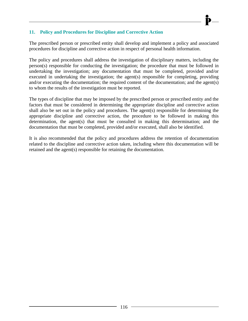#### **11. Policy and Procedures for Discipline and Corrective Action**

The prescribed person or prescribed entity shall develop and implement a policy and associated procedures for discipline and corrective action in respect of personal health information.

The policy and procedures shall address the investigation of disciplinary matters, including the person(s) responsible for conducting the investigation; the procedure that must be followed in undertaking the investigation; any documentation that must be completed, provided and/or executed in undertaking the investigation; the agent(s) responsible for completing, providing and/or executing the documentation; the required content of the documentation; and the agent(s) to whom the results of the investigation must be reported.

The types of discipline that may be imposed by the prescribed person or prescribed entity and the factors that must be considered in determining the appropriate discipline and corrective action shall also be set out in the policy and procedures. The agent(s) responsible for determining the appropriate discipline and corrective action, the procedure to be followed in making this determination, the agent(s) that must be consulted in making this determination; and the documentation that must be completed, provided and/or executed, shall also be identified.

It is also recommended that the policy and procedures address the retention of documentation related to the discipline and corrective action taken, including where this documentation will be retained and the agent(s) responsible for retaining the documentation.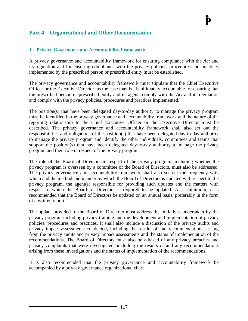### **Part 4 – Organizational and Other Documentation**

#### **1. Privacy Governance and Accountability Framework**

A privacy governance and accountability framework for ensuring compliance with the *Act* and its regulation and for ensuring compliance with the privacy policies, procedures and practices implemented by the prescribed person or prescribed entity must be established.

The privacy governance and accountability framework must stipulate that the Chief Executive Officer or the Executive Director, as the case may be, is ultimately accountable for ensuring that the prescribed person or prescribed entity and its agents comply with the *Act* and its regulation and comply with the privacy policies, procedures and practices implemented.

The position(s) that have been delegated day-to-day authority to manage the privacy program must be identified in the privacy governance and accountability framework and the nature of the reporting relationship to the Chief Executive Officer or the Executive Director must be described. The privacy governance and accountability framework shall also set out the responsibilities and obligations of the position(s) that have been delegated day-to-day authority to manage the privacy program and identify the other individuals, committees and teams that support the position(s) that have been delegated day-to-day authority to manage the privacy program and their role in respect of the privacy program.

The role of the Board of Directors in respect of the privacy program, including whether the privacy program is overseen by a committee of the Board of Directors, must also be addressed. The privacy governance and accountability framework shall also set out the frequency with which and the method and manner by which the Board of Directors is updated with respect to the privacy program, the agent(s) responsible for providing such updates and the matters with respect to which the Board of Directors is required to be updated. At a minimum, it is recommended that the Board of Directors be updated on an annual basis, preferably in the form of a written report.

The update provided to the Board of Directors must address the initiatives undertaken by the privacy program including privacy training and the development and implementation of privacy policies, procedures and practices. It shall also include a discussion of the privacy audits and privacy impact assessments conducted, including the results of and recommendations arising from the privacy audits and privacy impact assessments and the status of implementation of the recommendations. The Board of Directors must also be advised of any privacy breaches and privacy complaints that were investigated, including the results of and any recommendations arising from these investigations and the status of implementation of the recommendations.

It is also recommended that the privacy governance and accountability framework be accompanied by a privacy governance organizational chart.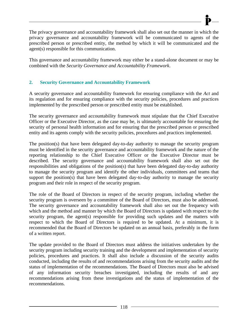The privacy governance and accountability framework shall also set out the manner in which the privacy governance and accountability framework will be communicated to agents of the prescribed person or prescribed entity, the method by which it will be communicated and the agent(s) responsible for this communication.

This governance and accountability framework may either be a stand-alone document or may be combined with the *Security Governance and Accountability Framework*.

#### **2. Security Governance and Accountability Framework**

A security governance and accountability framework for ensuring compliance with the *Act* and its regulation and for ensuring compliance with the security policies, procedures and practices implemented by the prescribed person or prescribed entity must be established.

The security governance and accountability framework must stipulate that the Chief Executive Officer or the Executive Director, as the case may be, is ultimately accountable for ensuring the security of personal health information and for ensuring that the prescribed person or prescribed entity and its agents comply with the security policies, procedures and practices implemented.

The position(s) that have been delegated day-to-day authority to manage the security program must be identified in the security governance and accountability framework and the nature of the reporting relationship to the Chief Executive Officer or the Executive Director must be described. The security governance and accountability framework shall also set out the responsibilities and obligations of the position(s) that have been delegated day-to-day authority to manage the security program and identify the other individuals, committees and teams that support the position(s) that have been delegated day-to-day authority to manage the security program and their role in respect of the security program.

The role of the Board of Directors in respect of the security program, including whether the security program is overseen by a committee of the Board of Directors, must also be addressed. The security governance and accountability framework shall also set out the frequency with which and the method and manner by which the Board of Directors is updated with respect to the security program, the agent(s) responsible for providing such updates and the matters with respect to which the Board of Directors is required to be updated. At a minimum, it is recommended that the Board of Directors be updated on an annual basis, preferably in the form of a written report.

The update provided to the Board of Directors must address the initiatives undertaken by the security program including security training and the development and implementation of security policies, procedures and practices. It shall also include a discussion of the security audits conducted, including the results of and recommendations arising from the security audits and the status of implementation of the recommendations. The Board of Directors must also be advised of any information security breaches investigated, including the results of and any recommendations arising from these investigations and the status of implementation of the recommendations.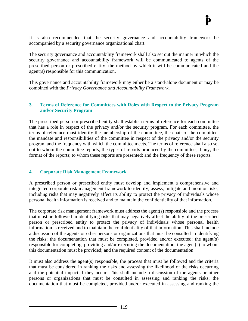It is also recommended that the security governance and accountability framework be accompanied by a security governance organizational chart.

The security governance and accountability framework shall also set out the manner in which the security governance and accountability framework will be communicated to agents of the prescribed person or prescribed entity, the method by which it will be communicated and the agent(s) responsible for this communication.

This governance and accountability framework may either be a stand-alone document or may be combined with the *Privacy Governance and Accountability Framework*.

#### **3. Terms of Reference for Committees with Roles with Respect to the Privacy Program and/or Security Program**

The prescribed person or prescribed entity shall establish terms of reference for each committee that has a role in respect of the privacy and/or the security program. For each committee, the terms of reference must identify the membership of the committee, the chair of the committee, the mandate and responsibilities of the committee in respect of the privacy and/or the security program and the frequency with which the committee meets. The terms of reference shall also set out to whom the committee reports; the types of reports produced by the committee, if any; the format of the reports; to whom these reports are presented; and the frequency of these reports.

#### **4. Corporate Risk Management Framework**

A prescribed person or prescribed entity must develop and implement a comprehensive and integrated corporate risk management framework to identify, assess, mitigate and monitor risks, including risks that may negatively affect its ability to protect the privacy of individuals whose personal health information is received and to maintain the confidentiality of that information.

The corporate risk management framework must address the agent(s) responsible and the process that must be followed in identifying risks that may negatively affect the ability of the prescribed person or prescribed entity to protect the privacy of individuals whose personal health information is received and to maintain the confidentiality of that information. This shall include a discussion of the agents or other persons or organizations that must be consulted in identifying the risks; the documentation that must be completed, provided and/or executed; the agent(s) responsible for completing, providing and/or executing the documentation; the agent(s) to whom this documentation must be provided; and the required content of the documentation.

It must also address the agent(s) responsible, the process that must be followed and the criteria that must be considered in ranking the risks and assessing the likelihood of the risks occurring and the potential impact if they occur. This shall include a discussion of the agents or other persons or organizations that must be consulted in assessing and ranking the risks; the documentation that must be completed, provided and/or executed in assessing and ranking the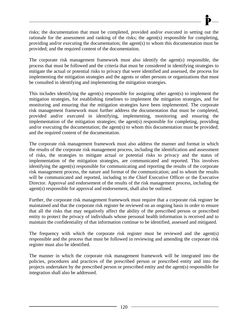risks; the documentation that must be completed, provided and/or executed in setting out the rationale for the assessment and ranking of the risks; the agent(s) responsible for completing, providing and/or executing the documentation; the agent(s) to whom this documentation must be provided; and the required content of the documentation.

The corporate risk management framework must also identify the agent(s) responsible, the process that must be followed and the criteria that must be considered in identifying strategies to mitigate the actual or potential risks to privacy that were identified and assessed, the process for implementing the mitigation strategies and the agents or other persons or organizations that must be consulted in identifying and implementing the mitigation strategies.

This includes identifying the agent(s) responsible for assigning other agent(s) to implement the mitigation strategies, for establishing timelines to implement the mitigation strategies, and for monitoring and ensuring that the mitigation strategies have been implemented. The corporate risk management framework must further address the documentation that must be completed, provided and/or executed in identifying, implementing, monitoring and ensuring the implementation of the mitigation strategies; the agent(s) responsible for completing, providing and/or executing the documentation; the agent(s) to whom this documentation must be provided; and the required content of the documentation.

The corporate risk management framework must also address the manner and format in which the results of the corporate risk management process, including the identification and assessment of risks, the strategies to mitigate actual or potential risks to privacy and the status of implementation of the mitigation strategies, are communicated and reported. This involves identifying the agent(s) responsible for communicating and reporting the results of the corporate risk management process, the nature and format of the communication; and to whom the results will be communicated and reported, including to the Chief Executive Officer or the Executive Director. Approval and endorsement of the results of the risk management process, including the agent(s) responsible for approval and endorsement, shall also be outlined.

Further, the corporate risk management framework must require that a corporate risk register be maintained and that the corporate risk register be reviewed on an ongoing basis in order to ensure that all the risks that may negatively affect the ability of the prescribed person or prescribed entity to protect the privacy of individuals whose personal health information is received and to maintain the confidentiality of that information continue to be identified, assessed and mitigated.

The frequency with which the corporate risk register must be reviewed and the agent(s) responsible and the process that must be followed in reviewing and amending the corporate risk register must also be identified.

The manner in which the corporate risk management framework will be integrated into the policies, procedures and practices of the prescribed person or prescribed entity and into the projects undertaken by the prescribed person or prescribed entity and the agent(s) responsible for integration shall also be addressed.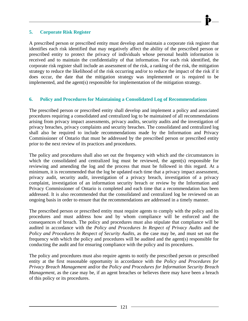#### **5. Corporate Risk Register**

A prescribed person or prescribed entity must develop and maintain a corporate risk register that identifies each risk identified that may negatively affect the ability of the prescribed person or prescribed entity to protect the privacy of individuals whose personal health information is received and to maintain the confidentiality of that information. For each risk identified, the corporate risk register shall include an assessment of the risk, a ranking of the risk, the mitigation strategy to reduce the likelihood of the risk occurring and/or to reduce the impact of the risk if it does occur, the date that the mitigation strategy was implemented or is required to be implemented, and the agent(s) responsible for implementation of the mitigation strategy.

#### **6. Policy and Procedures for Maintaining a Consolidated Log of Recommendations**

The prescribed person or prescribed entity shall develop and implement a policy and associated procedures requiring a consolidated and centralized log to be maintained of all recommendations arising from privacy impact assessments, privacy audits, security audits and the investigation of privacy breaches, privacy complaints and security breaches. The consolidated and centralized log shall also be required to include recommendations made by the Information and Privacy Commissioner of Ontario that must be addressed by the prescribed person or prescribed entity prior to the next review of its practices and procedures.

The policy and procedures shall also set out the frequency with which and the circumstances in which the consolidated and centralized log must be reviewed, the agent(s) responsible for reviewing and amending the log and the process that must be followed in this regard. At a minimum, it is recommended that the log be updated each time that a privacy impact assessment, privacy audit, security audit, investigation of a privacy breach, investigation of a privacy complaint, investigation of an information security breach or review by the Information and Privacy Commissioner of Ontario is completed and each time that a recommendation has been addressed. It is also recommended that the consolidated and centralized log be reviewed on an ongoing basis in order to ensure that the recommendations are addressed in a timely manner.

The prescribed person or prescribed entity must require agents to comply with the policy and its procedures and must address how and by whom compliance will be enforced and the consequences of breach. The policy and procedures must also stipulate that compliance will be audited in accordance with the *Policy and Procedures In Respect of Privacy Audits* and the *Policy and Procedures In Respect of Security Audits*, as the case may be, and must set out the frequency with which the policy and procedures will be audited and the agent(s) responsible for conducting the audit and for ensuring compliance with the policy and its procedures.

The policy and procedures must also require agents to notify the prescribed person or prescribed entity at the first reasonable opportunity in accordance with the *Policy and Procedures for Privacy Breach Management* and/or the *Policy and Procedures for Information Security Breach Management*, as the case may be, if an agent breaches or believes there may have been a breach of this policy or its procedures.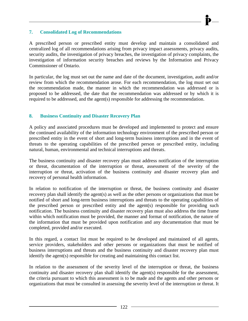#### **7. Consolidated Log of Recommendations**

A prescribed person or prescribed entity must develop and maintain a consolidated and centralized log of all recommendations arising from privacy impact assessments, privacy audits, security audits, the investigation of privacy breaches, the investigation of privacy complaints, the investigation of information security breaches and reviews by the Information and Privacy Commissioner of Ontario.

In particular, the log must set out the name and date of the document, investigation, audit and/or review from which the recommendation arose. For each recommendation, the log must set out the recommendation made, the manner in which the recommendation was addressed or is proposed to be addressed, the date that the recommendation was addressed or by which it is required to be addressed, and the agent(s) responsible for addressing the recommendation.

#### **8. Business Continuity and Disaster Recovery Plan**

A policy and associated procedures must be developed and implemented to protect and ensure the continued availability of the information technology environment of the prescribed person or prescribed entity in the event of short and long-term business interruptions and in the event of threats to the operating capabilities of the prescribed person or prescribed entity, including natural, human, environmental and technical interruptions and threats.

The business continuity and disaster recovery plan must address notification of the interruption or threat, documentation of the interruption or threat, assessment of the severity of the interruption or threat, activation of the business continuity and disaster recovery plan and recovery of personal health information.

In relation to notification of the interruption or threat, the business continuity and disaster recovery plan shall identify the agent(s) as well as the other persons or organizations that must be notified of short and long-term business interruptions and threats to the operating capabilities of the prescribed person or prescribed entity and the agent(s) responsible for providing such notification. The business continuity and disaster recovery plan must also address the time frame within which notification must be provided, the manner and format of notification, the nature of the information that must be provided upon notification and any documentation that must be completed, provided and/or executed.

In this regard, a contact list must be required to be developed and maintained of all agents, service providers, stakeholders and other persons or organizations that must be notified of business interruptions and threats and the business continuity and disaster recovery plan must identify the agent(s) responsible for creating and maintaining this contact list.

In relation to the assessment of the severity level of the interruption or threat, the business continuity and disaster recovery plan shall identify the agent(s) responsible for the assessment, the criteria pursuant to which this assessment is to be made and the agents and other persons or organizations that must be consulted in assessing the severity level of the interruption or threat. It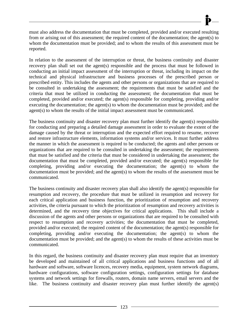must also address the documentation that must be completed, provided and/or executed resulting from or arising out of this assessment; the required content of the documentation; the agent(s) to whom the documentation must be provided; and to whom the results of this assessment must be reported.

In relation to the assessment of the interruption or threat, the business continuity and disaster recovery plan shall set out the agent(s) responsible and the process that must be followed in conducting an initial impact assessment of the interruption or threat, including its impact on the technical and physical infrastructure and business processes of the prescribed person or prescribed entity. This includes the agents and other persons or organizations that are required to be consulted in undertaking the assessment; the requirements that must be satisfied and the criteria that must be utilized in conducting the assessment; the documentation that must be completed, provided and/or executed; the agent(s) responsible for completing, providing and/or executing the documentation; the agent(s) to whom the documentation must be provided; and the agent(s) to whom the results of the initial impact assessment must be communicated.

The business continuity and disaster recovery plan must further identify the agent(s) responsible for conducting and preparing a detailed damage assessment in order to evaluate the extent of the damage caused by the threat or interruption and the expected effort required to resume, recover and restore infrastructure elements, information systems and/or services. It must further address the manner in which the assessment is required to be conducted; the agents and other persons or organizations that are required to be consulted in undertaking the assessment; the requirements that must be satisfied and the criteria that must be considered in undertaking the assessment; the documentation that must be completed, provided and/or executed; the agent(s) responsible for completing, providing and/or executing the documentation; the agent(s) to whom the documentation must be provided; and the agent(s) to whom the results of the assessment must be communicated.

The business continuity and disaster recovery plan shall also identify the agent(s) responsible for resumption and recovery, the procedure that must be utilized in resumption and recovery for each critical application and business function, the prioritization of resumption and recovery activities, the criteria pursuant to which the prioritization of resumption and recovery activities is determined, and the recovery time objectives for critical applications. This shall include a discussion of the agents and other persons or organizations that are required to be consulted with respect to resumption and recovery activities; the documentation that must be completed, provided and/or executed; the required content of the documentation; the agent(s) responsible for completing, providing and/or executing the documentation; the agent(s) to whom the documentation must be provided; and the agent(s) to whom the results of these activities must be communicated.

In this regard, the business continuity and disaster recovery plan must require that an inventory be developed and maintained of all critical applications and business functions and of all hardware and software, software licences, recovery media, equipment, system network diagrams, hardware configurations, software configuration settings, configuration settings for database systems and network settings for firewalls, routers, domain name servers, email servers and the like. The business continuity and disaster recovery plan must further identify the agent(s)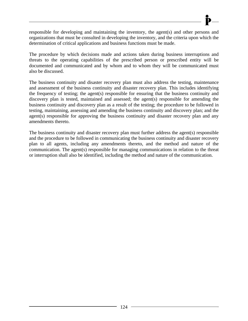responsible for developing and maintaining the inventory, the agent(s) and other persons and organizations that must be consulted in developing the inventory, and the criteria upon which the determination of critical applications and business functions must be made.

The procedure by which decisions made and actions taken during business interruptions and threats to the operating capabilities of the prescribed person or prescribed entity will be documented and communicated and by whom and to whom they will be communicated must also be discussed.

The business continuity and disaster recovery plan must also address the testing, maintenance and assessment of the business continuity and disaster recovery plan. This includes identifying the frequency of testing; the agent(s) responsible for ensuring that the business continuity and discovery plan is tested, maintained and assessed; the agent(s) responsible for amending the business continuity and discovery plan as a result of the testing; the procedure to be followed in testing, maintaining, assessing and amending the business continuity and discovery plan; and the agent(s) responsible for approving the business continuity and disaster recovery plan and any amendments thereto.

The business continuity and disaster recovery plan must further address the agent(s) responsible and the procedure to be followed in communicating the business continuity and disaster recovery plan to all agents, including any amendments thereto, and the method and nature of the communication. The agent(s) responsible for managing communications in relation to the threat or interruption shall also be identified, including the method and nature of the communication.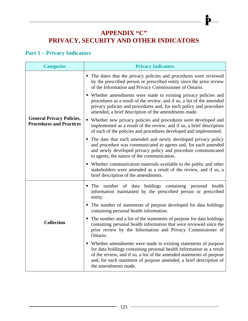# **APPENDIX "C" PRIVACY, SECURITY AND OTHER INDICATORS**

 $\mathbf{\dot{P}}-$ 

## **Part 1 – Privacy Indicators**

| <b>Categories</b>                                                   | <b>Privacy Indicators</b>                                                                                                                                                                                                                                                                                       |
|---------------------------------------------------------------------|-----------------------------------------------------------------------------------------------------------------------------------------------------------------------------------------------------------------------------------------------------------------------------------------------------------------|
|                                                                     | • The dates that the privacy policies and procedures were reviewed<br>by the prescribed person or prescribed entity since the prior review<br>of the Information and Privacy Commissioner of Ontario.                                                                                                           |
|                                                                     | • Whether amendments were made to existing privacy policies and<br>procedures as a result of the review, and if so, a list of the amended<br>privacy policies and procedures and, for each policy and procedure<br>amended, a brief description of the amendments made.                                         |
| <b>General Privacy Policies,</b><br><b>Procedures and Practices</b> | • Whether new privacy policies and procedures were developed and<br>implemented as a result of the review, and if so, a brief description<br>of each of the policies and procedures developed and implemented.                                                                                                  |
|                                                                     | • The date that each amended and newly developed privacy policy<br>and procedure was communicated to agents and, for each amended<br>and newly developed privacy policy and procedure communicated<br>to agents, the nature of the communication.                                                               |
|                                                                     | • Whether communication materials available to the public and other<br>stakeholders were amended as a result of the review, and if so, a<br>brief description of the amendments.                                                                                                                                |
|                                                                     | • The number of data holdings containing personal health<br>information maintained by the prescribed person or prescribed<br>entity.                                                                                                                                                                            |
|                                                                     | • The number of statements of purpose developed for data holdings<br>containing personal health information.                                                                                                                                                                                                    |
| <b>Collection</b>                                                   | • The number and a list of the statements of purpose for data holdings<br>containing personal health information that were reviewed since the<br>prior review by the Information and Privacy Commissioner of<br>Ontario.                                                                                        |
|                                                                     | • Whether amendments were made to existing statements of purpose<br>for data holdings containing personal health information as a result<br>of the review, and if so, a list of the amended statements of purpose<br>and, for each statement of purpose amended, a brief description of<br>the amendments made. |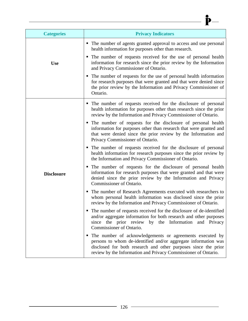| <b>Categories</b> | <b>Privacy Indicators</b>                                                                                                                                                                                                                                        |
|-------------------|------------------------------------------------------------------------------------------------------------------------------------------------------------------------------------------------------------------------------------------------------------------|
|                   | • The number of agents granted approval to access and use personal<br>health information for purposes other than research.                                                                                                                                       |
| <b>Use</b>        | • The number of requests received for the use of personal health<br>information for research since the prior review by the Information<br>and Privacy Commissioner of Ontario.                                                                                   |
|                   | • The number of requests for the use of personal health information<br>for research purposes that were granted and that were denied since<br>the prior review by the Information and Privacy Commissioner of<br>Ontario.                                         |
|                   | • The number of requests received for the disclosure of personal<br>health information for purposes other than research since the prior<br>review by the Information and Privacy Commissioner of Ontario.                                                        |
|                   | • The number of requests for the disclosure of personal health<br>information for purposes other than research that were granted and<br>that were denied since the prior review by the Information and<br>Privacy Commissioner of Ontario.                       |
|                   | • The number of requests received for the disclosure of personal<br>health information for research purposes since the prior review by<br>the Information and Privacy Commissioner of Ontario.                                                                   |
| <b>Disclosure</b> | • The number of requests for the disclosure of personal health<br>information for research purposes that were granted and that were<br>denied since the prior review by the Information and Privacy<br>Commissioner of Ontario.                                  |
|                   | • The number of Research Agreements executed with researchers to<br>whom personal health information was disclosed since the prior<br>review by the Information and Privacy Commissioner of Ontario.                                                             |
|                   | The number of requests received for the disclosure of de-identified<br>ш<br>and/or aggregate information for both research and other purposes<br>since the prior review by the Information<br>and Privacy<br>Commissioner of Ontario.                            |
|                   | • The number of acknowledgements or agreements executed by<br>persons to whom de-identified and/or aggregate information was<br>disclosed for both research and other purposes since the prior<br>review by the Information and Privacy Commissioner of Ontario. |

 $\longrightarrow \mathbf{P}$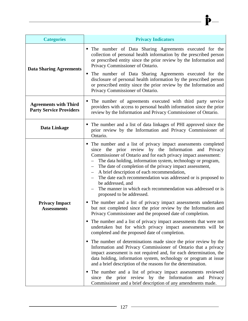| <b>Categories</b>                                              | <b>Privacy Indicators</b>                                                                                                                                                                                                                                                                                                                                                                                                                                                                                                                               |
|----------------------------------------------------------------|---------------------------------------------------------------------------------------------------------------------------------------------------------------------------------------------------------------------------------------------------------------------------------------------------------------------------------------------------------------------------------------------------------------------------------------------------------------------------------------------------------------------------------------------------------|
| <b>Data Sharing Agreements</b>                                 | • The number of Data Sharing Agreements executed for the<br>collection of personal health information by the prescribed person<br>or prescribed entity since the prior review by the Information and<br>Privacy Commissioner of Ontario.<br>• The number of Data Sharing Agreements executed for the<br>disclosure of personal health information by the prescribed person<br>or prescribed entity since the prior review by the Information and<br>Privacy Commissioner of Ontario.                                                                    |
| <b>Agreements with Third</b><br><b>Party Service Providers</b> | • The number of agreements executed with third party service<br>providers with access to personal health information since the prior<br>review by the Information and Privacy Commissioner of Ontario.                                                                                                                                                                                                                                                                                                                                                  |
| Data Linkage                                                   | The number and a list of data linkages of PHI approved since the<br>prior review by the Information and Privacy Commissioner of<br>Ontario.                                                                                                                                                                                                                                                                                                                                                                                                             |
|                                                                | • The number and a list of privacy impact assessments completed<br>since the prior review by the Information and Privacy<br>Commissioner of Ontario and for each privacy impact assessment:<br>The data holding, information system, technology or program,<br>The date of completion of the privacy impact assessment,<br>A brief description of each recommendation,<br>The date each recommendation was addressed or is proposed to<br>be addressed, and<br>The manner in which each recommendation was addressed or is<br>proposed to be addressed. |
| <b>Privacy Impact</b><br><b>Assessments</b>                    | • The number and a list of privacy impact assessments undertaken<br>but not completed since the prior review by the Information and<br>Privacy Commissioner and the proposed date of completion.                                                                                                                                                                                                                                                                                                                                                        |
|                                                                | • The number and a list of privacy impact assessments that were not<br>undertaken but for which privacy impact assessments will be<br>completed and the proposed date of completion.                                                                                                                                                                                                                                                                                                                                                                    |
|                                                                | • The number of determinations made since the prior review by the<br>Information and Privacy Commissioner of Ontario that a privacy<br>impact assessment is not required and, for each determination, the<br>data holding, information system, technology or program at issue<br>and a brief description of the reasons for the determination.                                                                                                                                                                                                          |
|                                                                | • The number and a list of privacy impact assessments reviewed<br>since the prior review by the Information and Privacy<br>Commissioner and a brief description of any amendments made.                                                                                                                                                                                                                                                                                                                                                                 |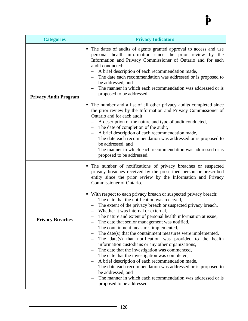| <b>Categories</b>            | <b>Privacy Indicators</b>                                                                                                                                                                                                                                                                                                                                                                                                                                                                                                                                                                                                                                                                                                                                                                                                                                                                                             |
|------------------------------|-----------------------------------------------------------------------------------------------------------------------------------------------------------------------------------------------------------------------------------------------------------------------------------------------------------------------------------------------------------------------------------------------------------------------------------------------------------------------------------------------------------------------------------------------------------------------------------------------------------------------------------------------------------------------------------------------------------------------------------------------------------------------------------------------------------------------------------------------------------------------------------------------------------------------|
| <b>Privacy Audit Program</b> | • The dates of audits of agents granted approval to access and use<br>personal health information since the prior review by the<br>Information and Privacy Commissioner of Ontario and for each<br>audit conducted:<br>A brief description of each recommendation made,<br>The date each recommendation was addressed or is proposed to<br>be addressed, and<br>The manner in which each recommendation was addressed or is<br>proposed to be addressed.<br>The number and a list of all other privacy audits completed since<br>ш                                                                                                                                                                                                                                                                                                                                                                                    |
|                              | the prior review by the Information and Privacy Commissioner of<br>Ontario and for each audit:<br>A description of the nature and type of audit conducted,<br>- The date of completion of the audit,<br>A brief description of each recommendation made,<br>The date each recommendation was addressed or is proposed to<br>be addressed, and<br>The manner in which each recommendation was addressed or is<br>proposed to be addressed.                                                                                                                                                                                                                                                                                                                                                                                                                                                                             |
| <b>Privacy Breaches</b>      | • The number of notifications of privacy breaches or suspected<br>privacy breaches received by the prescribed person or prescribed<br>entity since the prior review by the Information and Privacy<br>Commissioner of Ontario.                                                                                                                                                                                                                                                                                                                                                                                                                                                                                                                                                                                                                                                                                        |
|                              | • With respect to each privacy breach or suspected privacy breach:<br>- The date that the notification was received,<br>The extent of the privacy breach or suspected privacy breach,<br>- Whether it was internal or external,<br>The nature and extent of personal health information at issue,<br>The date that senior management was notified,<br>The containment measures implemented,<br>The date(s) that the containment measures were implemented,<br>The date(s) that notification was provided to the health<br>information custodians or any other organizations,<br>The date that the investigation was commenced,<br>The date that the investigation was completed,<br>A brief description of each recommendation made,<br>The date each recommendation was addressed or is proposed to<br>be addressed, and<br>The manner in which each recommendation was addressed or is<br>proposed to be addressed. |

 $\longrightarrow \mathbf{P}$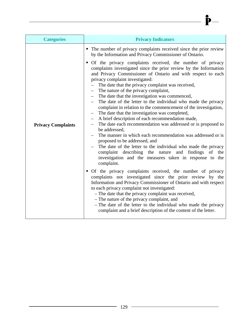| <b>Categories</b>         | <b>Privacy Indicators</b>                                                                                                                                                                                                                                                                                                                                                                                                                                                                                                                                                                                                                                                                                                                                                                                                                                                                                                                                                                                                                                                                                                                                       |
|---------------------------|-----------------------------------------------------------------------------------------------------------------------------------------------------------------------------------------------------------------------------------------------------------------------------------------------------------------------------------------------------------------------------------------------------------------------------------------------------------------------------------------------------------------------------------------------------------------------------------------------------------------------------------------------------------------------------------------------------------------------------------------------------------------------------------------------------------------------------------------------------------------------------------------------------------------------------------------------------------------------------------------------------------------------------------------------------------------------------------------------------------------------------------------------------------------|
| <b>Privacy Complaints</b> | • The number of privacy complaints received since the prior review<br>by the Information and Privacy Commissioner of Ontario.<br>Of the privacy complaints received, the number of privacy<br>п<br>complaints investigated since the prior review by the Information<br>and Privacy Commissioner of Ontario and with respect to each<br>privacy complaint investigated:<br>The date that the privacy complaint was received,<br>- The nature of the privacy complaint,<br>- The date that the investigation was commenced,<br>The date of the letter to the individual who made the privacy<br>complaint in relation to the commencement of the investigation,<br>The date that the investigation was completed,<br>A brief description of each recommendation made,<br>The date each recommendation was addressed or is proposed to<br>be addressed,<br>The manner in which each recommendation was addressed or is<br>proposed to be addressed, and<br>The date of the letter to the individual who made the privacy<br>complaint describing the nature and<br>findings<br>of<br>the<br>investigation and the measures taken in response to the<br>complaint. |
|                           | Of the privacy complaints received, the number of privacy<br>complaints not investigated since the prior review by the<br>Information and Privacy Commissioner of Ontario and with respect<br>to each privacy complaint not investigated:<br>- The date that the privacy complaint was received,<br>- The nature of the privacy complaint, and<br>- The date of the letter to the individual who made the privacy<br>complaint and a brief description of the content of the letter.                                                                                                                                                                                                                                                                                                                                                                                                                                                                                                                                                                                                                                                                            |

 $\frac{1}{\frac{1}{2}}$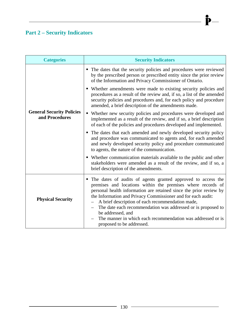## **Part 2 – Security Indicators**

| <b>Categories</b>                                  | <b>Security Indicators</b>                                                                                                                                                                                                                                                                                                                                                                                                                                                                             |
|----------------------------------------------------|--------------------------------------------------------------------------------------------------------------------------------------------------------------------------------------------------------------------------------------------------------------------------------------------------------------------------------------------------------------------------------------------------------------------------------------------------------------------------------------------------------|
|                                                    | • The dates that the security policies and procedures were reviewed<br>by the prescribed person or prescribed entity since the prior review<br>of the Information and Privacy Commissioner of Ontario.                                                                                                                                                                                                                                                                                                 |
|                                                    | • Whether amendments were made to existing security policies and<br>procedures as a result of the review and, if so, a list of the amended<br>security policies and procedures and, for each policy and procedure<br>amended, a brief description of the amendments made.                                                                                                                                                                                                                              |
| <b>General Security Policies</b><br>and Procedures | • Whether new security policies and procedures were developed and<br>implemented as a result of the review, and if so, a brief description<br>of each of the policies and procedures developed and implemented.                                                                                                                                                                                                                                                                                        |
|                                                    | • The dates that each amended and newly developed security policy<br>and procedure was communicated to agents and, for each amended<br>and newly developed security policy and procedure communicated<br>to agents, the nature of the communication.                                                                                                                                                                                                                                                   |
|                                                    | • Whether communication materials available to the public and other<br>stakeholders were amended as a result of the review, and if so, a<br>brief description of the amendments.                                                                                                                                                                                                                                                                                                                       |
| <b>Physical Security</b>                           | The dates of audits of agents granted approved to access the<br>premises and locations within the premises where records of<br>personal health information are retained since the prior review by<br>the Information and Privacy Commissioner and for each audit:<br>A brief description of each recommendation made,<br>The date each recommendation was addressed or is proposed to<br>be addressed, and<br>The manner in which each recommendation was addressed or is<br>proposed to be addressed. |

 $\mathbf{\dot{P}}-$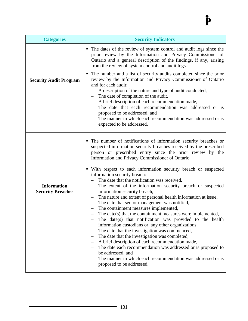| <b>Security Indicators</b>                                                                                                                                                                                                                                                                                           |
|----------------------------------------------------------------------------------------------------------------------------------------------------------------------------------------------------------------------------------------------------------------------------------------------------------------------|
| • The dates of the review of system control and audit logs since the<br>prior review by the Information and Privacy Commissioner of<br>Ontario and a general description of the findings, if any, arising<br>from the review of system control and audit logs.                                                       |
| • The number and a list of security audits completed since the prior<br>review by the Information and Privacy Commissioner of Ontario<br>and for each audit:<br>A description of the nature and type of audit conducted,<br>The date of completion of the audit,<br>A brief description of each recommendation made, |
| The date that each recommendation was addressed or is<br>proposed to be addressed, and<br>The manner in which each recommendation was addressed or is<br>expected to be addressed.                                                                                                                                   |

 $\mathbf{\dot{P}}-$ 

|                          | • The number of notifications of information security breaches or<br>suspected information security breaches received by the prescribed<br>person or prescribed entity since the prior review by the<br>Information and Privacy Commissioner of Ontario. |
|--------------------------|----------------------------------------------------------------------------------------------------------------------------------------------------------------------------------------------------------------------------------------------------------|
|                          | • With respect to each information security breach or suspected                                                                                                                                                                                          |
|                          | information security breach:                                                                                                                                                                                                                             |
|                          | - The date that the notification was received,                                                                                                                                                                                                           |
| <b>Information</b>       | The extent of the information security breach or suspected                                                                                                                                                                                               |
| <b>Security Breaches</b> | information security breach,                                                                                                                                                                                                                             |
|                          | The nature and extent of personal health information at issue,                                                                                                                                                                                           |
|                          | The date that senior management was notified,                                                                                                                                                                                                            |
|                          | The containment measures implemented,                                                                                                                                                                                                                    |
|                          | The date(s) that the containment measures were implemented,                                                                                                                                                                                              |
|                          | The date(s) that notification was provided to the health                                                                                                                                                                                                 |
|                          | information custodians or any other organizations,                                                                                                                                                                                                       |
|                          | The date that the investigation was commenced,                                                                                                                                                                                                           |
|                          | - The date that the investigation was completed,                                                                                                                                                                                                         |
|                          | A brief description of each recommendation made,                                                                                                                                                                                                         |
|                          | The date each recommendation was addressed or is proposed to                                                                                                                                                                                             |
|                          | be addressed, and                                                                                                                                                                                                                                        |
|                          | The manner in which each recommendation was addressed or is<br>proposed to be addressed.                                                                                                                                                                 |
|                          |                                                                                                                                                                                                                                                          |

**Categories** 

**Security Audit Program**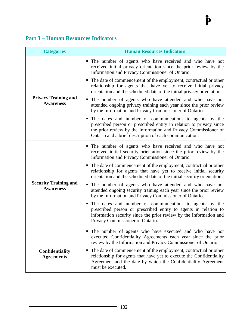### **Part 3 – Human Resources Indicators**

| <b>Categories</b>                                | <b>Human Resources Indicators</b>                                                                                                                                                                                                                           |
|--------------------------------------------------|-------------------------------------------------------------------------------------------------------------------------------------------------------------------------------------------------------------------------------------------------------------|
|                                                  | • The number of agents who have received and who have not<br>received initial privacy orientation since the prior review by the<br>Information and Privacy Commissioner of Ontario.                                                                         |
|                                                  | • The date of commencement of the employment, contractual or other<br>relationship for agents that have yet to receive initial privacy<br>orientation and the scheduled date of the initial privacy orientation.                                            |
| <b>Privacy Training and</b><br><b>Awareness</b>  | • The number of agents who have attended and who have not<br>attended ongoing privacy training each year since the prior review<br>by the Information and Privacy Commissioner of Ontario.                                                                  |
|                                                  | The dates and number of communications to agents by the<br>prescribed person or prescribed entity in relation to privacy since<br>the prior review by the Information and Privacy Commissioner of<br>Ontario and a brief description of each communication. |
|                                                  | • The number of agents who have received and who have not<br>received initial security orientation since the prior review by the<br>Information and Privacy Commissioner of Ontario.                                                                        |
|                                                  | • The date of commencement of the employment, contractual or other<br>relationship for agents that have yet to receive initial security<br>orientation and the scheduled date of the initial security orientation.                                          |
| <b>Security Training and</b><br><b>Awareness</b> | • The number of agents who have attended and who have not<br>attended ongoing security training each year since the prior review<br>by the Information and Privacy Commissioner of Ontario.                                                                 |
|                                                  | • The dates and number of communications to agents by the<br>prescribed person or prescribed entity to agents in relation to<br>information security since the prior review by the Information and<br>Privacy Commissioner of Ontario.                      |
|                                                  | • The number of agents who have executed and who have not<br>executed Confidentiality Agreements each year since the prior<br>review by the Information and Privacy Commissioner of Ontario.                                                                |
| Confidentiality<br><b>Agreements</b>             | The date of commencement of the employment, contractual or other<br>relationship for agents that have yet to execute the Confidentiality<br>Agreement and the date by which the Confidentiality Agreement<br>must be executed.                              |

 $\mathbf{\dot{P}}-$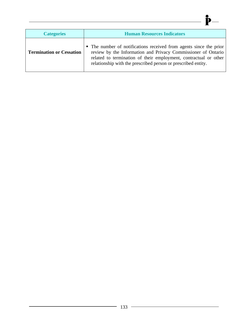| <b>Categories</b>               | <b>Human Resources Indicators</b>                                                                                                                                                                                                                                        |
|---------------------------------|--------------------------------------------------------------------------------------------------------------------------------------------------------------------------------------------------------------------------------------------------------------------------|
| <b>Termination or Cessation</b> | • The number of notifications received from agents since the prior<br>review by the Information and Privacy Commissioner of Ontario<br>related to termination of their employment, contractual or other<br>relationship with the prescribed person or prescribed entity. |

 $\longrightarrow \mathbf{P}$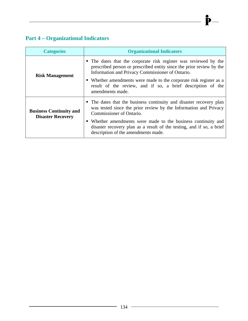# **Part 4 – Organizational Indicators**

| <b>Categories</b>                                          | <b>Organizational Indicators</b>                                                                                                                                                                                                                                                                                                                      |
|------------------------------------------------------------|-------------------------------------------------------------------------------------------------------------------------------------------------------------------------------------------------------------------------------------------------------------------------------------------------------------------------------------------------------|
| <b>Risk Management</b>                                     | • The dates that the corporate risk register was reviewed by the<br>prescribed person or prescribed entity since the prior review by the<br>Information and Privacy Commissioner of Ontario.<br>• Whether amendments were made to the corporate risk register as a<br>result of the review, and if so, a brief description of the<br>amendments made. |
| <b>Business Continuity and</b><br><b>Disaster Recovery</b> | • The dates that the business continuity and disaster recovery plan<br>was tested since the prior review by the Information and Privacy<br>Commissioner of Ontario.<br>• Whether amendments were made to the business continuity and<br>disaster recovery plan as a result of the testing, and if so, a brief<br>description of the amendments made.  |

 $\mathbf{\dot{P}}-$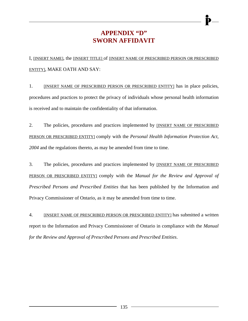## **APPENDIX "D" SWORN AFFIDAVIT**

I, [INSERT NAME], the [INSERT TITLE] of [INSERT NAME OF PRESCRIBED PERSON OR PRESCRIBED ENTITY], MAKE OATH AND SAY:

1. [INSERT NAME OF PRESCRIBED PERSON OR PRESCRIBED ENTITY] has in place policies, procedures and practices to protect the privacy of individuals whose personal health information is received and to maintain the confidentiality of that information.

2. The policies, procedures and practices implemented by **[INSERT NAME OF PRESCRIBED** PERSON OR PRESCRIBED ENTITY] comply with the *Personal Health Information Protection Act, 2004* and the regulations thereto, as may be amended from time to time.

3. The policies, procedures and practices implemented by [INSERT NAME OF PRESCRIBED PERSON OR PRESCRIBED ENTITY] comply with the *Manual for the Review and Approval of Prescribed Persons and Prescribed Entities* that has been published by the Information and Privacy Commissioner of Ontario, as it may be amended from time to time.

4. [INSERT NAME OF PRESCRIBED PERSON OR PRESCRIBED ENTITY] has submitted a written report to the Information and Privacy Commissioner of Ontario in compliance with the *Manual for the Review and Approval of Prescribed Persons and Prescribed Entities*.